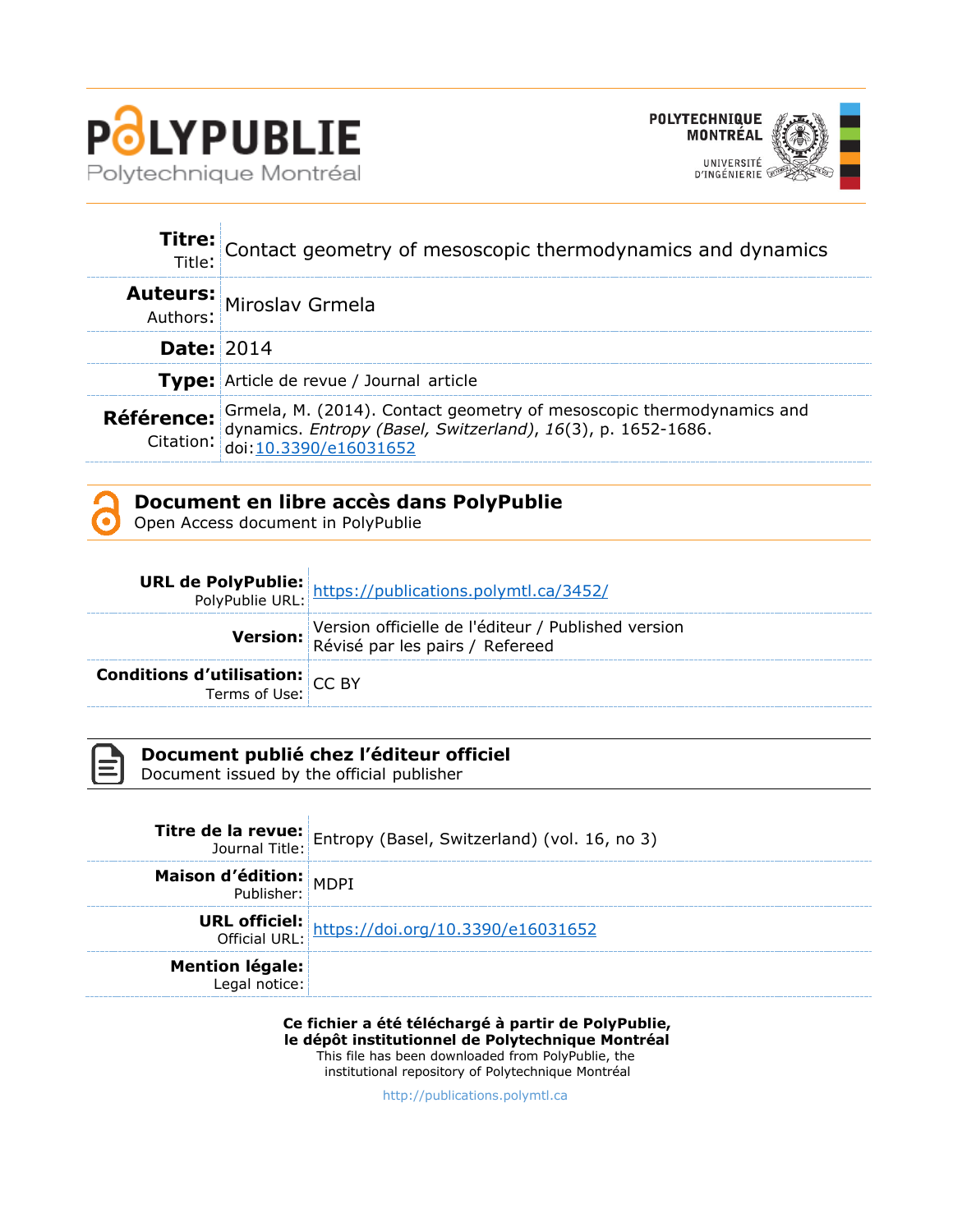



|                   | Titre: Contact geometry of mesoscopic thermodynamics and dynamics                                                                                                                                            |  |
|-------------------|--------------------------------------------------------------------------------------------------------------------------------------------------------------------------------------------------------------|--|
|                   | <b>Auteurs:</b> Miroslav Grmela                                                                                                                                                                              |  |
| <b>Date: 2014</b> |                                                                                                                                                                                                              |  |
|                   | <b>Type:</b> Article de revue / Journal article                                                                                                                                                              |  |
|                   | <b>Référence:</b> Grmela, M. (2014). Contact geometry of mesoscopic thermodynamics and<br>Citation: dynamics. <i>Entropy (Basel, Switzerland)</i> , 16(3), p. 1652-1686.<br>Citation: doi: 10.3390/e16031652 |  |

# **Document en libre accès dans PolyPublie**

Open Access document in PolyPublie

|                                                           | <b>URL de PolyPublie:</b> https://publications.polymtl.ca/3452/<br>PolyPublie URL: https://publications.polymtl.ca/3452/ |
|-----------------------------------------------------------|--------------------------------------------------------------------------------------------------------------------------|
|                                                           | Version officielle de l'éditeur / Published version<br>Révisé par les pairs / Refereed                                   |
| <b>Conditions d'utilisation:</b> $CC$ BY<br>Terms of Use: |                                                                                                                          |



# **Document publié chez l'éditeur officiel**

Document issued by the official publisher

|                        | <b>Titre de la revue:</b> Entropy (Basel, Switzerland) (vol. 16, no 3) |
|------------------------|------------------------------------------------------------------------|
|                        |                                                                        |
| Maison d'édition: MDPJ |                                                                        |
|                        | URL officiel: https://doi.org/10.3390/e16031652                        |
| <b>Mention légale:</b> |                                                                        |

**Ce fichier a été téléchargé à partir de PolyPublie, le dépôt institutionnel de Polytechnique Montréal** This file has been downloaded from PolyPublie, the institutional repository of Polytechnique Montréal

[http://publications.polymtl.ca](http://publications.polymtl.ca/)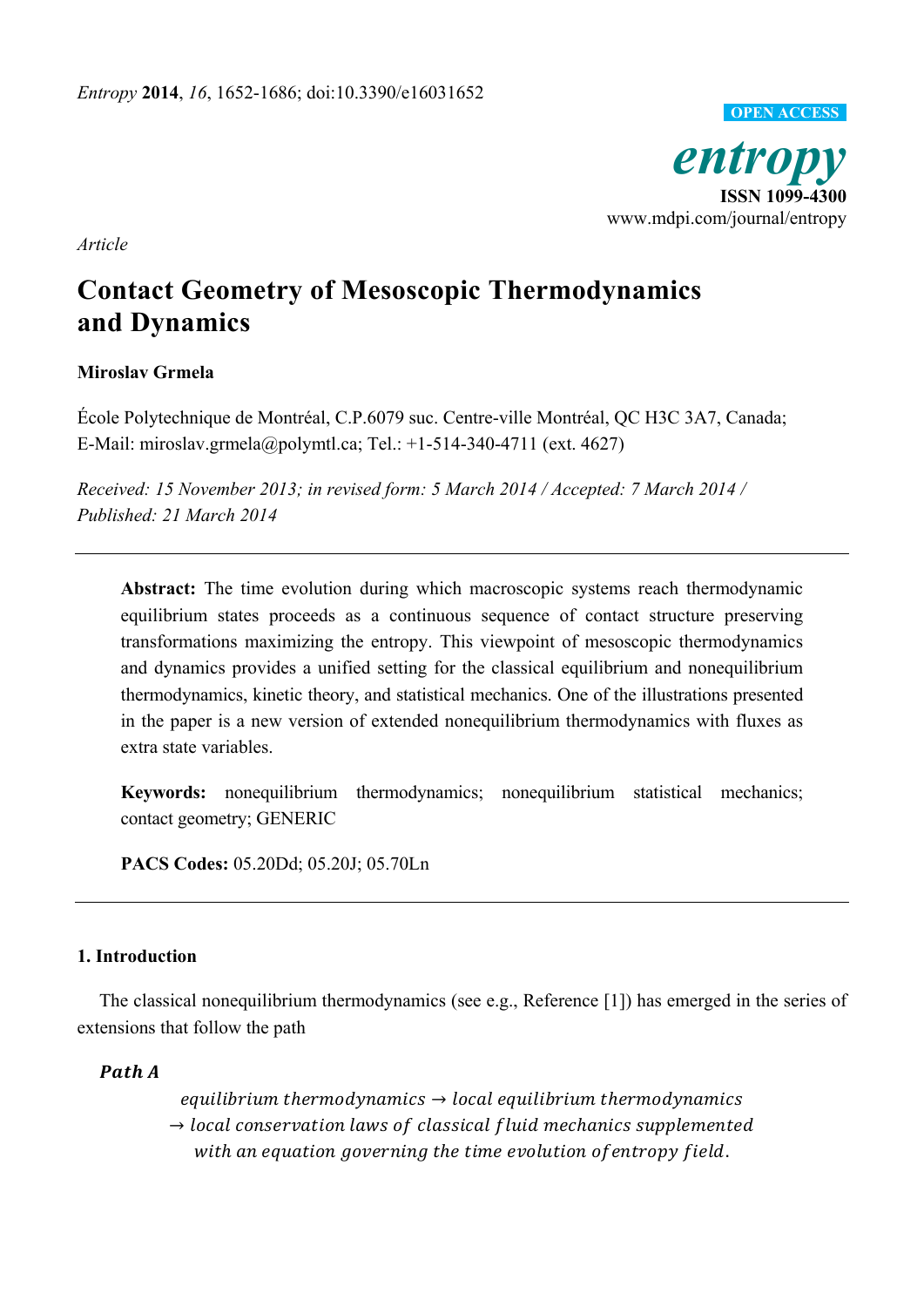

*Article* 

# **Contact Geometry of Mesoscopic Thermodynamics and Dynamics**

# **Miroslav Grmela**

École Polytechnique de Montréal, C.P.6079 suc. Centre-ville Montréal, QC H3C 3A7, Canada; E-Mail: miroslav.grmela@polymtl.ca; Tel.: +1-514-340-4711 (ext. 4627)

*Received: 15 November 2013; in revised form: 5 March 2014 / Accepted: 7 March 2014 / Published: 21 March 2014* 

**Abstract:** The time evolution during which macroscopic systems reach thermodynamic equilibrium states proceeds as a continuous sequence of contact structure preserving transformations maximizing the entropy. This viewpoint of mesoscopic thermodynamics and dynamics provides a unified setting for the classical equilibrium and nonequilibrium thermodynamics, kinetic theory, and statistical mechanics. One of the illustrations presented in the paper is a new version of extended nonequilibrium thermodynamics with fluxes as extra state variables.

**Keywords:** nonequilibrium thermodynamics; nonequilibrium statistical mechanics; contact geometry; GENERIC

**PACS Codes:** 05.20Dd; 05.20J; 05.70Ln

# **1. Introduction**

The classical nonequilibrium thermodynamics (see e.g., Reference [1]) has emerged in the series of extensions that follow the path

# Path A

equilibrium thermodynamics  $\rightarrow$  local equilibrium thermodynamics  $\rightarrow$  local conservation laws of classical fluid mechanics supplemented with an equation governing the time evolution of entropy field.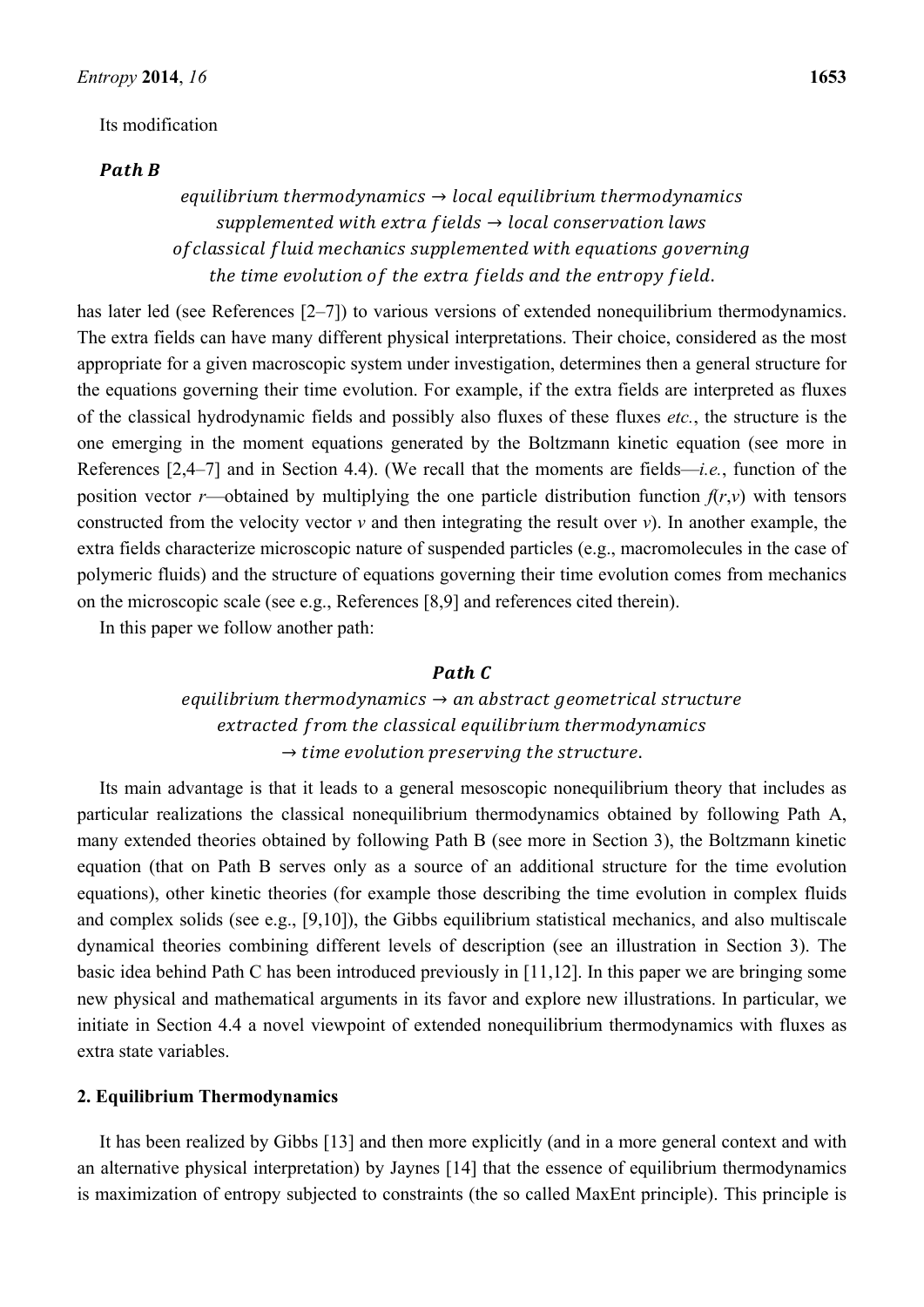#### Its modification

## Path R

# equilibrium thermodynamics  $\rightarrow$  local equilibrium thermodynamics supplemented with extra fields  $\rightarrow$  local conservation laws of classical fluid mechanics supplemented with equations governing the time evolution of the extra fields and the entropy field.

has later led (see References [2–7]) to various versions of extended nonequilibrium thermodynamics. The extra fields can have many different physical interpretations. Their choice, considered as the most appropriate for a given macroscopic system under investigation, determines then a general structure for the equations governing their time evolution. For example, if the extra fields are interpreted as fluxes of the classical hydrodynamic fields and possibly also fluxes of these fluxes *etc.*, the structure is the one emerging in the moment equations generated by the Boltzmann kinetic equation (see more in References [2,4–7] and in Section 4.4). (We recall that the moments are fields—*i.e.*, function of the position vector *r*—obtained by multiplying the one particle distribution function  $f(r, v)$  with tensors constructed from the velocity vector  $\nu$  and then integrating the result over  $\nu$ ). In another example, the extra fields characterize microscopic nature of suspended particles (e.g., macromolecules in the case of polymeric fluids) and the structure of equations governing their time evolution comes from mechanics on the microscopic scale (see e.g., References [8,9] and references cited therein).

In this paper we follow another path:

# Path C

# equilibrium thermodynamics  $\rightarrow$  an abstract geometrical structure extracted from the classical equilibrium thermodynamics  $\rightarrow$  time evolution preserving the structure.

Its main advantage is that it leads to a general mesoscopic nonequilibrium theory that includes as particular realizations the classical nonequilibrium thermodynamics obtained by following Path A, many extended theories obtained by following Path B (see more in Section 3), the Boltzmann kinetic equation (that on Path B serves only as a source of an additional structure for the time evolution equations), other kinetic theories (for example those describing the time evolution in complex fluids and complex solids (see e.g., [9,10]), the Gibbs equilibrium statistical mechanics, and also multiscale dynamical theories combining different levels of description (see an illustration in Section 3). The basic idea behind Path C has been introduced previously in [11,12]. In this paper we are bringing some new physical and mathematical arguments in its favor and explore new illustrations. In particular, we initiate in Section 4.4 a novel viewpoint of extended nonequilibrium thermodynamics with fluxes as extra state variables.

### **2. Equilibrium Thermodynamics**

It has been realized by Gibbs [13] and then more explicitly (and in a more general context and with an alternative physical interpretation) by Jaynes [14] that the essence of equilibrium thermodynamics is maximization of entropy subjected to constraints (the so called MaxEnt principle). This principle is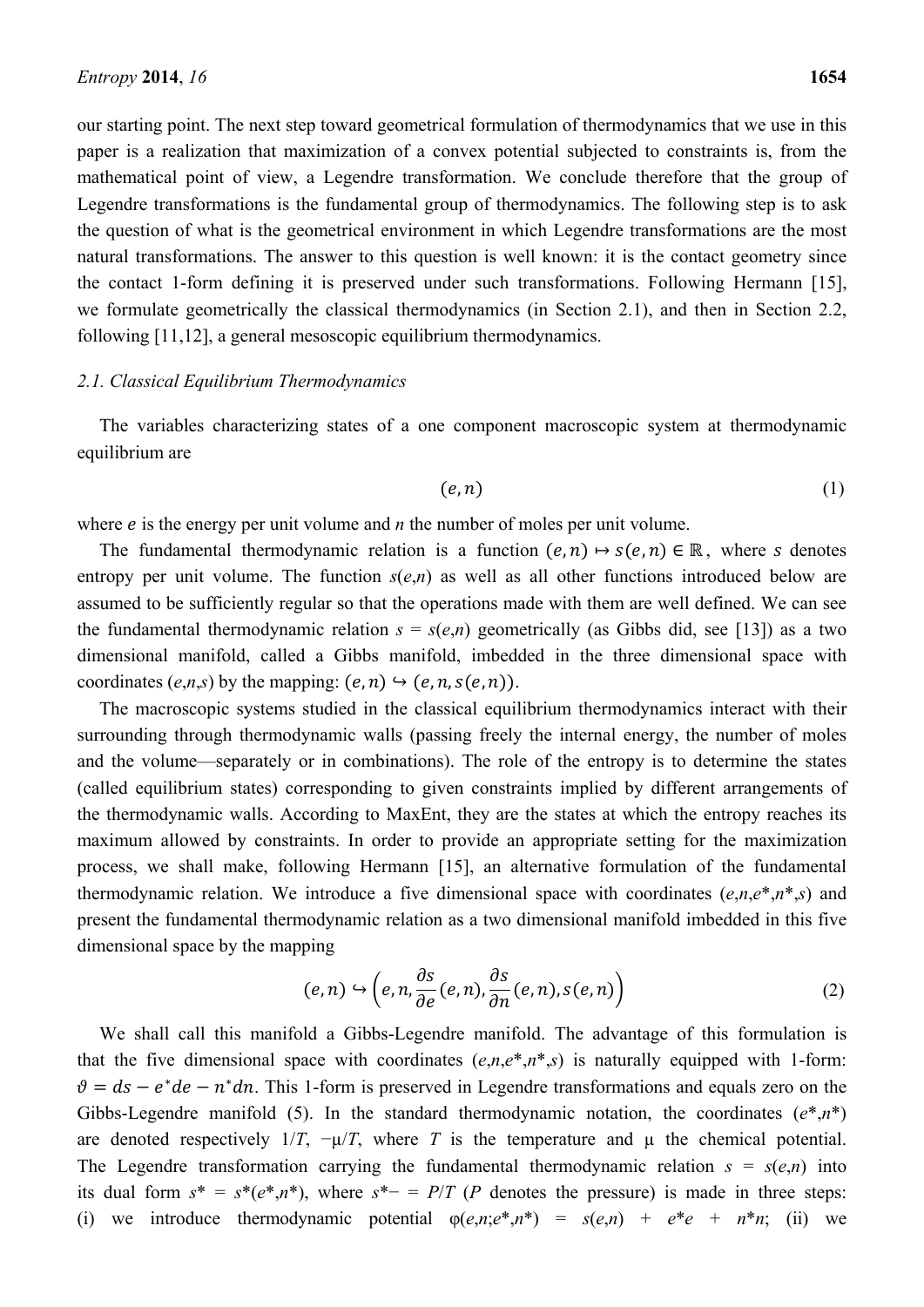our starting point. The next step toward geometrical formulation of thermodynamics that we use in this paper is a realization that maximization of a convex potential subjected to constraints is, from the mathematical point of view, a Legendre transformation. We conclude therefore that the group of Legendre transformations is the fundamental group of thermodynamics. The following step is to ask the question of what is the geometrical environment in which Legendre transformations are the most natural transformations. The answer to this question is well known: it is the contact geometry since the contact 1-form defining it is preserved under such transformations. Following Hermann [15], we formulate geometrically the classical thermodynamics (in Section 2.1), and then in Section 2.2, following [11,12], a general mesoscopic equilibrium thermodynamics.

### *2.1. Classical Equilibrium Thermodynamics*

The variables characterizing states of a one component macroscopic system at thermodynamic equilibrium are

$$
(e,n) \tag{1}
$$

where  $e$  is the energy per unit volume and  $n$  the number of moles per unit volume.

The fundamental thermodynamic relation is a function  $(e, n) \mapsto s(e, n) \in \mathbb{R}$ , where s denotes entropy per unit volume. The function  $s(e,n)$  as well as all other functions introduced below are assumed to be sufficiently regular so that the operations made with them are well defined. We can see the fundamental thermodynamic relation  $s = s(e,n)$  geometrically (as Gibbs did, see [13]) as a two dimensional manifold, called a Gibbs manifold, imbedded in the three dimensional space with coordinates  $(e,n,s)$  by the mapping:  $(e,n) \rightarrow (e,n,s(e,n))$ .

The macroscopic systems studied in the classical equilibrium thermodynamics interact with their surrounding through thermodynamic walls (passing freely the internal energy, the number of moles and the volume—separately or in combinations). The role of the entropy is to determine the states (called equilibrium states) corresponding to given constraints implied by different arrangements of the thermodynamic walls. According to MaxEnt, they are the states at which the entropy reaches its maximum allowed by constraints. In order to provide an appropriate setting for the maximization process, we shall make, following Hermann [15], an alternative formulation of the fundamental thermodynamic relation. We introduce a five dimensional space with coordinates  $(e, n, e^*, n^*, s)$  and present the fundamental thermodynamic relation as a two dimensional manifold imbedded in this five dimensional space by the mapping

$$
(e,n) \hookrightarrow \left(e,n,\frac{\partial s}{\partial e}(e,n),\frac{\partial s}{\partial n}(e,n),s(e,n)\right)
$$
 (2)

We shall call this manifold a Gibbs-Legendre manifold. The advantage of this formulation is that the five dimensional space with coordinates  $(e, n, e^*, n^*, s)$  is naturally equipped with 1-form:  $\vartheta = ds - e^*de - n^*dn$ . This 1-form is preserved in Legendre transformations and equals zero on the Gibbs-Legendre manifold (5). In the standard thermodynamic notation, the coordinates  $(e^*, n^*)$ are denoted respectively  $1/T$ ,  $-\mu/T$ , where *T* is the temperature and  $\mu$  the chemical potential. The Legendre transformation carrying the fundamental thermodynamic relation  $s = s(e,n)$  into its dual form  $s^* = s^*(e^*, n^*)$ , where  $s^* = P/T$  (*P* denotes the pressure) is made in three steps: (i) we introduce thermodynamic potential  $\varphi(e, n; e^*, n^*) = s(e, n) + e^*e + n^*n$ ; (ii) we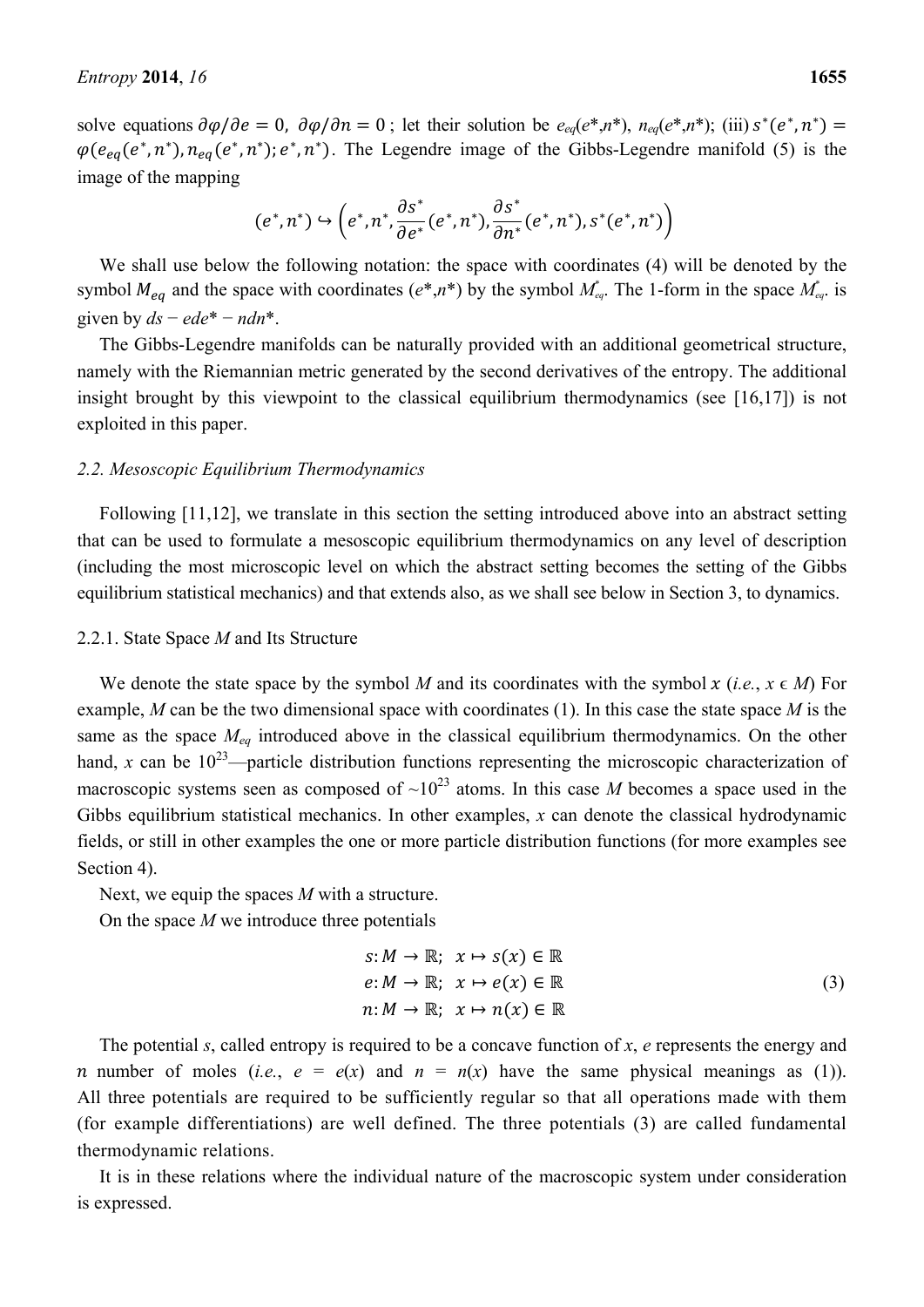solve equations  $\partial \varphi / \partial e = 0$ ,  $\partial \varphi / \partial n = 0$ ; let their solution be  $e_{eq}(e^*, n^*)$ ,  $n_{eq}(e^*, n^*)$ ; (iii)  $s^*(e^*, n^*) =$  $\varphi(e_{eq}(e^*, n^*), n_{eq}(e^*, n^*); e^*, n^*)$ . The Legendre image of the Gibbs-Legendre manifold (5) is the image of the mapping

$$
(e^*,n^*)\hookrightarrow \left(e^*,n^*,\frac{\partial s^*}{\partial e^*}(e^*,n^*),\frac{\partial s^*}{\partial n^*}(e^*,n^*),s^*(e^*,n^*)\right)
$$

We shall use below the following notation: the space with coordinates (4) will be denoted by the symbol  $M_{eq}$  and the space with coordinates  $(e^*, n^*)$  by the symbol  $M_{eq}^*$ . The 1-form in the space  $M_{eq}^*$  is given by  $ds - ede^* - ndn^*$ .

The Gibbs-Legendre manifolds can be naturally provided with an additional geometrical structure, namely with the Riemannian metric generated by the second derivatives of the entropy. The additional insight brought by this viewpoint to the classical equilibrium thermodynamics (see [16,17]) is not exploited in this paper.

### *2.2. Mesoscopic Equilibrium Thermodynamics*

Following [11,12], we translate in this section the setting introduced above into an abstract setting that can be used to formulate a mesoscopic equilibrium thermodynamics on any level of description (including the most microscopic level on which the abstract setting becomes the setting of the Gibbs equilibrium statistical mechanics) and that extends also, as we shall see below in Section 3, to dynamics.

#### 2.2.1. State Space *M* and Its Structure

We denote the state space by the symbol *M* and its coordinates with the symbol x (*i.e.*,  $x \in M$ ) For example, *M* can be the two dimensional space with coordinates (1). In this case the state space *M* is the same as the space *Meq* introduced above in the classical equilibrium thermodynamics. On the other hand, *x* can be  $10^{23}$ —particle distribution functions representing the microscopic characterization of macroscopic systems seen as composed of  $\sim 10^{23}$  atoms. In this case *M* becomes a space used in the Gibbs equilibrium statistical mechanics. In other examples, *x* can denote the classical hydrodynamic fields, or still in other examples the one or more particle distribution functions (for more examples see Section 4).

Next, we equip the spaces *M* with a structure.

On the space *M* we introduce three potentials

$$
s: M \to \mathbb{R}; \quad x \mapsto s(x) \in \mathbb{R}
$$
  
\n
$$
e: M \to \mathbb{R}; \quad x \mapsto e(x) \in \mathbb{R}
$$
  
\n
$$
n: M \to \mathbb{R}; \quad x \mapsto n(x) \in \mathbb{R}
$$
  
\n(3)

The potential *s*, called entropy is required to be a concave function of *x*, *e* represents the energy and *n* number of moles (*i.e.*,  $e = e(x)$  and  $n = n(x)$  have the same physical meanings as (1)). All three potentials are required to be sufficiently regular so that all operations made with them (for example differentiations) are well defined. The three potentials (3) are called fundamental thermodynamic relations.

It is in these relations where the individual nature of the macroscopic system under consideration is expressed.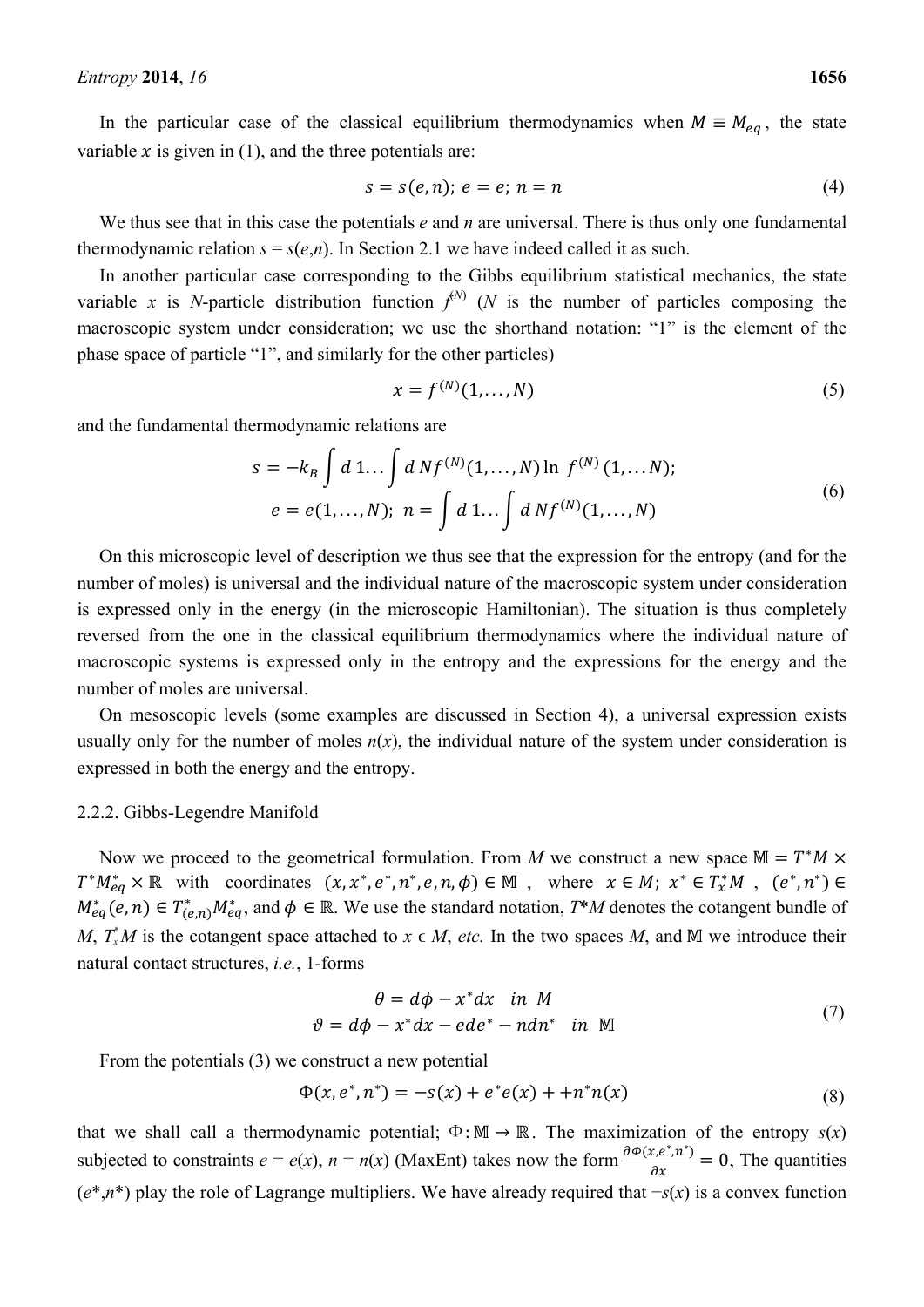In the particular case of the classical equilibrium thermodynamics when  $M \equiv M_{eq}$ , the state variable  $x$  is given in (1), and the three potentials are:

$$
s = s(e, n); e = e; n = n \tag{4}
$$

We thus see that in this case the potentials *e* and *n* are universal. There is thus only one fundamental thermodynamic relation  $s = s(e,n)$ . In Section 2.1 we have indeed called it as such.

In another particular case corresponding to the Gibbs equilibrium statistical mechanics, the state variable *x* is *N*-particle distribution function  $f^{(N)}$  (*N* is the number of particles composing the macroscopic system under consideration; we use the shorthand notation: "1" is the element of the phase space of particle "1", and similarly for the other particles)

$$
x = f^{(N)}(1, \dots, N) \tag{5}
$$

and the fundamental thermodynamic relations are

$$
s = -k_B \int d \, 1 \dots \int d \, N f^{(N)}(1, \dots, N) \ln f^{(N)}(1, \dots, N);
$$
\n
$$
e = e(1, \dots, N); \ n = \int d \, 1 \dots \int d \, N f^{(N)}(1, \dots, N)
$$
\n(6)

On this microscopic level of description we thus see that the expression for the entropy (and for the number of moles) is universal and the individual nature of the macroscopic system under consideration is expressed only in the energy (in the microscopic Hamiltonian). The situation is thus completely reversed from the one in the classical equilibrium thermodynamics where the individual nature of macroscopic systems is expressed only in the entropy and the expressions for the energy and the number of moles are universal.

On mesoscopic levels (some examples are discussed in Section 4), a universal expression exists usually only for the number of moles  $n(x)$ , the individual nature of the system under consideration is expressed in both the energy and the entropy.

#### 2.2.2. Gibbs-Legendre Manifold

Now we proceed to the geometrical formulation. From *M* we construct a new space  $M = T^*M \times$  $T^*M_{eq}^* \times \mathbb{R}$  with coordinates  $(x, x^*, e^*, n^*, e, n, \phi) \in \mathbb{M}$ , where  $x \in M$ ;  $x^* \in T_x^*M$ ,  $(e^*, n^*) \in$  $M_{eq}^*(e, n) \in T_{(e,n)}^* M_{eq}^*$ , and  $\phi \in \mathbb{R}$ . We use the standard notation,  $T^*M$  denotes the cotangent bundle of *M*,  $T_x^*M$  is the cotangent space attached to  $x \in M$ , *etc.* In the two spaces M, and M we introduce their natural contact structures, *i.e.*, 1-forms

$$
\theta = d\phi - x^* dx \quad in \quad M
$$
  

$$
\theta = d\phi - x^* dx - ede^* - ndn^* \quad in \quad M
$$
 (7)

From the potentials (3) we construct a new potential

$$
\Phi(x, e^*, n^*) = -s(x) + e^*e(x) + n^*n(x)
$$
\n(8)

that we shall call a thermodynamic potential;  $\Phi : \mathbb{M} \to \mathbb{R}$ . The maximization of the entropy  $s(x)$ subjected to constraints  $e = e(x)$ ,  $n = n(x)$  (MaxEnt) takes now the form  $\frac{\partial \phi(x, e^*, n^*)}{\partial x} = 0$ , The quantities (*e*\*,*n*\*) play the role of Lagrange multipliers. We have already required that −*s*(*x*) is a convex function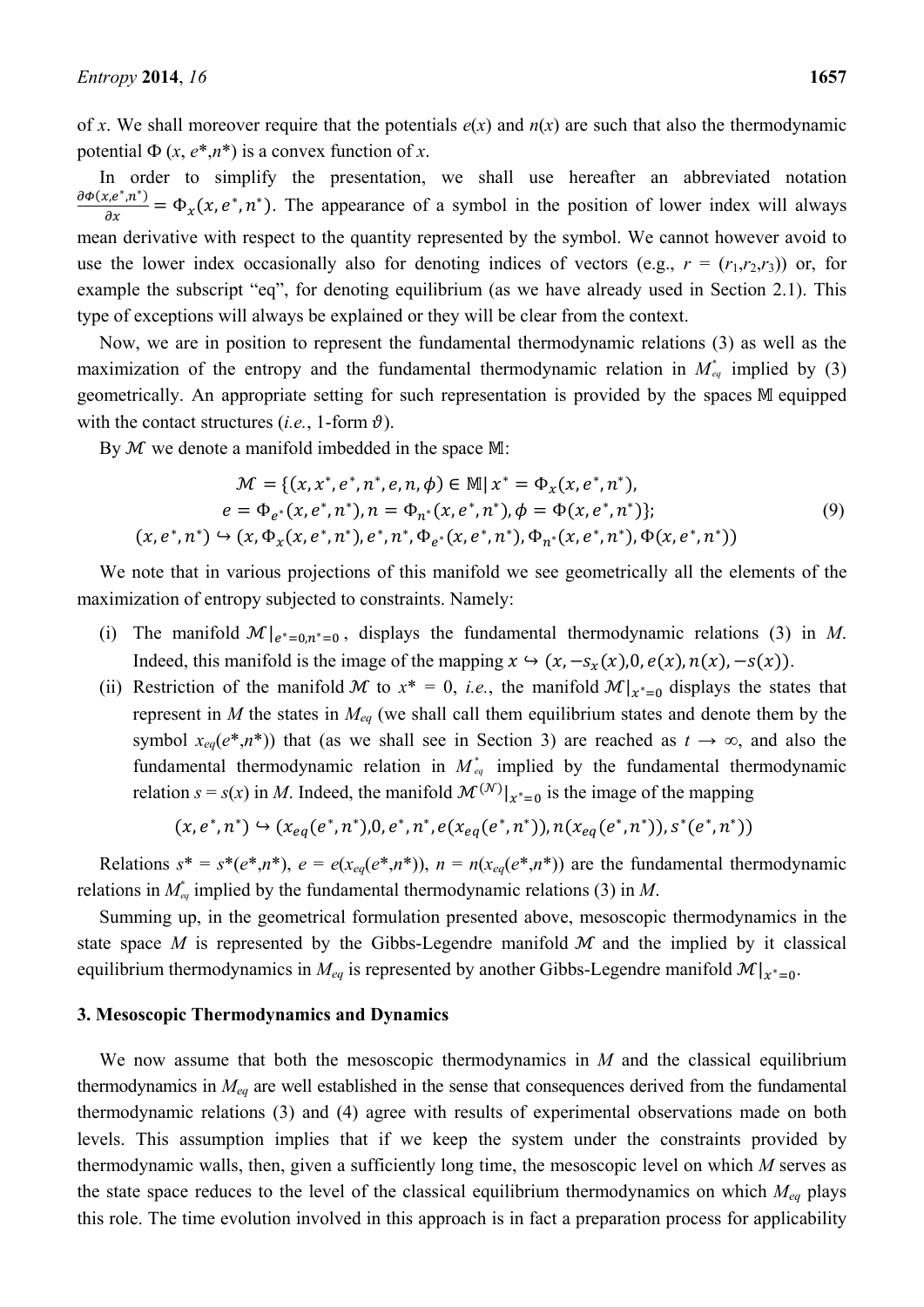of *x*. We shall moreover require that the potentials *e*(*x*) and *n*(*x*) are such that also the thermodynamic potential  $\Phi(x, e^*, n^*)$  is a convex function of *x*.

In order to simplify the presentation, we shall use hereafter an abbreviated notation  $\frac{\partial \Phi(x, e^*, n^*)}{\partial x} = \Phi_x(x, e^*, n^*)$ . The appearance of a symbol in the position of lower index will always mean derivative with respect to the quantity represented by the symbol. We cannot however avoid to use the lower index occasionally also for denoting indices of vectors (e.g.,  $r = (r_1, r_2, r_3)$ ) or, for example the subscript "eq", for denoting equilibrium (as we have already used in Section 2.1). This type of exceptions will always be explained or they will be clear from the context.

Now, we are in position to represent the fundamental thermodynamic relations (3) as well as the maximization of the entropy and the fundamental thermodynamic relation in  $M_{eq}^*$  implied by (3) geometrically. An appropriate setting for such representation is provided by the spaces M equipped with the contact structures (*i.e.*, 1-form  $\vartheta$ ).

By  $M$  we denote a manifold imbedded in the space M:

$$
\mathcal{M} = \{ (x, x^*, e^*, n^*, e, n, \phi) \in \mathbb{M} \mid x^* = \Phi_x(x, e^*, n^*),
$$
  
\n
$$
e = \Phi_{e^*}(x, e^*, n^*), n = \Phi_{n^*}(x, e^*, n^*), \phi = \Phi(x, e^*, n^*) \};
$$
  
\n
$$
(x, e^*, n^*) \hookrightarrow (x, \Phi_x(x, e^*, n^*), e^*, n^*, \Phi_{e^*}(x, e^*, n^*), \Phi_{n^*}(x, e^*, n^*), \Phi(x, e^*, n^*))
$$
\n(9)

We note that in various projections of this manifold we see geometrically all the elements of the maximization of entropy subjected to constraints. Namely:

- (i) The manifold  $\mathcal{M}|_{e^*=0,n^*=0}$ , displays the fundamental thermodynamic relations (3) in *M*. Indeed, this manifold is the image of the mapping  $x \hookrightarrow (x, -s_x(x), 0, e(x), n(x), -s(x)).$
- (ii) Restriction of the manifold  $\mathcal M$  to  $x^* = 0$ , *i.e.*, the manifold  $\mathcal M|_{x^*=0}$  displays the states that represent in *M* the states in *Meq* (we shall call them equilibrium states and denote them by the symbol  $x_{eq}(e^*, n^*)$ ) that (as we shall see in Section 3) are reached as  $t \to \infty$ , and also the fundamental thermodynamic relation in  $M_{eq}^*$  implied by the fundamental thermodynamic relation *s* = *s*(*x*) in *M*. Indeed, the manifold  $\mathcal{M}^{(\mathcal{N})}|_{x^*=0}$  is the image of the mapping

$$
(x, e^*, n^*) \hookrightarrow (x_{eq}(e^*, n^*), 0, e^*, n^*, e(x_{eq}(e^*, n^*)), n(x_{eq}(e^*, n^*)), s^*(e^*, n^*))
$$

Relations  $s^* = s^*(e^*, n^*)$ ,  $e = e(x_{eq}(e^*, n^*))$ ,  $n = n(x_{eq}(e^*, n^*))$  are the fundamental thermodynamic relations in  $M_{eq}^*$  implied by the fundamental thermodynamic relations (3) in M.

Summing up, in the geometrical formulation presented above, mesoscopic thermodynamics in the state space *M* is represented by the Gibbs-Legendre manifold  $M$  and the implied by it classical equilibrium thermodynamics in  $M_{eq}$  is represented by another Gibbs-Legendre manifold  $\mathcal{M}|_{x^*=0}$ .

# **3. Mesoscopic Thermodynamics and Dynamics**

We now assume that both the mesoscopic thermodynamics in *M* and the classical equilibrium thermodynamics in *Meq* are well established in the sense that consequences derived from the fundamental thermodynamic relations (3) and (4) agree with results of experimental observations made on both levels. This assumption implies that if we keep the system under the constraints provided by thermodynamic walls, then, given a sufficiently long time, the mesoscopic level on which *M* serves as the state space reduces to the level of the classical equilibrium thermodynamics on which  $M_{eq}$  plays this role. The time evolution involved in this approach is in fact a preparation process for applicability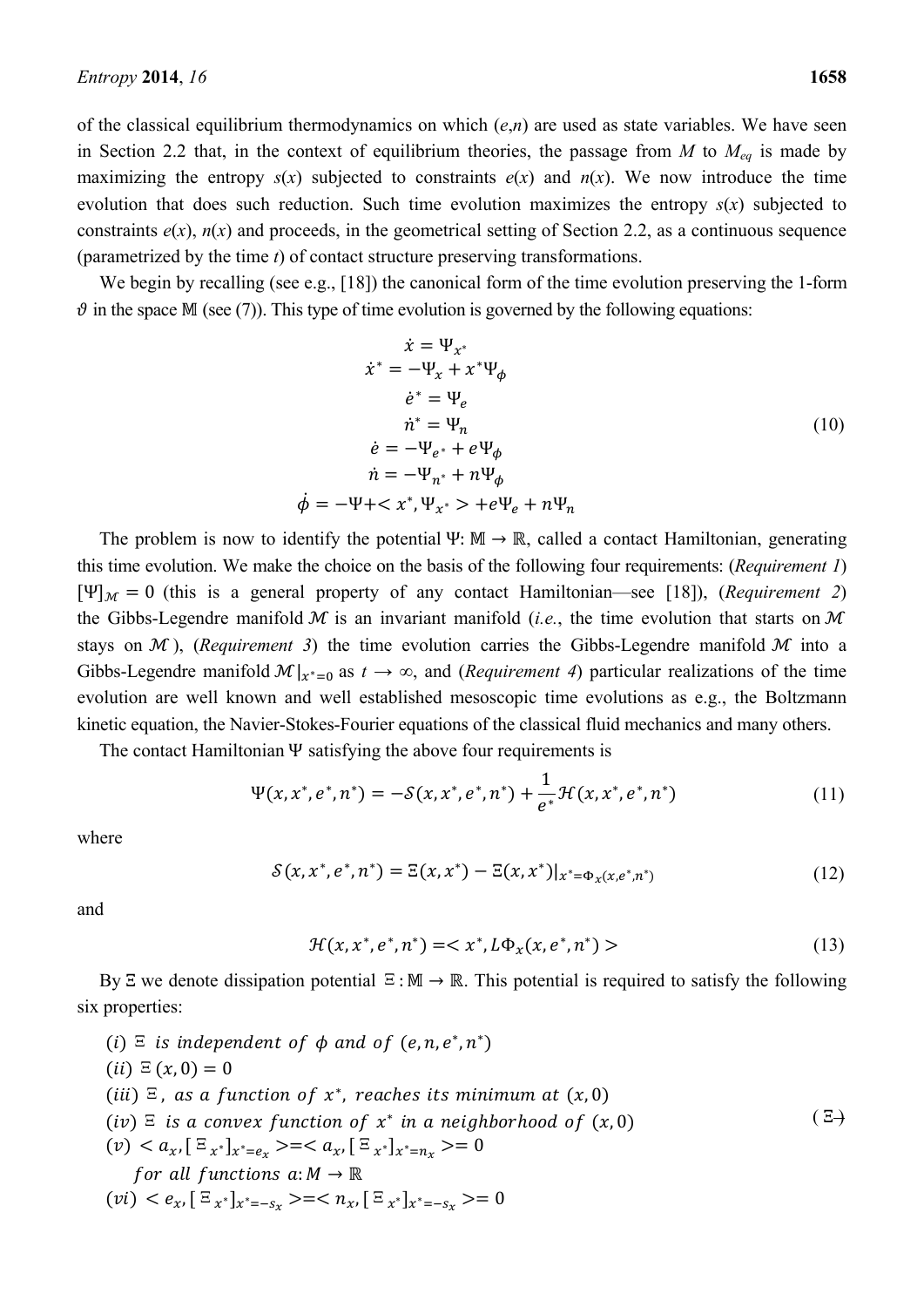of the classical equilibrium thermodynamics on which (*e*,*n*) are used as state variables. We have seen in Section 2.2 that, in the context of equilibrium theories, the passage from *M* to *Meq* is made by maximizing the entropy  $s(x)$  subjected to constraints  $e(x)$  and  $n(x)$ . We now introduce the time evolution that does such reduction. Such time evolution maximizes the entropy *s*(*x*) subjected to constraints  $e(x)$ ,  $n(x)$  and proceeds, in the geometrical setting of Section 2.2, as a continuous sequence (parametrized by the time *t*) of contact structure preserving transformations.

We begin by recalling (see e.g., [18]) the canonical form of the time evolution preserving the 1-form  $\vartheta$  in the space M (see (7)). This type of time evolution is governed by the following equations:

$$
\dot{x} = \Psi_{x^*}
$$
\n
$$
\dot{x}^* = -\Psi_x + x^*\Psi_{\phi}
$$
\n
$$
\dot{e}^* = \Psi_e
$$
\n
$$
\dot{n}^* = \Psi_n
$$
\n
$$
\dot{e} = -\Psi_{e^*} + e\Psi_{\phi}
$$
\n
$$
\dot{n} = -\Psi_{n^*} + n\Psi_{\phi}
$$
\n
$$
\dot{\phi} = -\Psi + \langle x^*, \Psi_{x^*} \rangle + e\Psi_e + n\Psi_n
$$
\n(10)

The problem is now to identify the potential Ψ:  $M \to \mathbb{R}$ , called a contact Hamiltonian, generating this time evolution. We make the choice on the basis of the following four requirements: (*Requirement 1*)  $[\Psi]_{\mathcal{M}} = 0$  (this is a general property of any contact Hamiltonian—see [18]), (*Requirement 2*) the Gibbs-Legendre manifold  $M$  is an invariant manifold (*i.e.*, the time evolution that starts on  $M$ stays on  $\mathcal M$ ), *(Requirement 3)* the time evolution carries the Gibbs-Legendre manifold  $\mathcal M$  into a Gibbs-Legendre manifold  $\mathcal{M}|_{\mathcal{X}^*=0}$  as  $t\to\infty$ , and (*Requirement 4*) particular realizations of the time evolution are well known and well established mesoscopic time evolutions as e.g., the Boltzmann kinetic equation, the Navier-Stokes-Fourier equations of the classical fluid mechanics and many others.

The contact Hamiltonian Ψ satisfying the above four requirements is

$$
\Psi(x, x^*, e^*, n^*) = -\mathcal{S}(x, x^*, e^*, n^*) + \frac{1}{e^*} \mathcal{H}(x, x^*, e^*, n^*)
$$
(11)

where

$$
S(x, x^*, e^*, n^*) = \Xi(x, x^*) - \Xi(x, x^*)|_{x^* = \Phi_x(x, e^*, n^*)}
$$
(12)

and

$$
\mathcal{H}(x, x^*, e^*, n^*) = \langle x^*, L\Phi_x(x, e^*, n^*) \rangle \tag{13}
$$

By  $\Xi$  we denote dissipation potential  $\Xi : \mathbb{M} \to \mathbb{R}$ . This potential is required to satisfy the following six properties:

\n- (i) 
$$
\Xi
$$
 is independent of  $\phi$  and of  $(e, n, e^*, n^*)$
\n- (ii)  $\Xi(x, 0) = 0$
\n- (iii)  $\Xi$ , as a function of  $x^*$ , reaches its minimum at  $(x, 0)$
\n- (iv)  $\Xi$  is a convex function of  $x^*$  in a neighborhood of  $(x, 0)$
\n- (v)  $\langle a_x, [\Xi_{x^*}]_{x^* = e_x} \rangle = \langle a_x, [\Xi_{x^*}]_{x^* = n_x} \rangle = 0$  for all functions  $a: M \to \mathbb{R}$
\n- (vi)  $\langle e_x, [\Xi_{x^*}]_{x^* = -s_x} \rangle = \langle n_x, [\Xi_{x^*}]_{x^* = -s_x} \rangle = 0$
\n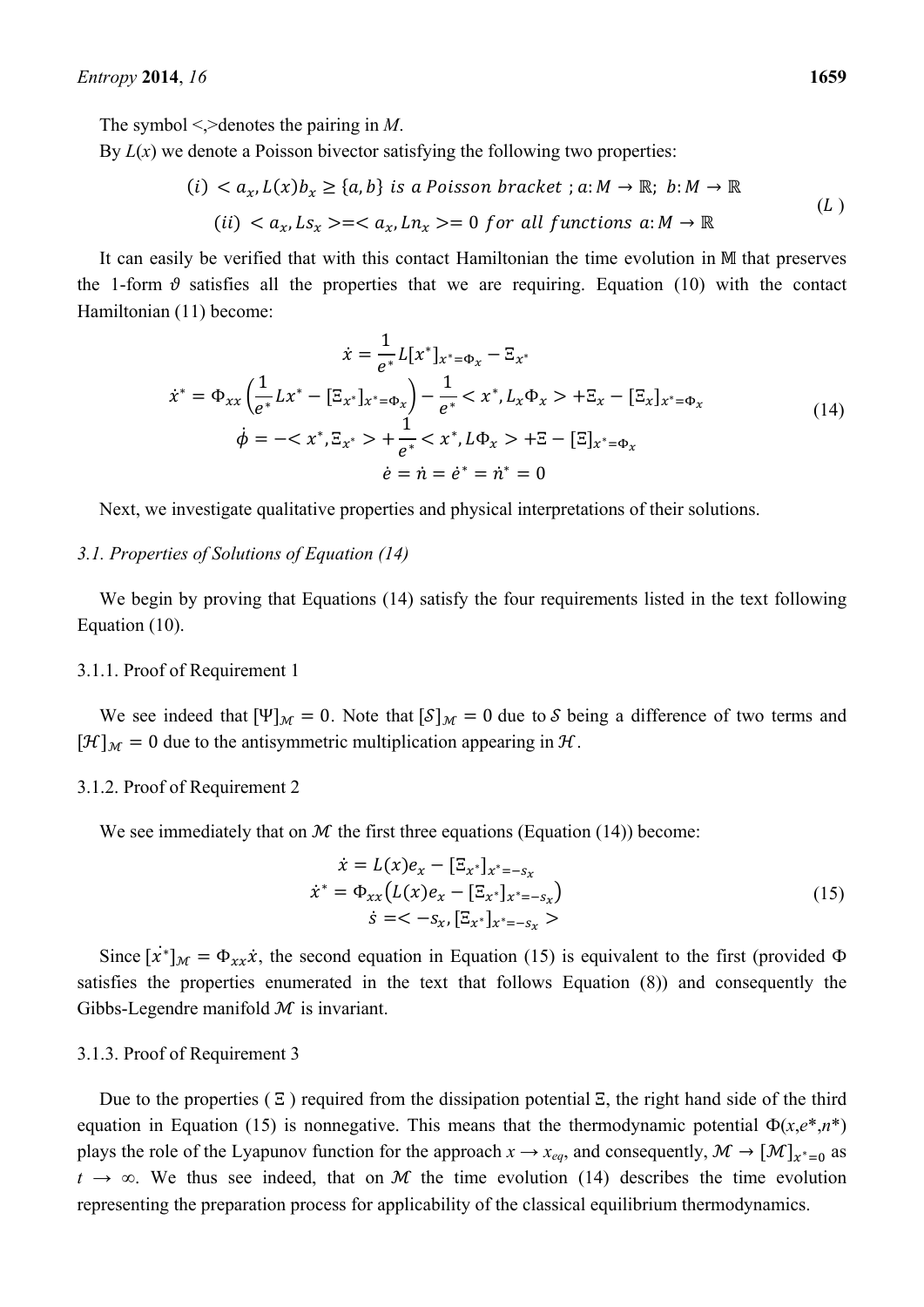The symbol <,>denotes the pairing in *M*.

By  $L(x)$  we denote a Poisson bivector satisfying the following two properties:

$$
(i) < a_x, L(x)b_x \ge \{a, b\} \text{ is a Poisson bracket }; a: M \to \mathbb{R}; \ b: M \to \mathbb{R}
$$
  

$$
(ii) < a_x, Ls_x \ge =  (L)
$$

It can easily be verified that with this contact Hamiltonian the time evolution in  $M$  that preserves the 1-form  $\vartheta$  satisfies all the properties that we are requiring. Equation (10) with the contact Hamiltonian (11) become:

$$
\dot{x} = \frac{1}{e^*} L[x^*]_{x^* = \Phi_x} - \Xi_{x^*}
$$
\n
$$
\dot{x}^* = \Phi_{xx} \left( \frac{1}{e^*} Lx^* - [\Xi_{x^*}]_{x^* = \Phi_x} \right) - \frac{1}{e^*} < x^*, L_x \Phi_x > + \Xi_x - [\Xi_x]_{x^* = \Phi_x}
$$
\n
$$
\dot{\phi} = -\langle x^*, \Xi_{x^*} \rangle + \frac{1}{e^*} < x^*, L\Phi_x > + \Xi - [\Xi]_{x^* = \Phi_x}
$$
\n
$$
\dot{e} = \dot{n} = \dot{e}^* = \dot{n}^* = 0
$$
\n(14)

Next, we investigate qualitative properties and physical interpretations of their solutions.

# *3.1. Properties of Solutions of Equation (14)*

We begin by proving that Equations (14) satisfy the four requirements listed in the text following Equation (10).

#### 3.1.1. Proof of Requirement 1

We see indeed that  $[\Psi]_{\mathcal{M}} = 0$ . Note that  $[\mathcal{S}]_{\mathcal{M}} = 0$  due to S being a difference of two terms and  $[\mathcal{H}]_{\mathcal{M}} = 0$  due to the antisymmetric multiplication appearing in  $\mathcal{H}$ .

### 3.1.2. Proof of Requirement 2

We see immediately that on  $M$  the first three equations (Equation (14)) become:

$$
\begin{aligned}\n\dot{x} &= L(x)e_x - [\Xi_{x^*}]_{x^* = -s_x} \\
\dot{x}^* &= \Phi_{xx}(L(x)e_x - [\Xi_{x^*}]_{x^* = -s_x}) \\
\dot{s} &= < -s_x, [\Xi_{x^*}]_{x^* = -s_x} > \n\end{aligned} \tag{15}
$$

Since  $[\dot{x}^*]_{\mathcal{M}} = \Phi_{xx} \dot{x}$ , the second equation in Equation (15) is equivalent to the first (provided  $\Phi$ satisfies the properties enumerated in the text that follows Equation (8)) and consequently the Gibbs-Legendre manifold  $M$  is invariant.

#### 3.1.3. Proof of Requirement 3

Due to the properties  $( \Xi )$  required from the dissipation potential  $\Xi$ , the right hand side of the third equation in Equation (15) is nonnegative. This means that the thermodynamic potential  $\Phi(x,e^*,n^*)$ plays the role of the Lyapunov function for the approach  $x \to x_{eq}$ , and consequently,  $\mathcal{M} \to [\mathcal{M}]_{x^*=0}$  as  $t \to \infty$ . We thus see indeed, that on M the time evolution (14) describes the time evolution representing the preparation process for applicability of the classical equilibrium thermodynamics.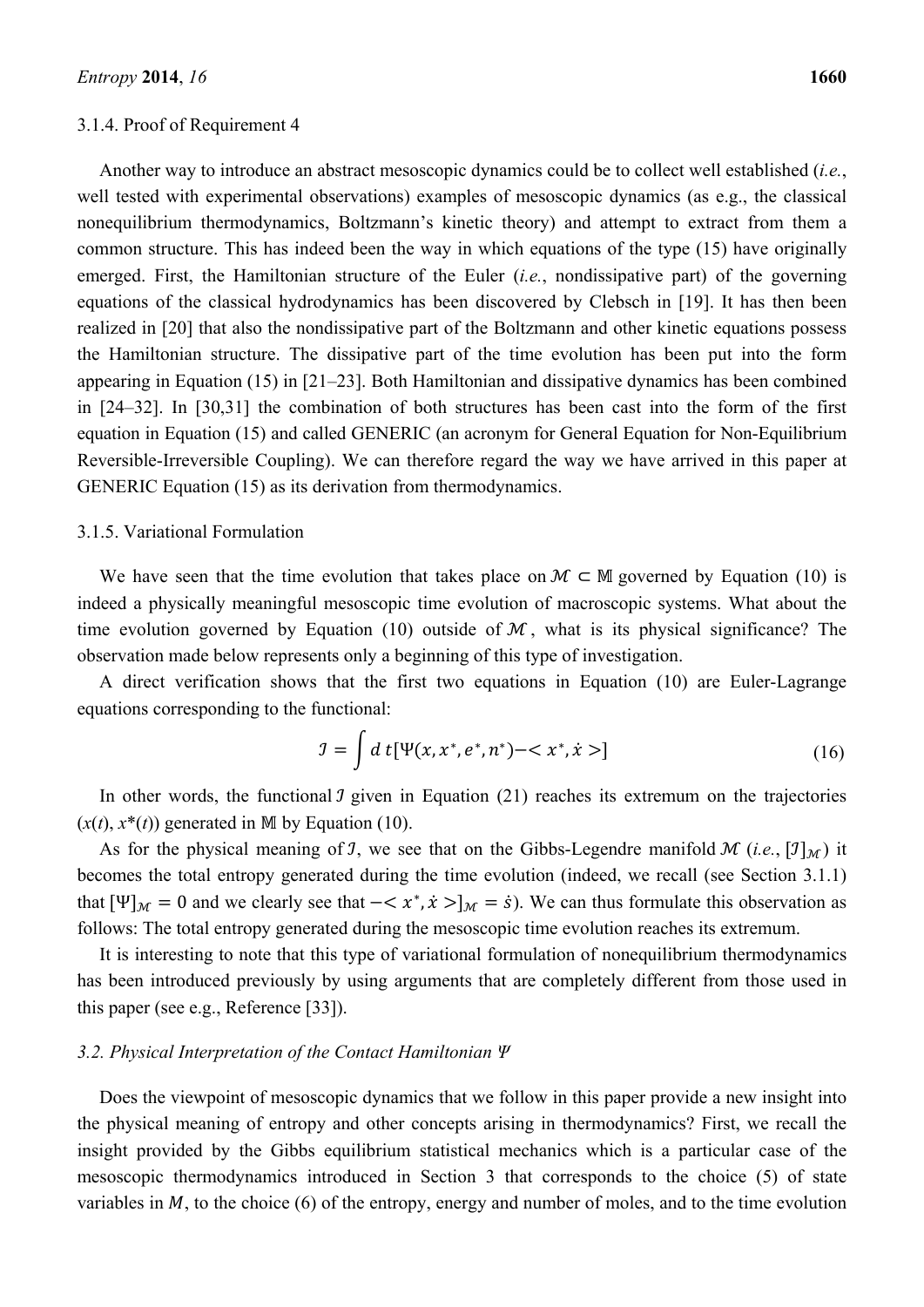Another way to introduce an abstract mesoscopic dynamics could be to collect well established (*i.e.*, well tested with experimental observations) examples of mesoscopic dynamics (as e.g., the classical nonequilibrium thermodynamics, Boltzmann's kinetic theory) and attempt to extract from them a common structure. This has indeed been the way in which equations of the type (15) have originally emerged. First, the Hamiltonian structure of the Euler (*i.e.*, nondissipative part) of the governing equations of the classical hydrodynamics has been discovered by Clebsch in [19]. It has then been realized in [20] that also the nondissipative part of the Boltzmann and other kinetic equations possess the Hamiltonian structure. The dissipative part of the time evolution has been put into the form appearing in Equation (15) in [21–23]. Both Hamiltonian and dissipative dynamics has been combined in [24–32]. In [30,31] the combination of both structures has been cast into the form of the first equation in Equation (15) and called GENERIC (an acronym for General Equation for Non-Equilibrium Reversible-Irreversible Coupling). We can therefore regard the way we have arrived in this paper at GENERIC Equation (15) as its derivation from thermodynamics.

#### 3.1.5. Variational Formulation

We have seen that the time evolution that takes place on  $\mathcal{M} \subset \mathbb{M}$  governed by Equation (10) is indeed a physically meaningful mesoscopic time evolution of macroscopic systems. What about the time evolution governed by Equation (10) outside of  $M$ , what is its physical significance? The observation made below represents only a beginning of this type of investigation.

A direct verification shows that the first two equations in Equation (10) are Euler-Lagrange equations corresponding to the functional:

$$
J = \int d\,t \left[ \Psi(x, x^*, e^*, n^*) - \langle x^*, \dot{x} \rangle \right] \tag{16}
$$

In other words, the functional  $\mathcal I$  given in Equation (21) reaches its extremum on the trajectories  $(x(t), x^*(t))$  generated in M by Equation (10).

As for the physical meaning of *J*, we see that on the Gibbs-Legendre manifold  $\mathcal{M}$  (i.e.,  $[\mathcal{I}]_{\mathcal{M}}$ ) it becomes the total entropy generated during the time evolution (indeed, we recall (see Section 3.1.1) that  $[\Psi]_{\mathcal{M}} = 0$  and we clearly see that  $-\langle x^*, \dot{x} \rangle_{\mathcal{M}} = \dot{s}$ ). We can thus formulate this observation as follows: The total entropy generated during the mesoscopic time evolution reaches its extremum.

It is interesting to note that this type of variational formulation of nonequilibrium thermodynamics has been introduced previously by using arguments that are completely different from those used in this paper (see e.g., Reference [33]).

# *3.2. Physical Interpretation of the Contact Hamiltonian Ψ*

Does the viewpoint of mesoscopic dynamics that we follow in this paper provide a new insight into the physical meaning of entropy and other concepts arising in thermodynamics? First, we recall the insight provided by the Gibbs equilibrium statistical mechanics which is a particular case of the mesoscopic thermodynamics introduced in Section 3 that corresponds to the choice (5) of state variables in  $M$ , to the choice (6) of the entropy, energy and number of moles, and to the time evolution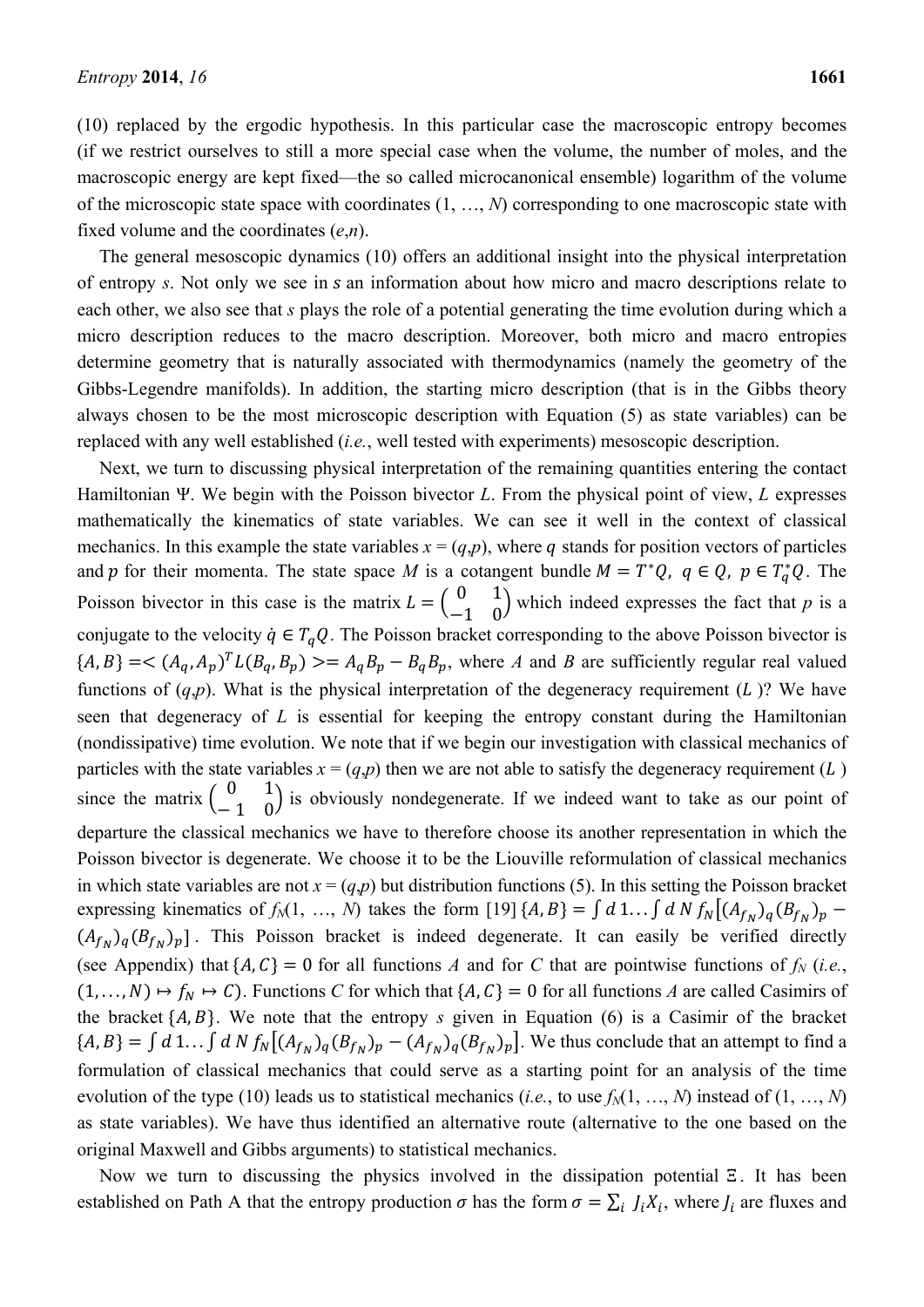fixed volume and the coordinates (*e*,*n*).

(10) replaced by the ergodic hypothesis. In this particular case the macroscopic entropy becomes (if we restrict ourselves to still a more special case when the volume, the number of moles, and the macroscopic energy are kept fixed—the so called microcanonical ensemble) logarithm of the volume of the microscopic state space with coordinates (1, …, *N*) corresponding to one macroscopic state with

The general mesoscopic dynamics (10) offers an additional insight into the physical interpretation of entropy *s*. Not only we see in *s* an information about how micro and macro descriptions relate to each other, we also see that *s* plays the role of a potential generating the time evolution during which a micro description reduces to the macro description. Moreover, both micro and macro entropies determine geometry that is naturally associated with thermodynamics (namely the geometry of the Gibbs-Legendre manifolds). In addition, the starting micro description (that is in the Gibbs theory always chosen to be the most microscopic description with Equation (5) as state variables) can be replaced with any well established (*i.e.*, well tested with experiments) mesoscopic description.

Next, we turn to discussing physical interpretation of the remaining quantities entering the contact Hamiltonian Ψ. We begin with the Poisson bivector *L*. From the physical point of view, *L* expresses mathematically the kinematics of state variables. We can see it well in the context of classical mechanics. In this example the state variables  $x = (q, p)$ , where q stands for position vectors of particles and p for their momenta. The state space M is a cotangent bundle  $M = T^*Q$ ,  $q \in Q$ ,  $p \in T_q^*Q$ . The Poisson bivector in this case is the matrix  $L = \begin{pmatrix} 0 & 1 \\ -1 & 0 \end{pmatrix}$  which indeed expresses the fact that *p* is a conjugate to the velocity  $\dot{q} \in T_a Q$ . The Poisson bracket corresponding to the above Poisson bivector is  ${A, B}$  = <  ${(A_a, A_p)^T L(B_a, B_p)}$  > =  $A_a B_p - B_q B_p$ , where *A* and *B* are sufficiently regular real valued functions of  $(q,p)$ . What is the physical interpretation of the degeneracy requirement  $(L)$ ? We have seen that degeneracy of *L* is essential for keeping the entropy constant during the Hamiltonian (nondissipative) time evolution. We note that if we begin our investigation with classical mechanics of particles with the state variables  $x = (q, p)$  then we are not able to satisfy the degeneracy requirement ( $L$ ) since the matrix  $\begin{pmatrix} 0 & 1 \\ -1 & 0 \end{pmatrix}$  is obviously nondegenerate. If we indeed want to take as our point of departure the classical mechanics we have to therefore choose its another representation in which the Poisson bivector is degenerate. We choose it to be the Liouville reformulation of classical mechanics in which state variables are not  $x = (q, p)$  but distribution functions (5). In this setting the Poisson bracket expressing kinematics of  $f_N(1, ..., N)$  takes the form [19]  $\{A, B\} = \int d1... \int dN f_N \left[ (A_{f_N})_q (B_{f_N})_p - (A_{f_N})_q (B_{f_N})_q \right]$  $(A_{f_N})_q (B_{f_N})_p$ ]. This Poisson bracket is indeed degenerate. It can easily be verified directly (see Appendix) that  $\{A, C\} = 0$  for all functions *A* and for *C* that are pointwise functions of  $f_N$  (*i.e.*,  $(1, ..., N) \mapsto f_N \mapsto C$ ). Functions *C* for which that  $\{A, C\} = 0$  for all functions *A* are called Casimirs of the bracket  $\{A, B\}$ . We note that the entropy *s* given in Equation (6) is a Casimir of the bracket  ${A, B} = \int d 1... \int d N f_N [(A_{f_N})_q (B_{f_N})_p - (A_{f_N})_q (B_{f_N})_p].$  We thus conclude that an attempt to find a formulation of classical mechanics that could serve as a starting point for an analysis of the time evolution of the type (10) leads us to statistical mechanics (*i.e.*, to use  $f<sub>M</sub>(1, ..., M)$  instead of  $(1, ..., M)$ as state variables). We have thus identified an alternative route (alternative to the one based on the original Maxwell and Gibbs arguments) to statistical mechanics.

Now we turn to discussing the physics involved in the dissipation potential Ξ . It has been established on Path A that the entropy production  $\sigma$  has the form  $\sigma = \sum_i J_i X_i$ , where  $J_i$  are fluxes and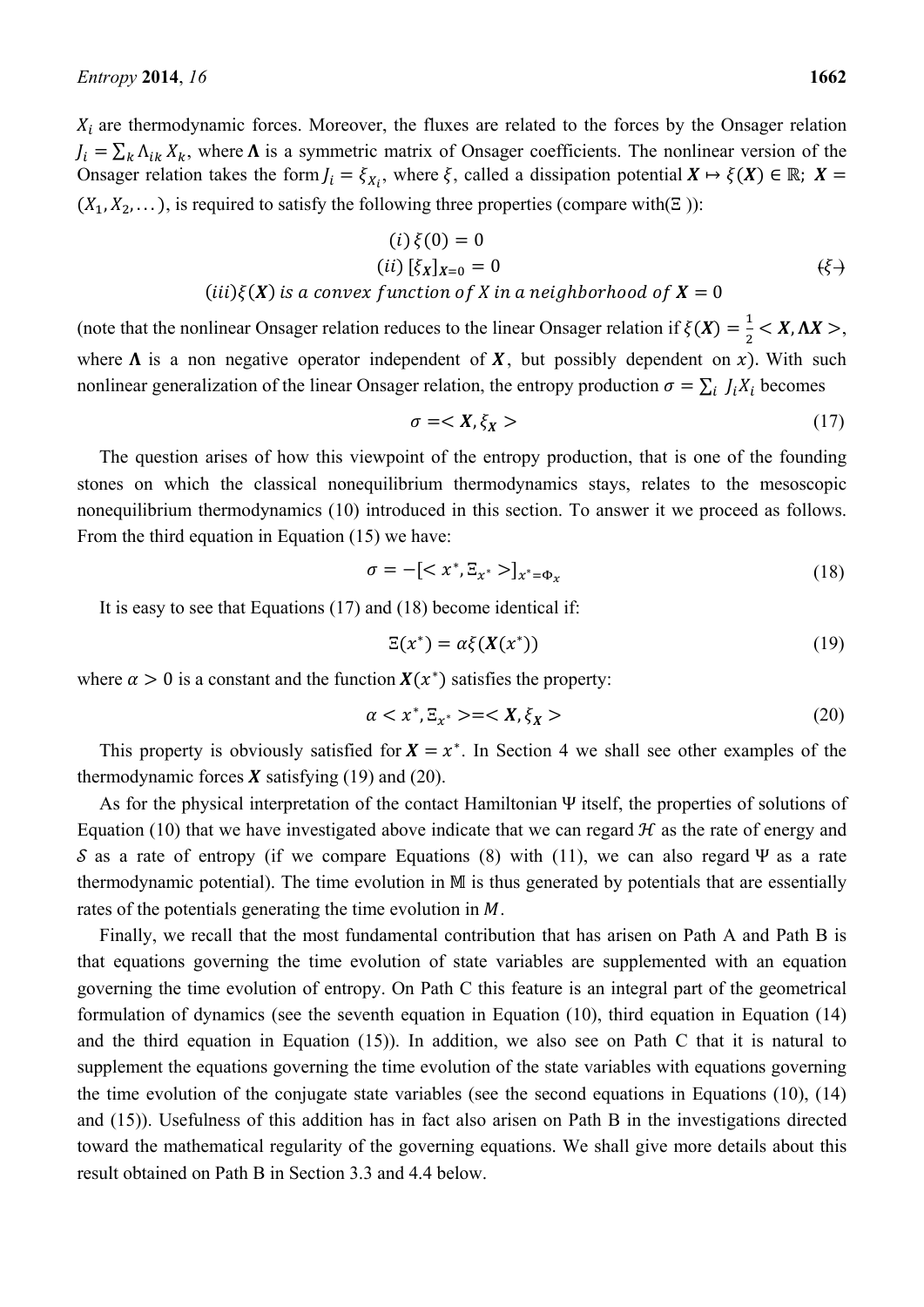$X_i$  are thermodynamic forces. Moreover, the fluxes are related to the forces by the Onsager relation  $J_i = \sum_k \Lambda_{ik} X_k$ , where  $\Lambda$  is a symmetric matrix of Onsager coefficients. The nonlinear version of the Onsager relation takes the form  $J_i = \xi_{X_i}$ , where  $\xi$ , called a dissipation potential  $X \mapsto \xi(X) \in \mathbb{R}$ ;  $X =$  $(X_1, X_2, \dots)$ , is required to satisfy the following three properties (compare with(Ξ)):

$$
(i) \xi(0) = 0(ii) [\xi_X]_{X=0} = 0
$$
 (6)

### $(iii)\xi(X)$  is a convex function of X in a neighborhood of  $X=0$

(note that the nonlinear Onsager relation reduces to the linear Onsager relation if  $\xi(X) = \frac{1}{2} < X, \Delta X >$ , where  $\Lambda$  is a non negative operator independent of  $X$ , but possibly dependent on x). With such nonlinear generalization of the linear Onsager relation, the entropy production  $\sigma = \sum_i J_i X_i$  becomes

$$
\sigma = \langle X, \xi_X \rangle \tag{17}
$$

The question arises of how this viewpoint of the entropy production, that is one of the founding stones on which the classical nonequilibrium thermodynamics stays, relates to the mesoscopic nonequilibrium thermodynamics (10) introduced in this section. To answer it we proceed as follows. From the third equation in Equation (15) we have:

$$
\sigma = -[\langle x^*, \Xi_{x^*} \rangle]_{x^* = \Phi_x} \tag{18}
$$

It is easy to see that Equations (17) and (18) become identical if:

$$
\Xi(x^*) = \alpha \xi(X(x^*))\tag{19}
$$

where  $\alpha > 0$  is a constant and the function  $X(x^*)$  satisfies the property:

$$
\alpha < x^*, \Xi_{x^*} > = < X, \xi_X > \tag{20}
$$

This property is obviously satisfied for  $X = x^*$ . In Section 4 we shall see other examples of the thermodynamic forces  $\boldsymbol{X}$  satisfying (19) and (20).

As for the physical interpretation of the contact Hamiltonian Ψ itself, the properties of solutions of Equation (10) that we have investigated above indicate that we can regard  $H$  as the rate of energy and S as a rate of entropy (if we compare Equations (8) with (11), we can also regard Ψ as a rate thermodynamic potential). The time evolution in  $M$  is thus generated by potentials that are essentially rates of the potentials generating the time evolution in M.

Finally, we recall that the most fundamental contribution that has arisen on Path A and Path B is that equations governing the time evolution of state variables are supplemented with an equation governing the time evolution of entropy. On Path C this feature is an integral part of the geometrical formulation of dynamics (see the seventh equation in Equation (10), third equation in Equation (14) and the third equation in Equation (15)). In addition, we also see on Path C that it is natural to supplement the equations governing the time evolution of the state variables with equations governing the time evolution of the conjugate state variables (see the second equations in Equations (10), (14) and (15)). Usefulness of this addition has in fact also arisen on Path B in the investigations directed toward the mathematical regularity of the governing equations. We shall give more details about this result obtained on Path B in Section 3.3 and 4.4 below.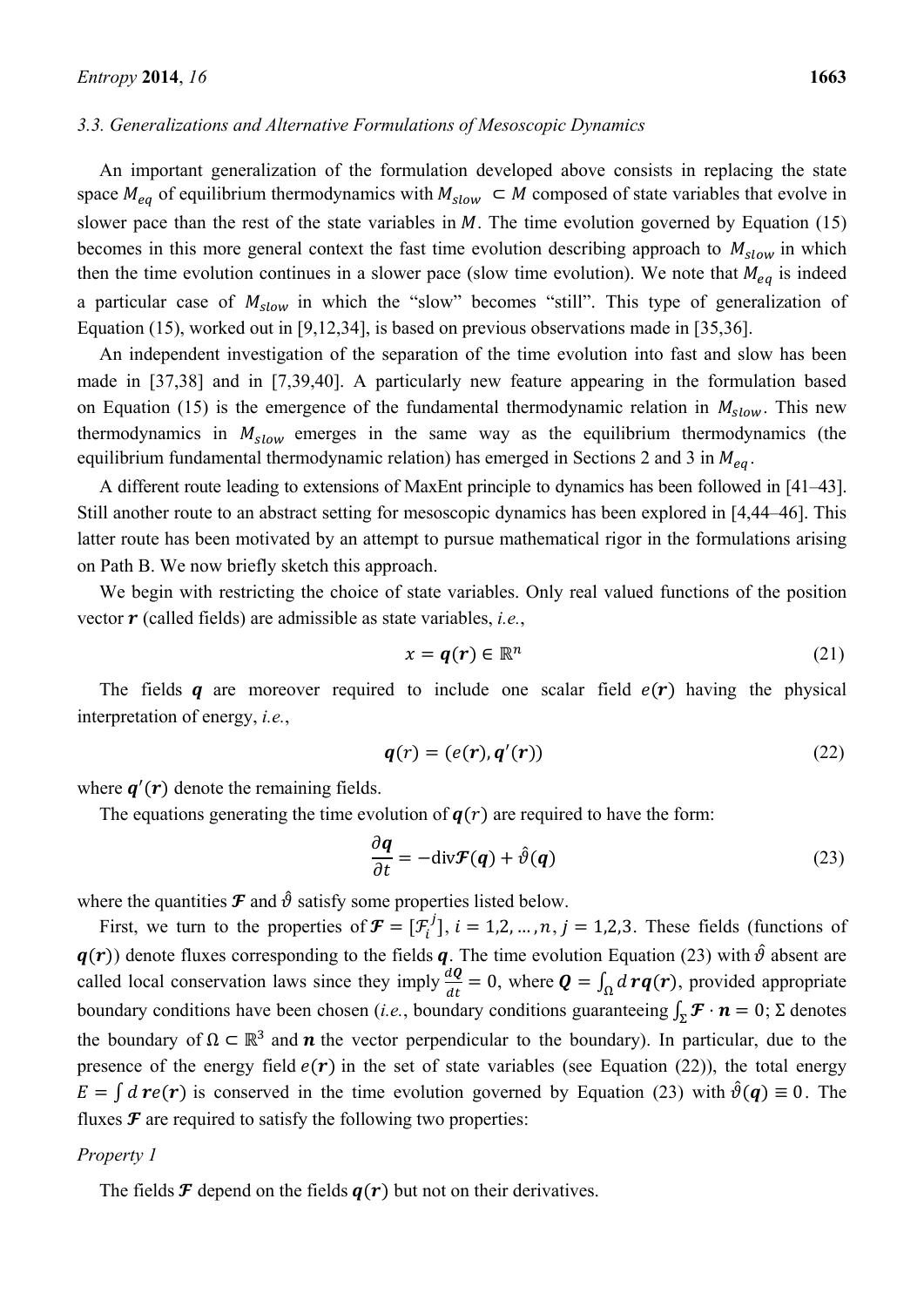#### *3.3. Generalizations and Alternative Formulations of Mesoscopic Dynamics*

An important generalization of the formulation developed above consists in replacing the state space  $M_{ea}$  of equilibrium thermodynamics with  $M_{slow} \subset M$  composed of state variables that evolve in slower pace than the rest of the state variables in  $M$ . The time evolution governed by Equation (15) becomes in this more general context the fast time evolution describing approach to  $M_{slow}$  in which then the time evolution continues in a slower pace (slow time evolution). We note that  $M_{eq}$  is indeed a particular case of  $M_{slow}$  in which the "slow" becomes "still". This type of generalization of Equation (15), worked out in [9,12,34], is based on previous observations made in [35,36].

An independent investigation of the separation of the time evolution into fast and slow has been made in [37,38] and in [7,39,40]. A particularly new feature appearing in the formulation based on Equation (15) is the emergence of the fundamental thermodynamic relation in  $M_{slow}$ . This new thermodynamics in  $M_{slow}$  emerges in the same way as the equilibrium thermodynamics (the equilibrium fundamental thermodynamic relation) has emerged in Sections 2 and 3 in  $M_{ea}$ .

A different route leading to extensions of MaxEnt principle to dynamics has been followed in [41–43]. Still another route to an abstract setting for mesoscopic dynamics has been explored in [4,44–46]. This latter route has been motivated by an attempt to pursue mathematical rigor in the formulations arising on Path B. We now briefly sketch this approach.

We begin with restricting the choice of state variables. Only real valued functions of the position vector **r** (called fields) are admissible as state variables, *i.e.*,

$$
x = q(r) \in \mathbb{R}^n \tag{21}
$$

The fields q are moreover required to include one scalar field  $e(\bf{r})$  having the physical interpretation of energy, *i.e.*,

$$
\boldsymbol{q}(r) = (e(r), \boldsymbol{q}'(r)) \tag{22}
$$

where  $q'(r)$  denote the remaining fields.

The equations generating the time evolution of  $q(r)$  are required to have the form:

$$
\frac{\partial \mathbf{q}}{\partial t} = -\text{div}\mathbf{\mathcal{F}}(\mathbf{q}) + \hat{\vartheta}(\mathbf{q})
$$
 (23)

where the quantities  $\mathcal F$  and  $\hat \vartheta$  satisfy some properties listed below.

First, we turn to the properties of  $\mathcal{F} = [\mathcal{F}_i^j]$ ,  $i = 1, 2, ..., n$ ,  $j = 1, 2, 3$ . These fields (functions of  $q(r)$ ) denote fluxes corresponding to the fields  $q$ . The time evolution Equation (23) with  $\hat{\theta}$  absent are called local conservation laws since they imply  $\frac{d\mathbf{Q}}{dt} = 0$ , where  $\mathbf{Q} = \int_{\Omega} d \mathbf{r} \mathbf{q}(\mathbf{r})$ , provided appropriate boundary conditions have been chosen (*i.e.*, boundary conditions guaranteeing  $\int_{\mathbf{S}} \mathbf{F} \cdot \mathbf{n} = 0$ ;  $\Sigma$  denotes the boundary of  $\Omega \subset \mathbb{R}^3$  and **n** the vector perpendicular to the boundary). In particular, due to the presence of the energy field  $e(\bf{r})$  in the set of state variables (see Equation (22)), the total energy  $E = \int d\mathbf{r} e(\mathbf{r})$  is conserved in the time evolution governed by Equation (23) with  $\hat{\theta}(\mathbf{q}) \equiv 0$ . The fluxes  $\mathcal F$  are required to satisfy the following two properties:

# *Property 1*

The fields  $\mathcal F$  depend on the fields  $q(r)$  but not on their derivatives.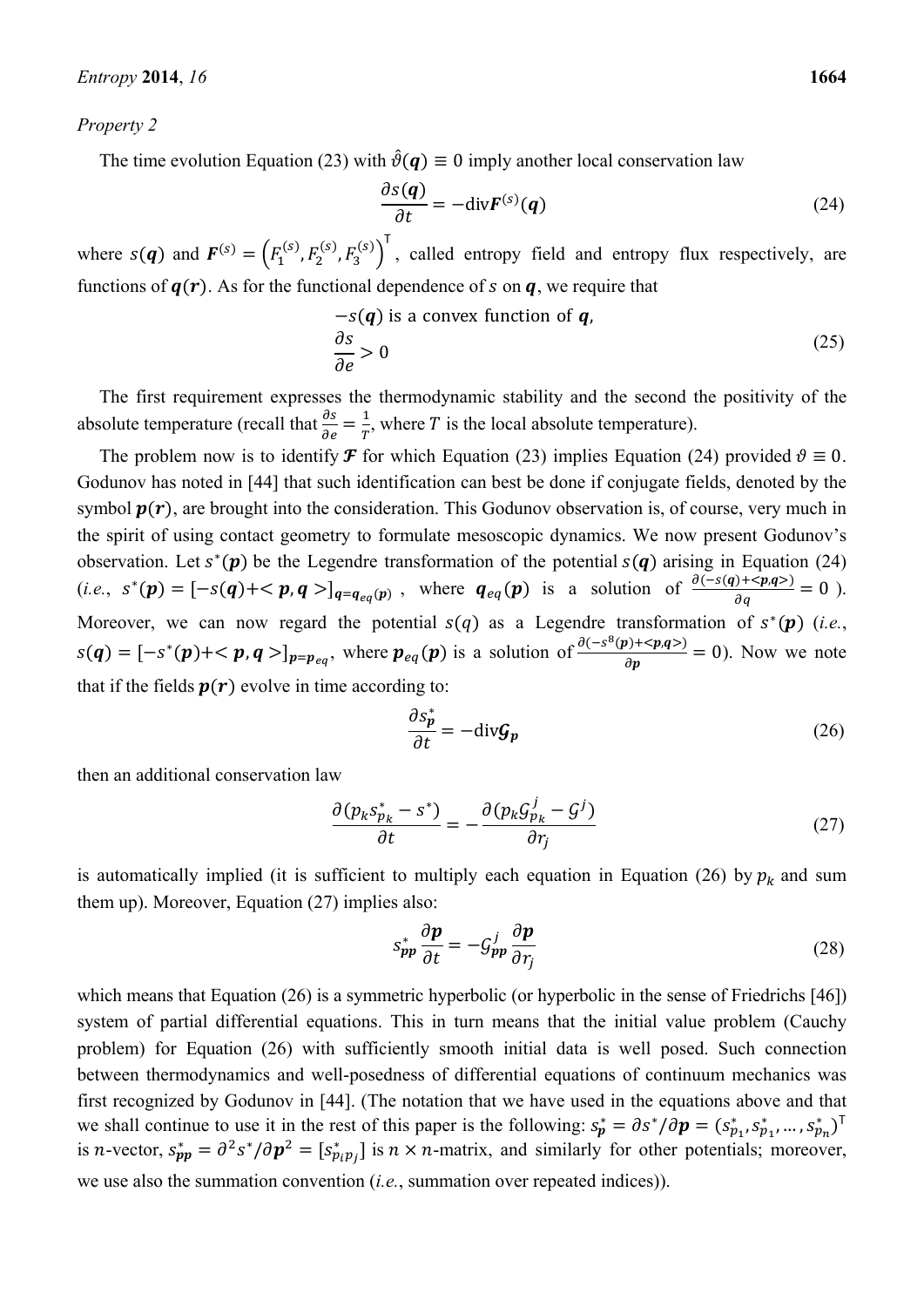#### *Property 2*

The time evolution Equation (23) with  $\hat{\vartheta}(q) \equiv 0$  imply another local conservation law

$$
\frac{\partial s(\boldsymbol{q})}{\partial t} = -\text{div}\boldsymbol{F}^{(s)}(\boldsymbol{q})\tag{24}
$$

where  $s(q)$  and  $F^{(s)} = (F_1^{(s)}, F_2^{(s)}, F_3^{(s)})^T$ , called entropy field and entropy flux respectively, are functions of  $q(r)$ . As for the functional dependence of s on  $q$ , we require that

$$
-s(q) \text{ is a convex function of } q,
$$
  
\n
$$
\frac{\partial s}{\partial e} > 0
$$
\n(25)

The first requirement expresses the thermodynamic stability and the second the positivity of the absolute temperature (recall that  $\frac{\partial s}{\partial e} = \frac{1}{T}$ , where T is the local absolute temperature).

The problem now is to identify **F** for which Equation (23) implies Equation (24) provided  $\vartheta \equiv 0$ . Godunov has noted in [44] that such identification can best be done if conjugate fields, denoted by the symbol  $p(r)$ , are brought into the consideration. This Godunov observation is, of course, very much in the spirit of using contact geometry to formulate mesoscopic dynamics. We now present Godunov's observation. Let  $s<sup>*</sup>(p)$  be the Legendre transformation of the potential  $s(q)$  arising in Equation (24)  $(i.e., s^*(p) = [-s(q)+]_{q=q_{eq}(p)},$  where  $q_{eq}(p)$  is a solution of  $\frac{\partial (-s(q)+)}{\partial q} = 0$ . Moreover, we can now regard the potential  $s(q)$  as a Legendre transformation of  $s^*(p)$  (*i.e.*,  $s(q) = [-s^*(p) + \langle p, q \rangle]_{p=p_{eq}}$ , where  $p_{eq}(p)$  is a solution of  $\frac{\partial (-s^8(p) + \langle p, q \rangle)}{\partial p} = 0$ ). Now we note that if the fields  $p(r)$  evolve in time according to:

$$
\frac{\partial s_p^*}{\partial t} = -\text{div}\mathcal{G}_p \tag{26}
$$

then an additional conservation law

$$
\frac{\partial (p_k s_{p_k}^* - s^*)}{\partial t} = -\frac{\partial (p_k \mathcal{G}_{p_k}^j - \mathcal{G}^j)}{\partial r_j} \tag{27}
$$

is automatically implied (it is sufficient to multiply each equation in Equation (26) by  $p_k$  and sum them up). Moreover, Equation (27) implies also:

$$
s_{\mathbf{p}\mathbf{p}}^* \frac{\partial \mathbf{p}}{\partial t} = -\mathcal{G}_{\mathbf{p}\mathbf{p}}^j \frac{\partial \mathbf{p}}{\partial r_j} \tag{28}
$$

which means that Equation (26) is a symmetric hyperbolic (or hyperbolic in the sense of Friedrichs [46]) system of partial differential equations. This in turn means that the initial value problem (Cauchy problem) for Equation (26) with sufficiently smooth initial data is well posed. Such connection between thermodynamics and well-posedness of differential equations of continuum mechanics was first recognized by Godunov in [44]. (The notation that we have used in the equations above and that we shall continue to use it in the rest of this paper is the following:  $s_p^* = \partial s^* / \partial p = (s_{p_1}^*, s_{p_1}^*, \dots, s_{p_n}^*)^T$ is *n*-vector,  $s_{pp}^* = \frac{\partial^2 s^*}{\partial p^2} = [s_{p_i p_j}^*]$  is  $n \times n$ -matrix, and similarly for other potentials; moreover, we use also the summation convention (*i.e.*, summation over repeated indices)).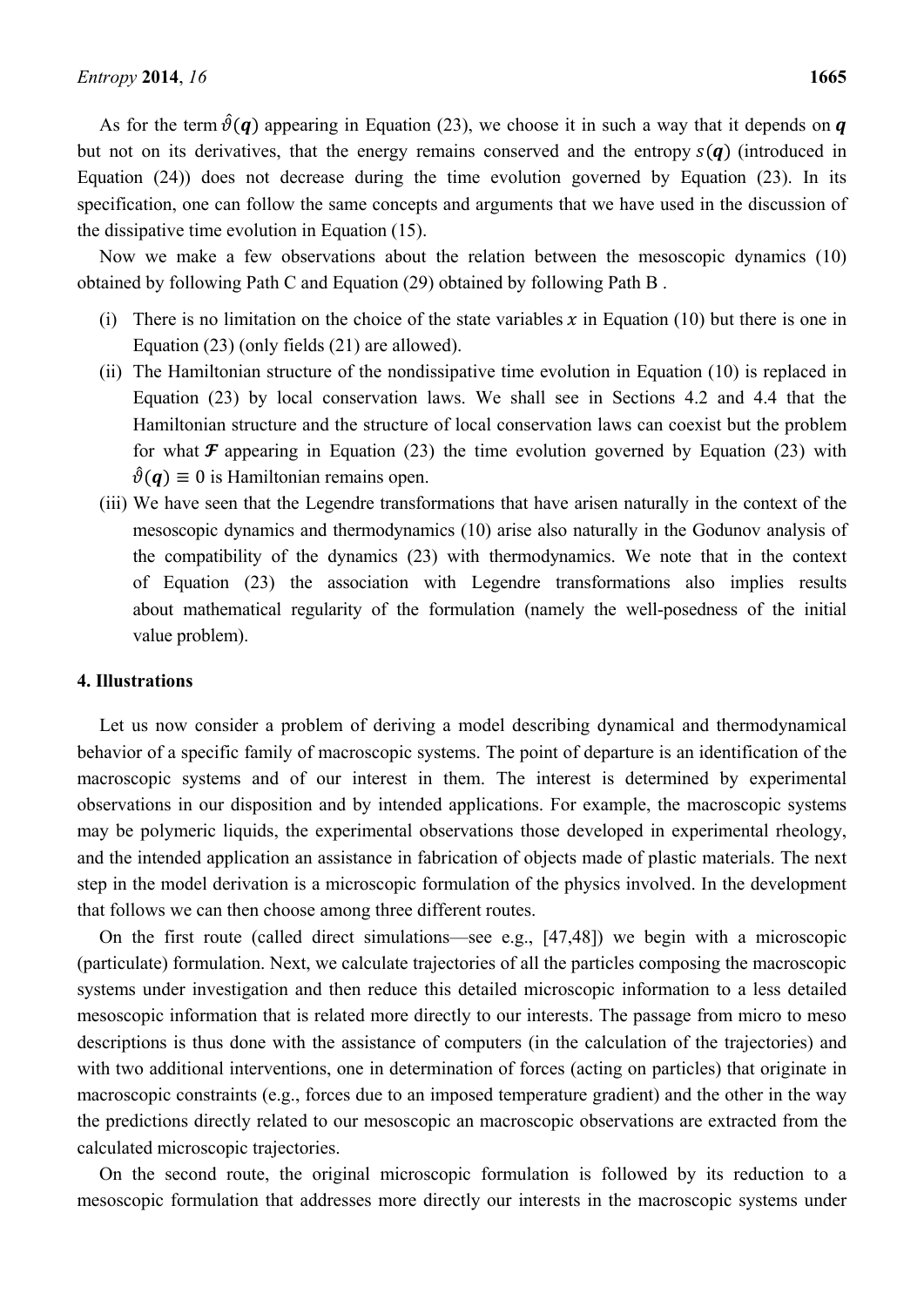As for the term  $\hat{\theta}(\mathbf{q})$  appearing in Equation (23), we choose it in such a way that it depends on  $\mathbf{q}$ but not on its derivatives, that the energy remains conserved and the entropy  $s(q)$  (introduced in Equation (24)) does not decrease during the time evolution governed by Equation (23). In its specification, one can follow the same concepts and arguments that we have used in the discussion of the dissipative time evolution in Equation (15).

Now we make a few observations about the relation between the mesoscopic dynamics (10) obtained by following Path C and Equation (29) obtained by following Path B .

- (i) There is no limitation on the choice of the state variables  $x$  in Equation (10) but there is one in Equation (23) (only fields (21) are allowed).
- (ii) The Hamiltonian structure of the nondissipative time evolution in Equation (10) is replaced in Equation (23) by local conservation laws. We shall see in Sections 4.2 and 4.4 that the Hamiltonian structure and the structure of local conservation laws can coexist but the problem for what  $\mathcal F$  appearing in Equation (23) the time evolution governed by Equation (23) with  $\hat{\vartheta}(\mathbf{q}) \equiv 0$  is Hamiltonian remains open.
- (iii) We have seen that the Legendre transformations that have arisen naturally in the context of the mesoscopic dynamics and thermodynamics (10) arise also naturally in the Godunov analysis of the compatibility of the dynamics (23) with thermodynamics. We note that in the context of Equation (23) the association with Legendre transformations also implies results about mathematical regularity of the formulation (namely the well-posedness of the initial value problem).

### **4. Illustrations**

Let us now consider a problem of deriving a model describing dynamical and thermodynamical behavior of a specific family of macroscopic systems. The point of departure is an identification of the macroscopic systems and of our interest in them. The interest is determined by experimental observations in our disposition and by intended applications. For example, the macroscopic systems may be polymeric liquids, the experimental observations those developed in experimental rheology, and the intended application an assistance in fabrication of objects made of plastic materials. The next step in the model derivation is a microscopic formulation of the physics involved. In the development that follows we can then choose among three different routes.

On the first route (called direct simulations—see e.g., [47,48]) we begin with a microscopic (particulate) formulation. Next, we calculate trajectories of all the particles composing the macroscopic systems under investigation and then reduce this detailed microscopic information to a less detailed mesoscopic information that is related more directly to our interests. The passage from micro to meso descriptions is thus done with the assistance of computers (in the calculation of the trajectories) and with two additional interventions, one in determination of forces (acting on particles) that originate in macroscopic constraints (e.g., forces due to an imposed temperature gradient) and the other in the way the predictions directly related to our mesoscopic an macroscopic observations are extracted from the calculated microscopic trajectories.

On the second route, the original microscopic formulation is followed by its reduction to a mesoscopic formulation that addresses more directly our interests in the macroscopic systems under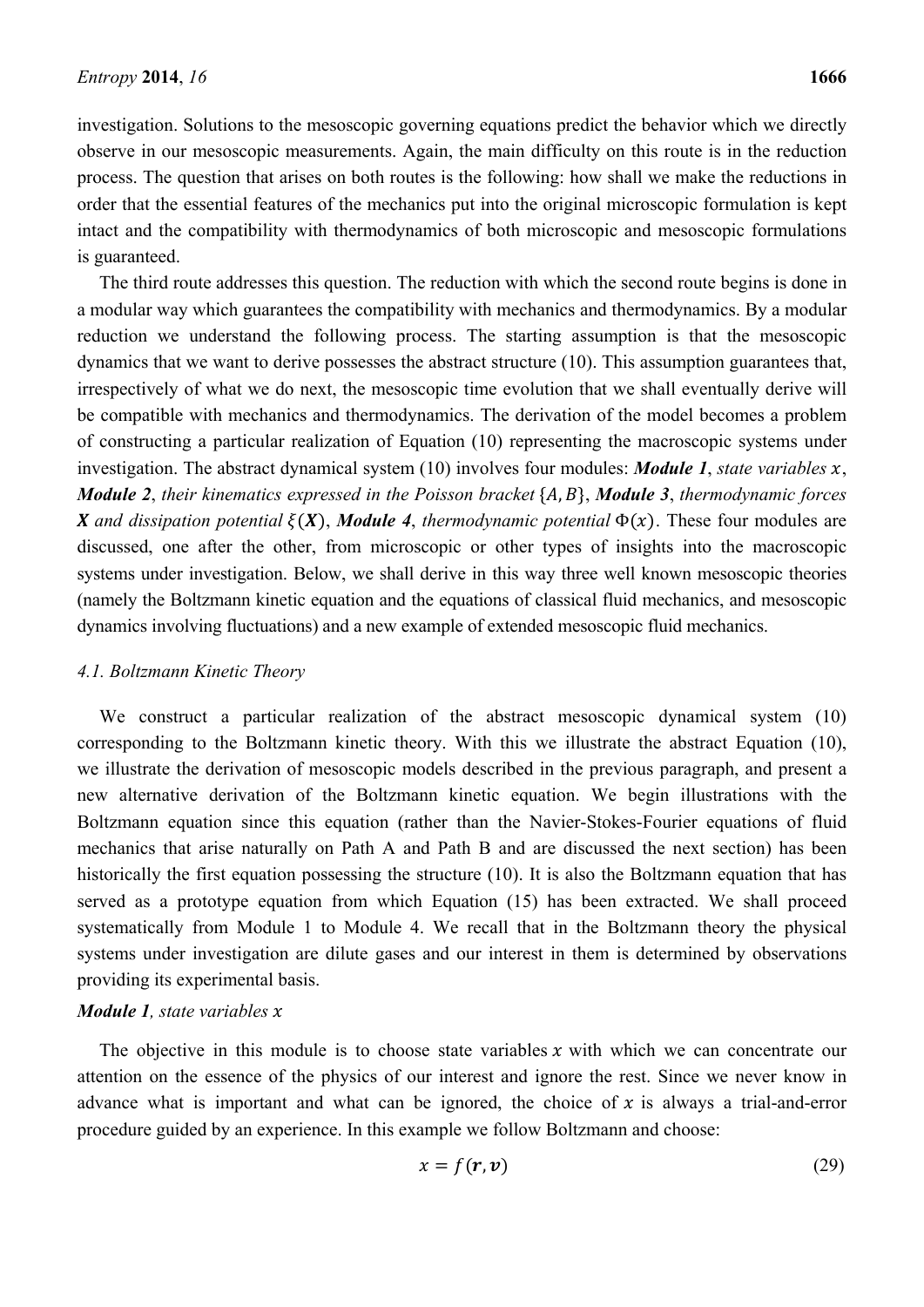investigation. Solutions to the mesoscopic governing equations predict the behavior which we directly observe in our mesoscopic measurements. Again, the main difficulty on this route is in the reduction process. The question that arises on both routes is the following: how shall we make the reductions in order that the essential features of the mechanics put into the original microscopic formulation is kept intact and the compatibility with thermodynamics of both microscopic and mesoscopic formulations is guaranteed.

The third route addresses this question. The reduction with which the second route begins is done in a modular way which guarantees the compatibility with mechanics and thermodynamics. By a modular reduction we understand the following process. The starting assumption is that the mesoscopic dynamics that we want to derive possesses the abstract structure (10). This assumption guarantees that, irrespectively of what we do next, the mesoscopic time evolution that we shall eventually derive will be compatible with mechanics and thermodynamics. The derivation of the model becomes a problem of constructing a particular realization of Equation (10) representing the macroscopic systems under investigation. The abstract dynamical system  $(10)$  involves four modules: *Module 1*, *state variables*  $x$ , *Module 2, their kinematics expressed in the Poisson bracket* {A, B}, *Module 3, thermodynamic forces X* and dissipation potential  $\xi(X)$ , *Module 4*, thermodynamic potential  $\Phi(x)$ . These four modules are discussed, one after the other, from microscopic or other types of insights into the macroscopic systems under investigation. Below, we shall derive in this way three well known mesoscopic theories (namely the Boltzmann kinetic equation and the equations of classical fluid mechanics, and mesoscopic dynamics involving fluctuations) and a new example of extended mesoscopic fluid mechanics.

### *4.1. Boltzmann Kinetic Theory*

We construct a particular realization of the abstract mesoscopic dynamical system (10) corresponding to the Boltzmann kinetic theory. With this we illustrate the abstract Equation (10), we illustrate the derivation of mesoscopic models described in the previous paragraph, and present a new alternative derivation of the Boltzmann kinetic equation. We begin illustrations with the Boltzmann equation since this equation (rather than the Navier-Stokes-Fourier equations of fluid mechanics that arise naturally on Path A and Path B and are discussed the next section) has been historically the first equation possessing the structure (10). It is also the Boltzmann equation that has served as a prototype equation from which Equation (15) has been extracted. We shall proceed systematically from Module 1 to Module 4. We recall that in the Boltzmann theory the physical systems under investigation are dilute gases and our interest in them is determined by observations providing its experimental basis.

# *Module 1, state variables* x

The objective in this module is to choose state variables  $x$  with which we can concentrate our attention on the essence of the physics of our interest and ignore the rest. Since we never know in advance what is important and what can be ignored, the choice of  $x$  is always a trial-and-error procedure guided by an experience. In this example we follow Boltzmann and choose:

$$
x = f(r, v) \tag{29}
$$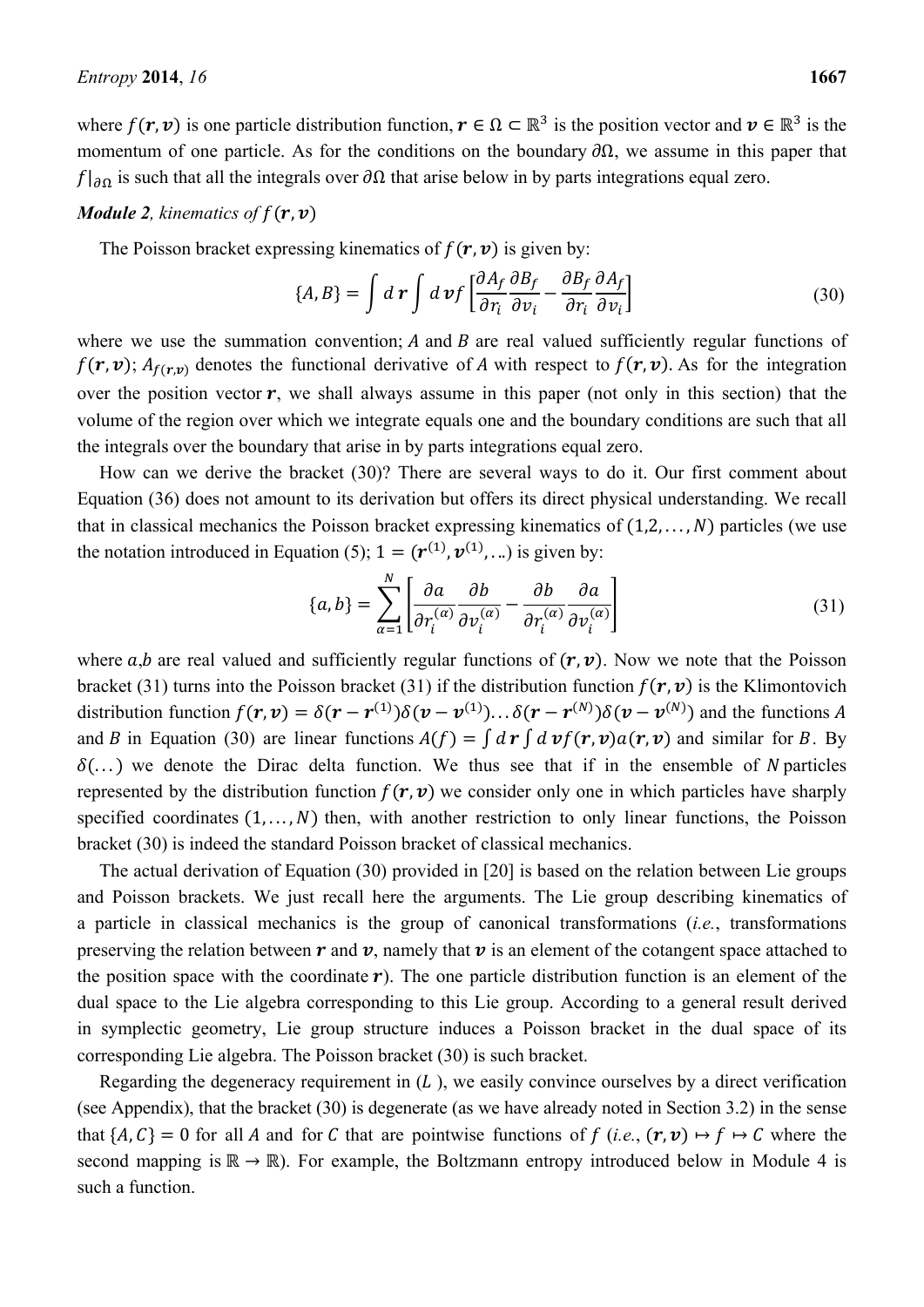where  $f(r, v)$  is one particle distribution function,  $r \in \Omega \subset \mathbb{R}^3$  is the position vector and  $v \in \mathbb{R}^3$  is the momentum of one particle. As for the conditions on the boundary  $\partial\Omega$ , we assume in this paper that  $f|_{\partial\Omega}$  is such that all the integrals over  $\partial\Omega$  that arise below in by parts integrations equal zero.

# *Module 2, kinematics of*  $f(\mathbf{r}, \mathbf{v})$

The Poisson bracket expressing kinematics of  $f(\mathbf{r}, \mathbf{v})$  is given by:

$$
\{A, B\} = \int d\mathbf{r} \int d\mathbf{v} f \left[ \frac{\partial A_f}{\partial r_i} \frac{\partial B_f}{\partial v_i} - \frac{\partial B_f}{\partial r_i} \frac{\partial A_f}{\partial v_i} \right]
$$
(30)

where we use the summation convention;  $A$  and  $B$  are real valued sufficiently regular functions of  $f(\mathbf{r}, \mathbf{v})$ ;  $A_{f(\mathbf{r}, \mathbf{v})}$  denotes the functional derivative of A with respect to  $f(\mathbf{r}, \mathbf{v})$ . As for the integration over the position vector  $r$ , we shall always assume in this paper (not only in this section) that the volume of the region over which we integrate equals one and the boundary conditions are such that all the integrals over the boundary that arise in by parts integrations equal zero.

How can we derive the bracket (30)? There are several ways to do it. Our first comment about Equation (36) does not amount to its derivation but offers its direct physical understanding. We recall that in classical mechanics the Poisson bracket expressing kinematics of  $(1,2,..., N)$  particles (we use the notation introduced in Equation (5);  $1 = (r^{(1)}, v^{(1)}, ...)$  is given by:

$$
\{a, b\} = \sum_{\alpha=1}^{N} \left[ \frac{\partial a}{\partial r_i^{(\alpha)}} \frac{\partial b}{\partial v_i^{(\alpha)}} - \frac{\partial b}{\partial r_i^{(\alpha)}} \frac{\partial a}{\partial v_i^{(\alpha)}} \right]
$$
(31)

where  $a$ , $b$  are real valued and sufficiently regular functions of  $(r, v)$ . Now we note that the Poisson bracket (31) turns into the Poisson bracket (31) if the distribution function  $f(r, v)$  is the Klimontovich distribution function  $f(\mathbf{r}, \mathbf{v}) = \delta(\mathbf{r} - \mathbf{r}^{(1)})\delta(\mathbf{v} - \mathbf{v}^{(1)})\ldots\delta(\mathbf{r} - \mathbf{r}^{(N)})\delta(\mathbf{v} - \mathbf{v}^{(N)})$  and the functions A and B in Equation (30) are linear functions  $A(f) = \int d\mathbf{r} \int d\mathbf{v} f(\mathbf{r}, \mathbf{v}) a(\mathbf{r}, \mathbf{v})$  and similar for B. By  $\delta$ (...) we denote the Dirac delta function. We thus see that if in the ensemble of N particles represented by the distribution function  $f(r, v)$  we consider only one in which particles have sharply specified coordinates  $(1, \ldots, N)$  then, with another restriction to only linear functions, the Poisson bracket (30) is indeed the standard Poisson bracket of classical mechanics.

The actual derivation of Equation (30) provided in [20] is based on the relation between Lie groups and Poisson brackets. We just recall here the arguments. The Lie group describing kinematics of a particle in classical mechanics is the group of canonical transformations (*i.e.*, transformations preserving the relation between  $\bm{r}$  and  $\bm{v}$ , namely that  $\bm{v}$  is an element of the cotangent space attached to the position space with the coordinate  $\boldsymbol{r}$ ). The one particle distribution function is an element of the dual space to the Lie algebra corresponding to this Lie group. According to a general result derived in symplectic geometry, Lie group structure induces a Poisson bracket in the dual space of its corresponding Lie algebra. The Poisson bracket (30) is such bracket.

Regarding the degeneracy requirement in  $(L)$ , we easily convince ourselves by a direct verification (see Appendix), that the bracket (30) is degenerate (as we have already noted in Section 3.2) in the sense that  $\{A, C\} = 0$  for all A and for C that are pointwise functions of f (*i.e.*,  $(\mathbf{r}, \mathbf{v}) \mapsto f \mapsto C$  where the second mapping is  $\mathbb{R} \to \mathbb{R}$ ). For example, the Boltzmann entropy introduced below in Module 4 is such a function.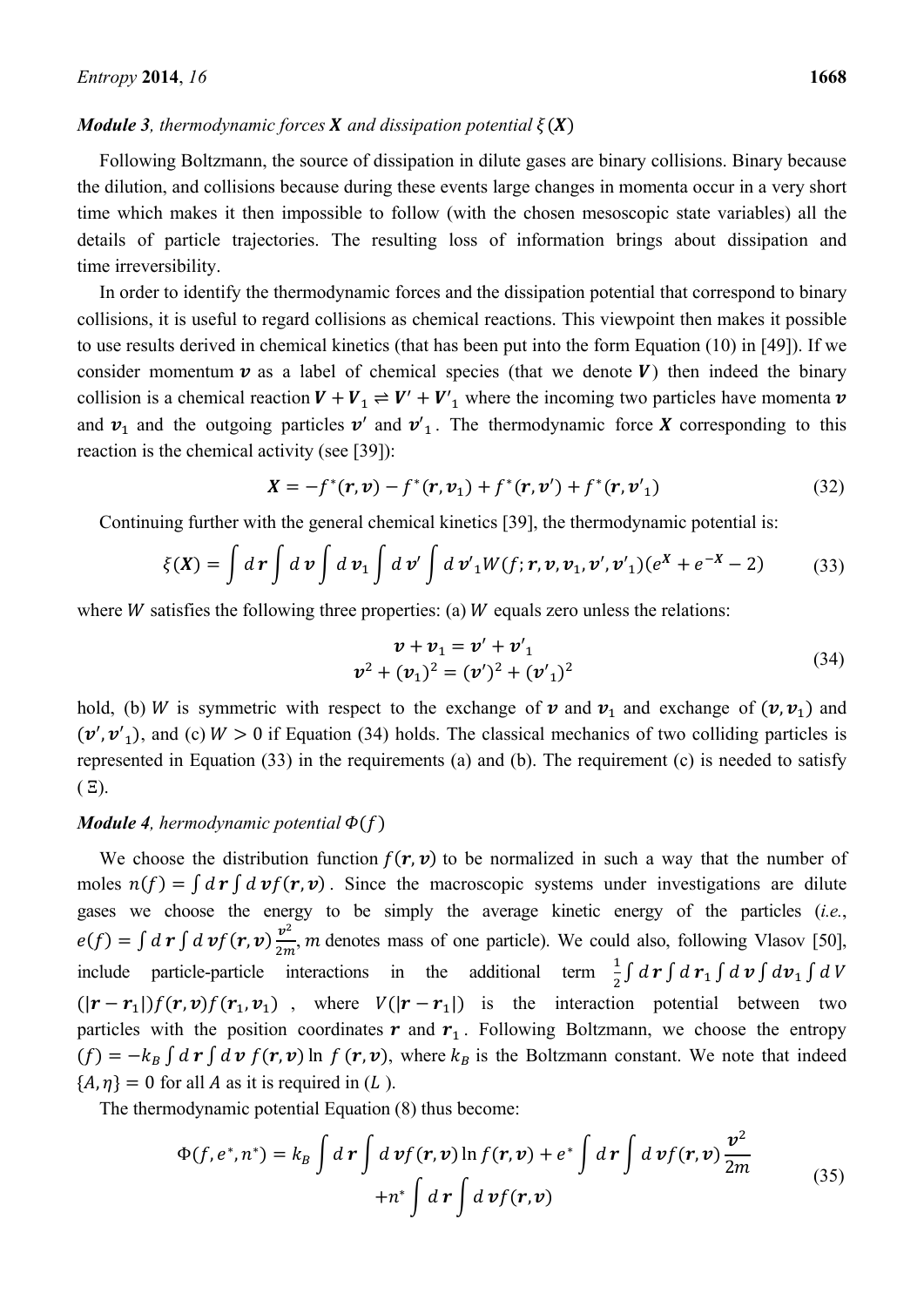### *Module 3, thermodynamic forces X and dissipation potential*  $\xi(X)$

Following Boltzmann, the source of dissipation in dilute gases are binary collisions. Binary because the dilution, and collisions because during these events large changes in momenta occur in a very short time which makes it then impossible to follow (with the chosen mesoscopic state variables) all the details of particle trajectories. The resulting loss of information brings about dissipation and time irreversibility.

In order to identify the thermodynamic forces and the dissipation potential that correspond to binary collisions, it is useful to regard collisions as chemical reactions. This viewpoint then makes it possible to use results derived in chemical kinetics (that has been put into the form Equation (10) in [49]). If we consider momentum  $v$  as a label of chemical species (that we denote  $V$ ) then indeed the binary collision is a chemical reaction  $V + V_1 \rightleftharpoons V' + V'_1$  where the incoming two particles have momenta  $v$ and  $v_1$  and the outgoing particles  $v'$  and  $v'_1$ . The thermodynamic force X corresponding to this reaction is the chemical activity (see [39]):

$$
X = -f^*(r, v) - f^*(r, v_1) + f^*(r, v') + f^*(r, v'_1)
$$
\n(32)

Continuing further with the general chemical kinetics [39], the thermodynamic potential is:

$$
\xi(\mathbf{X}) = \int d\mathbf{r} \int d\mathbf{v} \int d\mathbf{v}_1 \int d\mathbf{v}' \int d\mathbf{v}'_1 W(f; \mathbf{r}, \mathbf{v}, \mathbf{v}_1, \mathbf{v}', \mathbf{v}'_1) (e^{\mathbf{X}} + e^{-\mathbf{X}} - 2) \tag{33}
$$

where  $W$  satisfies the following three properties: (a)  $W$  equals zero unless the relations:

$$
\mathbf{v} + \mathbf{v}_1 = \mathbf{v}' + \mathbf{v}'_1
$$
  

$$
\mathbf{v}^2 + (\mathbf{v}_1)^2 = (\mathbf{v}')^2 + (\mathbf{v}'_1)^2
$$
 (34)

hold, (b) W is symmetric with respect to the exchange of  $v$  and  $v_1$  and exchange of  $(v, v_1)$  and  $(\mathbf{v}', \mathbf{v}')$ , and (c)  $W > 0$  if Equation (34) holds. The classical mechanics of two colliding particles is represented in Equation (33) in the requirements (a) and (b). The requirement (c) is needed to satisfy  $(E)$ .

# *Module 4, hermodynamic potential*  $\Phi(f)$

We choose the distribution function  $f(r, v)$  to be normalized in such a way that the number of moles  $n(f) = \int d\mathbf{r} \int d\mathbf{v} f(\mathbf{r}, \mathbf{v})$ . Since the macroscopic systems under investigations are dilute gases we choose the energy to be simply the average kinetic energy of the particles (*i.e.*,  $e(f) = \int d\mathbf{r} \int d\mathbf{v} f(\mathbf{r}, \mathbf{v}) \frac{v^2}{2m}$ , *m* denotes mass of one particle). We could also, following Vlasov [50], include particle-particle interactions in the additional term  $\frac{1}{2} \int d\mathbf{r} \int d\mathbf{r} \int d\mathbf{v} \int d\mathbf{v} \int dV$  $(|r - r_1|) f(r, v) f(r_1, v_1)$ , where  $V(|r - r_1|)$  is the interaction potential between two particles with the position coordinates  $\boldsymbol{r}$  and  $\boldsymbol{r}_1$ . Following Boltzmann, we choose the entropy  $(f) = -k_B \int d\mathbf{r} \int d\mathbf{v} f(\mathbf{r}, \mathbf{v}) \ln f(\mathbf{r}, \mathbf{v})$ , where  $k_B$  is the Boltzmann constant. We note that indeed  ${A, \eta} = 0$  for all A as it is required in (L).

The thermodynamic potential Equation (8) thus become:

$$
\Phi(f, e^*, n^*) = k_B \int d\mathbf{r} \int d\mathbf{v} f(\mathbf{r}, \mathbf{v}) \ln f(\mathbf{r}, \mathbf{v}) + e^* \int d\mathbf{r} \int d\mathbf{v} f(\mathbf{r}, \mathbf{v}) \frac{\mathbf{v}^2}{2m} + n^* \int d\mathbf{r} \int d\mathbf{v} f(\mathbf{r}, \mathbf{v})
$$
\n(35)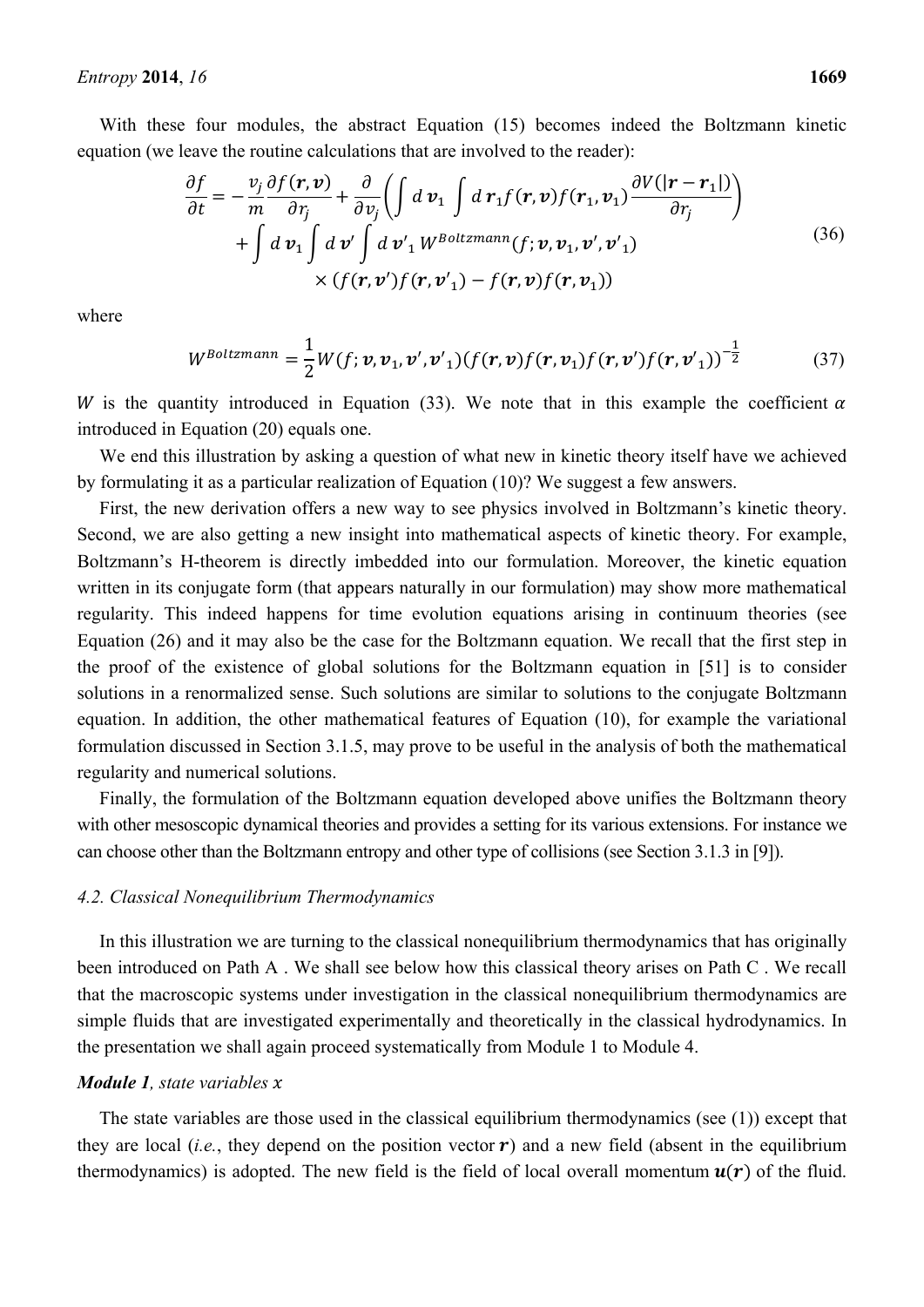With these four modules, the abstract Equation (15) becomes indeed the Boltzmann kinetic equation (we leave the routine calculations that are involved to the reader):

$$
\frac{\partial f}{\partial t} = -\frac{v_j}{m} \frac{\partial f(\mathbf{r}, \mathbf{v})}{\partial r_j} + \frac{\partial}{\partial v_j} \left( \int d \mathbf{v}_1 \int d \mathbf{r}_1 f(\mathbf{r}, \mathbf{v}) f(\mathbf{r}_1, \mathbf{v}_1) \frac{\partial V(|\mathbf{r} - \mathbf{r}_1|)}{\partial r_j} \right) + \int d \mathbf{v}_1 \int d \mathbf{v}' \int d \mathbf{v}'_1 W^{Boltzmann}(f; \mathbf{v}, \mathbf{v}_1, \mathbf{v}', \mathbf{v}'_1) \times (f(\mathbf{r}, \mathbf{v}') f(\mathbf{r}, \mathbf{v}'_1) - f(\mathbf{r}, \mathbf{v}) f(\mathbf{r}, \mathbf{v}_1))
$$
\n(36)

where

$$
W^{Boltzmann} = \frac{1}{2} W(f; \boldsymbol{v}, \boldsymbol{v}_1, \boldsymbol{v}', \boldsymbol{v}'_1) (f(\boldsymbol{r}, \boldsymbol{v}) f(\boldsymbol{r}, \boldsymbol{v}_1) f(\boldsymbol{r}, \boldsymbol{v}') f(\boldsymbol{r}, \boldsymbol{v}'_1))^{-\frac{1}{2}}
$$
(37)

W is the quantity introduced in Equation (33). We note that in this example the coefficient  $\alpha$ introduced in Equation (20) equals one.

We end this illustration by asking a question of what new in kinetic theory itself have we achieved by formulating it as a particular realization of Equation (10)? We suggest a few answers.

First, the new derivation offers a new way to see physics involved in Boltzmann's kinetic theory. Second, we are also getting a new insight into mathematical aspects of kinetic theory. For example, Boltzmann's H-theorem is directly imbedded into our formulation. Moreover, the kinetic equation written in its conjugate form (that appears naturally in our formulation) may show more mathematical regularity. This indeed happens for time evolution equations arising in continuum theories (see Equation (26) and it may also be the case for the Boltzmann equation. We recall that the first step in the proof of the existence of global solutions for the Boltzmann equation in [51] is to consider solutions in a renormalized sense. Such solutions are similar to solutions to the conjugate Boltzmann equation. In addition, the other mathematical features of Equation (10), for example the variational formulation discussed in Section 3.1.5, may prove to be useful in the analysis of both the mathematical regularity and numerical solutions.

Finally, the formulation of the Boltzmann equation developed above unifies the Boltzmann theory with other mesoscopic dynamical theories and provides a setting for its various extensions. For instance we can choose other than the Boltzmann entropy and other type of collisions (see Section 3.1.3 in [9]).

#### *4.2. Classical Nonequilibrium Thermodynamics*

In this illustration we are turning to the classical nonequilibrium thermodynamics that has originally been introduced on Path A . We shall see below how this classical theory arises on Path C . We recall that the macroscopic systems under investigation in the classical nonequilibrium thermodynamics are simple fluids that are investigated experimentally and theoretically in the classical hydrodynamics. In the presentation we shall again proceed systematically from Module 1 to Module 4.

# *Module 1, state variables x*

The state variables are those used in the classical equilibrium thermodynamics (see (1)) except that they are local (*i.e.*, they depend on the position vector  $\mathbf{r}$ ) and a new field (absent in the equilibrium thermodynamics) is adopted. The new field is the field of local overall momentum  $u(r)$  of the fluid.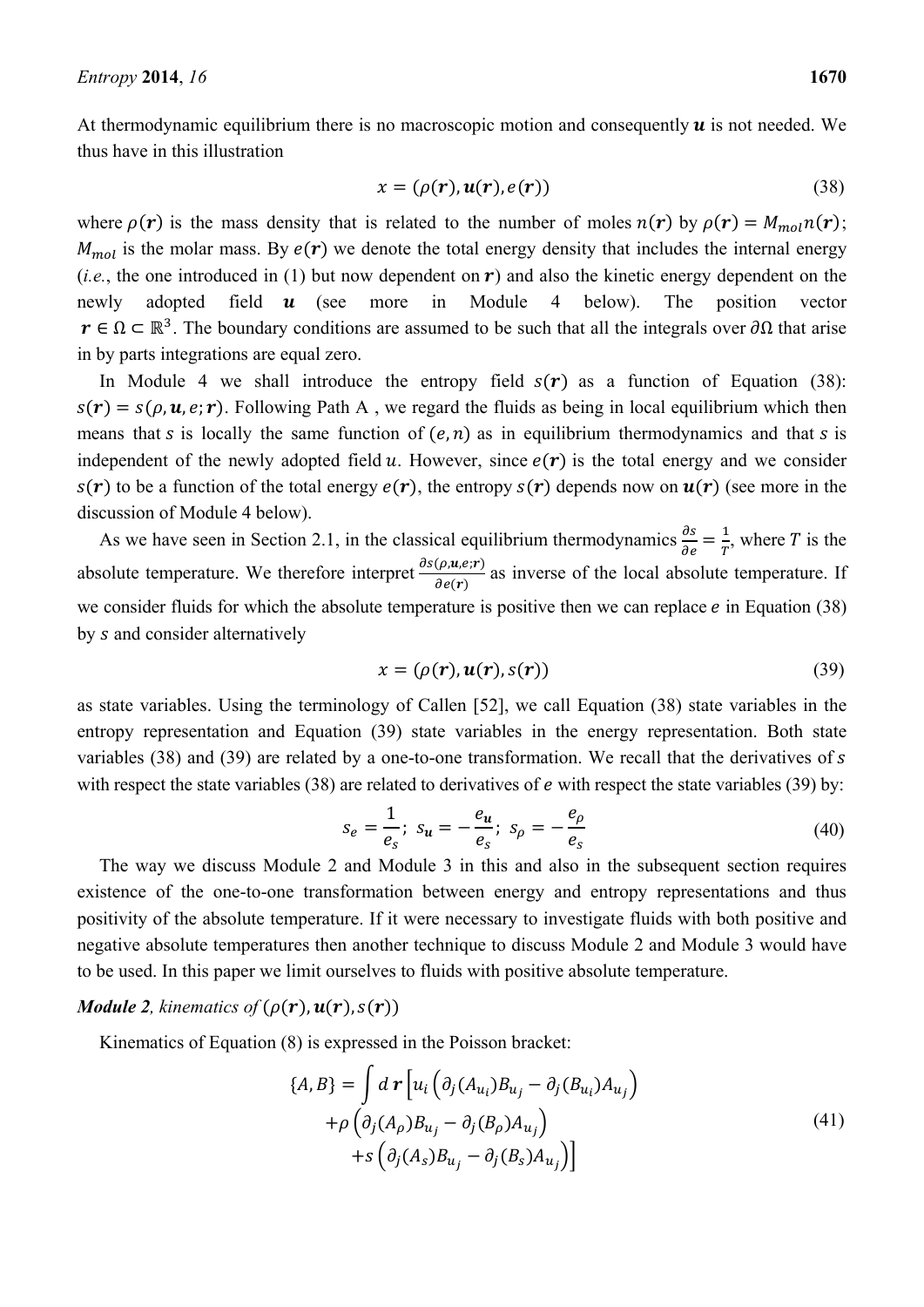At thermodynamic equilibrium there is no macroscopic motion and consequently  $\boldsymbol{u}$  is not needed. We thus have in this illustration

$$
x = (\rho(r), u(r), e(r))
$$
\n(38)

where  $\rho(\mathbf{r})$  is the mass density that is related to the number of moles  $n(\mathbf{r})$  by  $\rho(\mathbf{r}) = M_{mol}n(\mathbf{r})$ ;  $M_{mol}$  is the molar mass. By  $e(\mathbf{r})$  we denote the total energy density that includes the internal energy (*i.e.*, the one introduced in (1) but now dependent on  $\bf{r}$ ) and also the kinetic energy dependent on the newly adopted field  $\boldsymbol{u}$  (see more in Module 4 below). The position vector  $r \in \Omega \subset \mathbb{R}^3$ . The boundary conditions are assumed to be such that all the integrals over  $\partial \Omega$  that arise in by parts integrations are equal zero.

In Module 4 we shall introduce the entropy field  $s(r)$  as a function of Equation (38):  $s(\mathbf{r}) = s(\rho, \mathbf{u}, \mathbf{e}; \mathbf{r})$ . Following Path A, we regard the fluids as being in local equilibrium which then means that s is locally the same function of  $(e, n)$  as in equilibrium thermodynamics and that s is independent of the newly adopted field  $u$ . However, since  $e(\mathbf{r})$  is the total energy and we consider  $s(\mathbf{r})$  to be a function of the total energy  $e(\mathbf{r})$ , the entropy  $s(\mathbf{r})$  depends now on  $u(\mathbf{r})$  (see more in the discussion of Module 4 below).

As we have seen in Section 2.1, in the classical equilibrium thermodynamics  $\frac{\partial s}{\partial e} = \frac{1}{T}$ , where T is the absolute temperature. We therefore interpret  $\frac{\partial s(\rho, u, e; r)}{\partial e(r)}$  as inverse of the local absolute temperature. If we consider fluids for which the absolute temperature is positive then we can replace  $e$  in Equation (38) by s and consider alternatively

$$
x = (\rho(r), u(r), s(r))
$$
\n(39)

as state variables. Using the terminology of Callen [52], we call Equation (38) state variables in the entropy representation and Equation (39) state variables in the energy representation. Both state variables (38) and (39) are related by a one-to-one transformation. We recall that the derivatives of  $s$ with respect the state variables  $(38)$  are related to derivatives of *e* with respect the state variables  $(39)$  by:

$$
s_e = \frac{1}{e_s}; \ s_u = -\frac{e_u}{e_s}; \ s_\rho = -\frac{e_\rho}{e_s} \tag{40}
$$

The way we discuss Module 2 and Module 3 in this and also in the subsequent section requires existence of the one-to-one transformation between energy and entropy representations and thus positivity of the absolute temperature. If it were necessary to investigate fluids with both positive and negative absolute temperatures then another technique to discuss Module 2 and Module 3 would have to be used. In this paper we limit ourselves to fluids with positive absolute temperature.

### *Module 2, kinematics of*  $(\rho(r), u(r), s(r))$

Kinematics of Equation (8) is expressed in the Poisson bracket:

$$
\{A, B\} = \int d \mathbf{r} \left[ u_i \left( \partial_j (A_{u_i}) B_{u_j} - \partial_j (B_{u_i}) A_{u_j} \right) \right. \n+ \rho \left( \partial_j (A_\rho) B_{u_j} - \partial_j (B_\rho) A_{u_j} \right) \n+ s \left( \partial_j (A_s) B_{u_j} - \partial_j (B_s) A_{u_j} \right) \right]
$$
\n(41)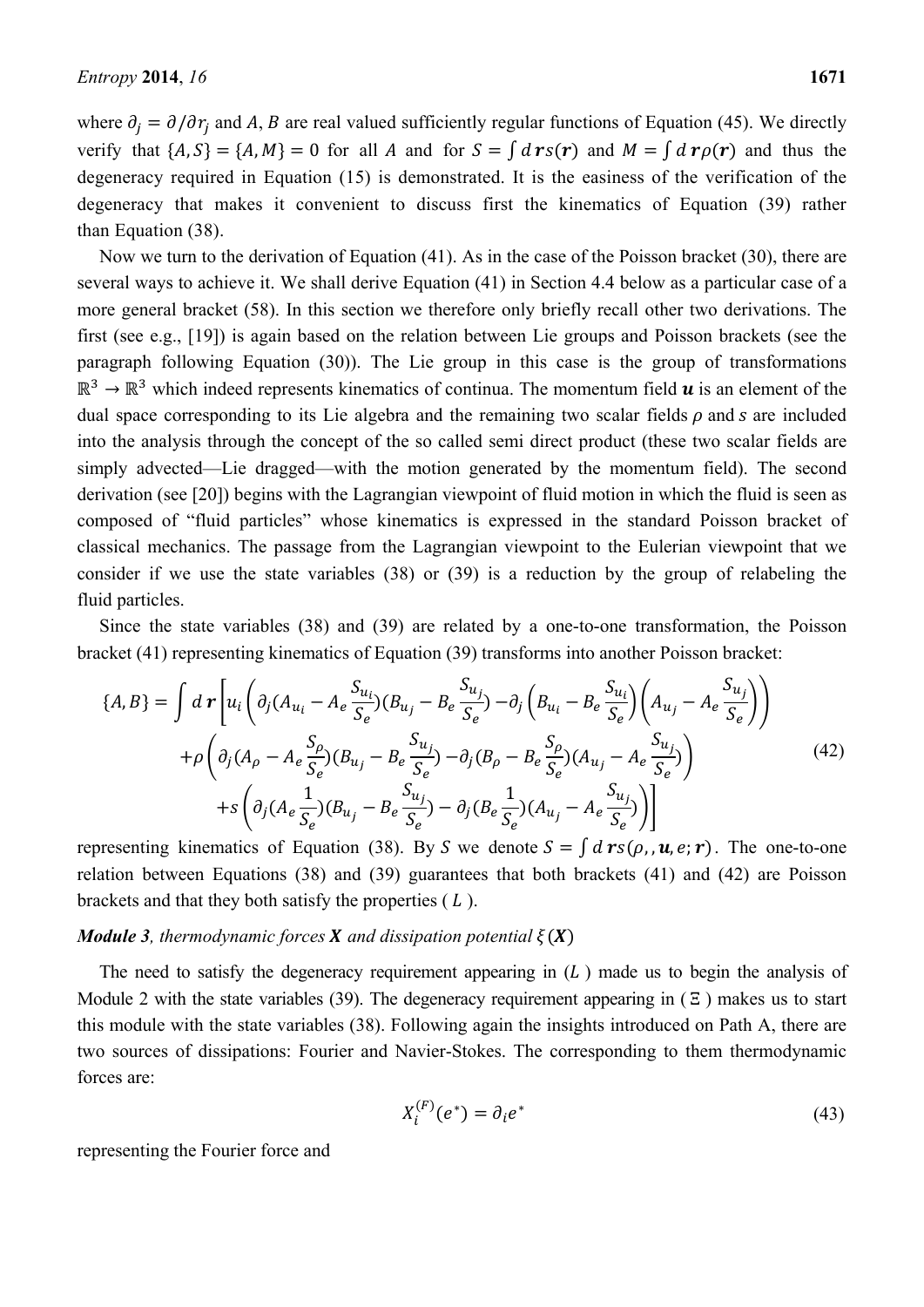where  $\partial_i = \partial/\partial r_i$  and A, B are real valued sufficiently regular functions of Equation (45). We directly verify that  $\{A, S\} = \{A, M\} = 0$  for all A and for  $S = \int d\mathbf{r} s(\mathbf{r})$  and  $M = \int d\mathbf{r} \rho(\mathbf{r})$  and thus the degeneracy required in Equation (15) is demonstrated. It is the easiness of the verification of the degeneracy that makes it convenient to discuss first the kinematics of Equation (39) rather than Equation (38).

Now we turn to the derivation of Equation (41). As in the case of the Poisson bracket (30), there are several ways to achieve it. We shall derive Equation (41) in Section 4.4 below as a particular case of a more general bracket (58). In this section we therefore only briefly recall other two derivations. The first (see e.g., [19]) is again based on the relation between Lie groups and Poisson brackets (see the paragraph following Equation (30)). The Lie group in this case is the group of transformations  $\mathbb{R}^3 \to \mathbb{R}^3$  which indeed represents kinematics of continua. The momentum field  $\boldsymbol{u}$  is an element of the dual space corresponding to its Lie algebra and the remaining two scalar fields  $\rho$  and  $s$  are included into the analysis through the concept of the so called semi direct product (these two scalar fields are simply advected—Lie dragged—with the motion generated by the momentum field). The second derivation (see [20]) begins with the Lagrangian viewpoint of fluid motion in which the fluid is seen as composed of "fluid particles" whose kinematics is expressed in the standard Poisson bracket of classical mechanics. The passage from the Lagrangian viewpoint to the Eulerian viewpoint that we consider if we use the state variables (38) or (39) is a reduction by the group of relabeling the fluid particles.

Since the state variables (38) and (39) are related by a one-to-one transformation, the Poisson bracket (41) representing kinematics of Equation (39) transforms into another Poisson bracket:

$$
\{A, B\} = \int d\mathbf{r} \left[ u_i \left( \partial_j (A_{u_i} - A_e \frac{S_{u_i}}{S_e}) (B_{u_j} - B_e \frac{S_{u_j}}{S_e}) - \partial_j \left( B_{u_i} - B_e \frac{S_{u_i}}{S_e} \right) \left( A_{u_j} - A_e \frac{S_{u_j}}{S_e} \right) \right] \right] + \rho \left( \partial_j (A_\rho - A_e \frac{S_\rho}{S_e}) (B_{u_j} - B_e \frac{S_{u_j}}{S_e}) - \partial_j (B_\rho - B_e \frac{S_\rho}{S_e}) (A_{u_j} - A_e \frac{S_{u_j}}{S_e}) \right) + s \left( \partial_j (A_e \frac{1}{S_e}) (B_{u_j} - B_e \frac{S_{u_j}}{S_e}) - \partial_j (B_e \frac{1}{S_e}) (A_{u_j} - A_e \frac{S_{u_j}}{S_e}) \right)
$$
(42)

representing kinematics of Equation (38). By S we denote  $S = \int d\mathbf{r}s(\rho_i, \mathbf{u}, e; \mathbf{r})$ . The one-to-one relation between Equations (38) and (39) guarantees that both brackets (41) and (42) are Poisson brackets and that they both satisfy the properties  $(L)$ .

#### *Module 3, thermodynamic forces X and dissipation potential*  $\xi(X)$

The need to satisfy the degeneracy requirement appearing in  $(L)$  made us to begin the analysis of Module 2 with the state variables (39). The degeneracy requirement appearing in  $( \Xi )$  makes us to start this module with the state variables (38). Following again the insights introduced on Path A, there are two sources of dissipations: Fourier and Navier-Stokes. The corresponding to them thermodynamic forces are:

$$
X_i^{(F)}(e^*) = \partial_i e^* \tag{43}
$$

representing the Fourier force and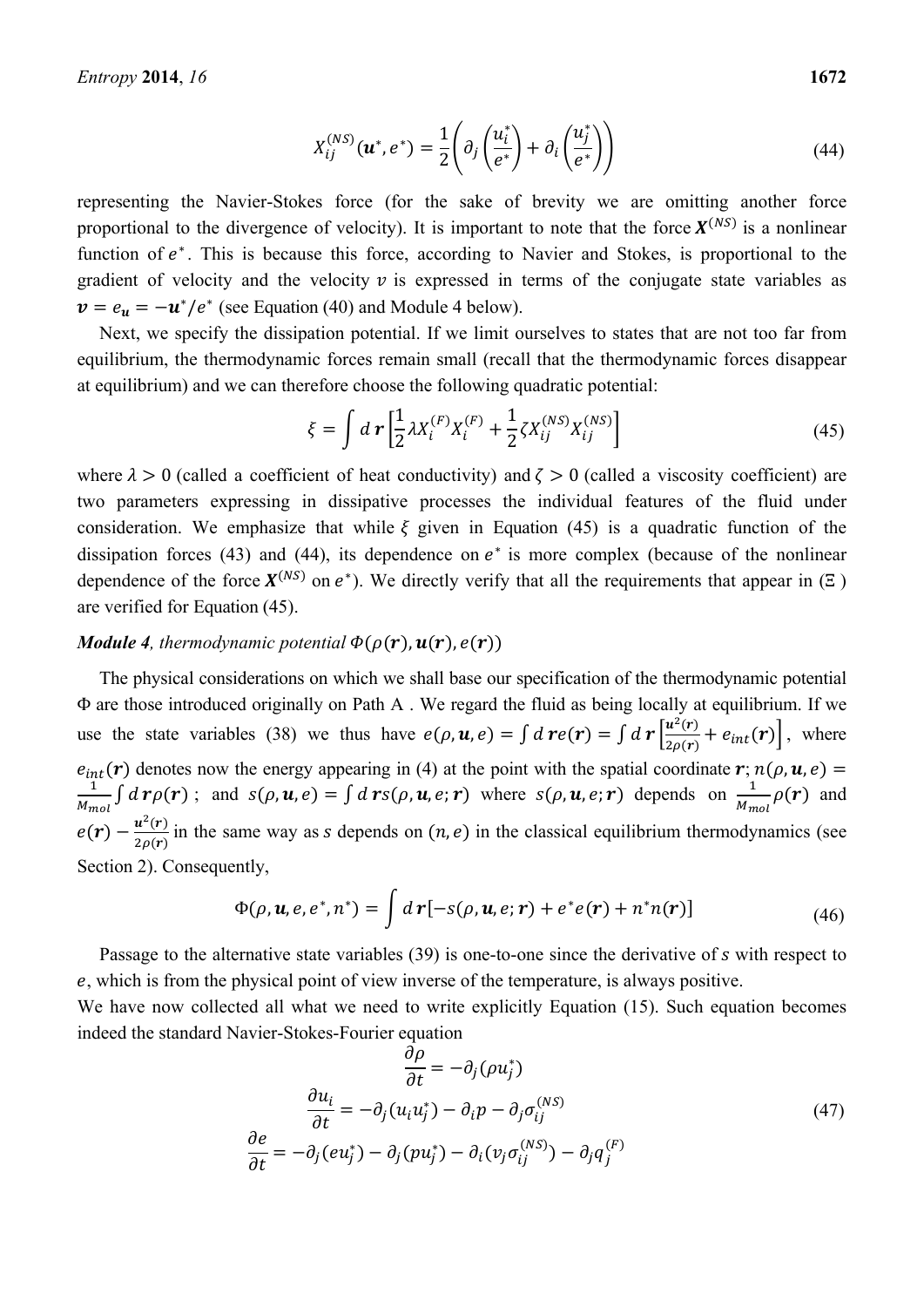$$
X_{ij}^{(NS)}(\boldsymbol{u}^*, e^*) = \frac{1}{2} \left( \partial_j \left( \frac{u_i^*}{e^*} \right) + \partial_i \left( \frac{u_j^*}{e^*} \right) \right) \tag{44}
$$

representing the Navier-Stokes force (for the sake of brevity we are omitting another force proportional to the divergence of velocity). It is important to note that the force  $X^{(NS)}$  is a nonlinear function of  $e^*$ . This is because this force, according to Navier and Stokes, is proportional to the gradient of velocity and the velocity  $\nu$  is expressed in terms of the conjugate state variables as  $v = e_u = -u^*/e^*$  (see Equation (40) and Module 4 below).

Next, we specify the dissipation potential. If we limit ourselves to states that are not too far from equilibrium, the thermodynamic forces remain small (recall that the thermodynamic forces disappear at equilibrium) and we can therefore choose the following quadratic potential:

$$
\xi = \int d\mathbf{r} \left[ \frac{1}{2} \lambda X_i^{(F)} X_i^{(F)} + \frac{1}{2} \zeta X_{ij}^{(NS)} X_{ij}^{(NS)} \right]
$$
(45)

where  $\lambda > 0$  (called a coefficient of heat conductivity) and  $\zeta > 0$  (called a viscosity coefficient) are two parameters expressing in dissipative processes the individual features of the fluid under consideration. We emphasize that while  $\xi$  given in Equation (45) is a quadratic function of the dissipation forces (43) and (44), its dependence on  $e<sup>*</sup>$  is more complex (because of the nonlinear dependence of the force  $X^{(NS)}$  on  $e^*$ ). We directly verify that all the requirements that appear in ( $\Xi$ ) are verified for Equation (45).

# *Module 4, thermodynamic potential*  $\Phi(\rho(\mathbf{r}), \mathbf{u}(\mathbf{r}), e(\mathbf{r}))$

The physical considerations on which we shall base our specification of the thermodynamic potential Φ are those introduced originally on Path A . We regard the fluid as being locally at equilibrium. If we use the state variables (38) we thus have  $e(\rho, \mathbf{u}, e) = \int d\mathbf{r} \left[ \frac{\mathbf{u}^2(\mathbf{r})}{2\rho(\mathbf{r})} + e_{int}(\mathbf{r}) \right]$ , where  $e_{int}(\mathbf{r})$  denotes now the energy appearing in (4) at the point with the spatial coordinate  $\mathbf{r}$ ;  $n(\rho, \mathbf{u}, e)$  =  $\mathbf 1$  $\frac{1}{M_{mol}} \int d\mathbf{r} \rho(\mathbf{r})$ ; and  $s(\rho, \mathbf{u}, e) = \int d\mathbf{r} s(\rho, \mathbf{u}, e; \mathbf{r})$  where  $s(\rho, \mathbf{u}, e; \mathbf{r})$  depends on  $\frac{1}{M_{mol}} \rho(\mathbf{r})$  and  $e(\vec{r}) - \frac{u^2(\vec{r})}{2\rho(\vec{r})}$  in the same way as *s* depends on  $(n, e)$  in the classical equilibrium thermodynamics (see Section 2). Consequently,

$$
\Phi(\rho, \mathbf{u}, e, e^*, n^*) = \int d\mathbf{r} [-s(\rho, \mathbf{u}, e; \mathbf{r}) + e^* e(\mathbf{r}) + n^* n(\mathbf{r})]
$$
(46)

Passage to the alternative state variables  $(39)$  is one-to-one since the derivative of s with respect to ݁, which is from the physical point of view inverse of the temperature, is always positive.

We have now collected all what we need to write explicitly Equation (15). Such equation becomes indeed the standard Navier-Stokes-Fourier equation

$$
\frac{\partial \rho}{\partial t} = -\partial_j(\rho u_j^*)
$$

$$
\frac{\partial u_i}{\partial t} = -\partial_j(u_i u_j^*) - \partial_i p - \partial_j \sigma_{ij}^{(NS)}
$$

$$
\frac{\partial e}{\partial t} = -\partial_j(eu_j^*) - \partial_j(pu_j^*) - \partial_i(v_j \sigma_{ij}^{(NS)}) - \partial_j q_j^{(F)}
$$
(47)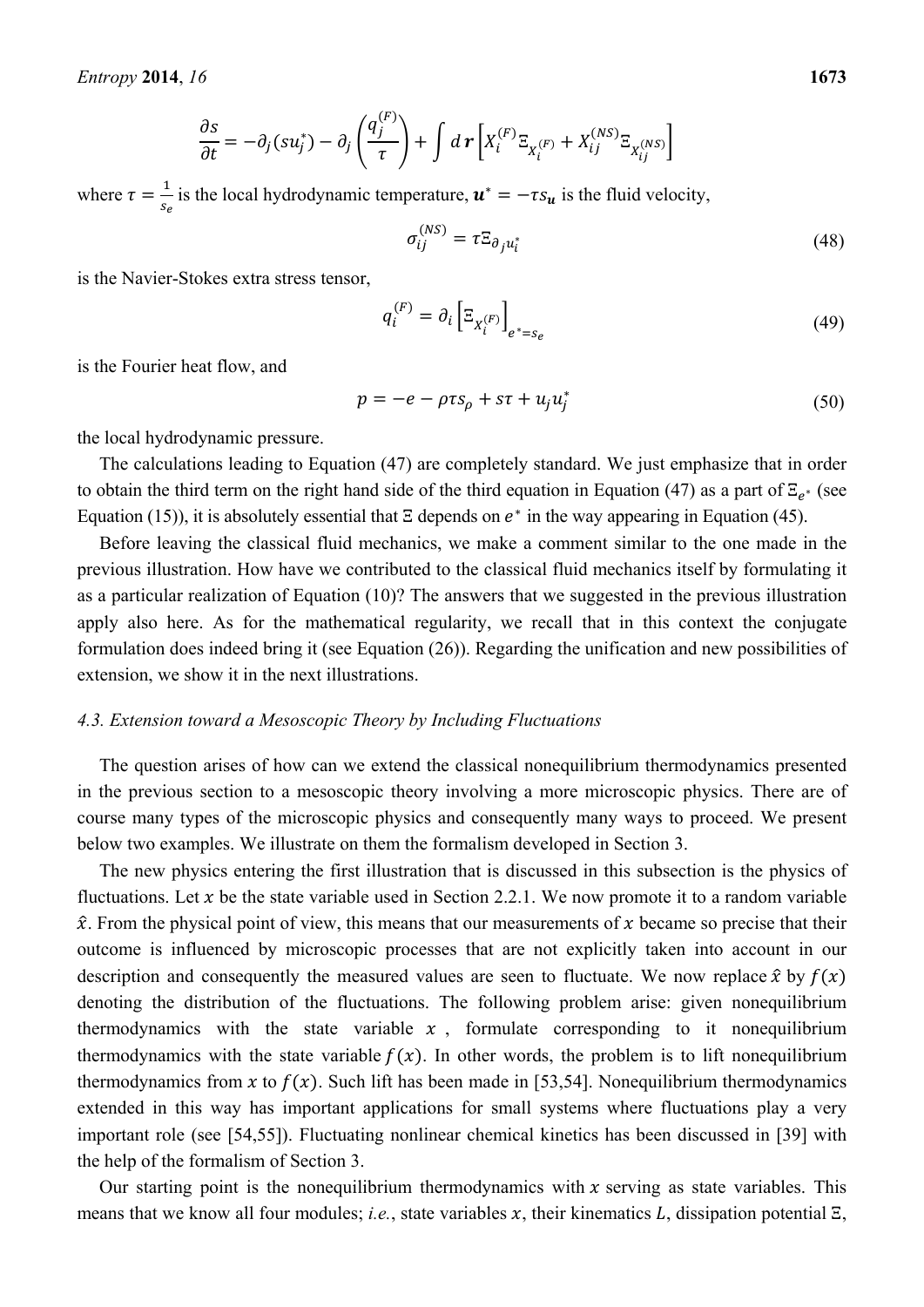$$
\frac{\partial s}{\partial t} = -\partial_j(su_j^*) - \partial_j\left(\frac{q_j^{(F)}}{\tau}\right) + \int d\mathbf{r} \left[ X_i^{(F)} \Xi_{X_i^{(F)}} + X_{ij}^{(NS)} \Xi_{X_{ij}^{(NS)}} \right]
$$

where  $\tau = \frac{1}{2}$  $\frac{1}{s_e}$  is the local hydrodynamic temperature,  $\mathbf{u}^* = -\tau s_{\mathbf{u}}$  is the fluid velocity,

$$
\sigma_{ij}^{(NS)} = \tau \Xi_{\partial_j u_i^*}
$$
 (48)

is the Navier-Stokes extra stress tensor,

$$
q_i^{(F)} = \partial_i \left[ \Xi_{X_i^{(F)}} \right]_{e^* = s_e} \tag{49}
$$

is the Fourier heat flow, and

$$
p = -e - \rho \tau s_{\rho} + s\tau + u_j u_j^* \tag{50}
$$

the local hydrodynamic pressure.

The calculations leading to Equation (47) are completely standard. We just emphasize that in order to obtain the third term on the right hand side of the third equation in Equation (47) as a part of  $\Xi_{e^*}$  (see Equation (15)), it is absolutely essential that  $\Xi$  depends on  $e^*$  in the way appearing in Equation (45).

Before leaving the classical fluid mechanics, we make a comment similar to the one made in the previous illustration. How have we contributed to the classical fluid mechanics itself by formulating it as a particular realization of Equation (10)? The answers that we suggested in the previous illustration apply also here. As for the mathematical regularity, we recall that in this context the conjugate formulation does indeed bring it (see Equation (26)). Regarding the unification and new possibilities of extension, we show it in the next illustrations.

#### *4.3. Extension toward a Mesoscopic Theory by Including Fluctuations*

The question arises of how can we extend the classical nonequilibrium thermodynamics presented in the previous section to a mesoscopic theory involving a more microscopic physics. There are of course many types of the microscopic physics and consequently many ways to proceed. We present below two examples. We illustrate on them the formalism developed in Section 3.

The new physics entering the first illustration that is discussed in this subsection is the physics of fluctuations. Let x be the state variable used in Section 2.2.1. We now promote it to a random variable  $\hat{x}$ . From the physical point of view, this means that our measurements of x became so precise that their outcome is influenced by microscopic processes that are not explicitly taken into account in our description and consequently the measured values are seen to fluctuate. We now replace  $\hat{x}$  by  $f(x)$ denoting the distribution of the fluctuations. The following problem arise: given nonequilibrium thermodynamics with the state variable  $x$ , formulate corresponding to it nonequilibrium thermodynamics with the state variable  $f(x)$ . In other words, the problem is to lift nonequilibrium thermodynamics from x to  $f(x)$ . Such lift has been made in [53,54]. Nonequilibrium thermodynamics extended in this way has important applications for small systems where fluctuations play a very important role (see [54,55]). Fluctuating nonlinear chemical kinetics has been discussed in [39] with the help of the formalism of Section 3.

Our starting point is the nonequilibrium thermodynamics with  $x$  serving as state variables. This means that we know all four modules; *i.e.*, state variables x, their kinematics L, dissipation potential  $\Xi$ ,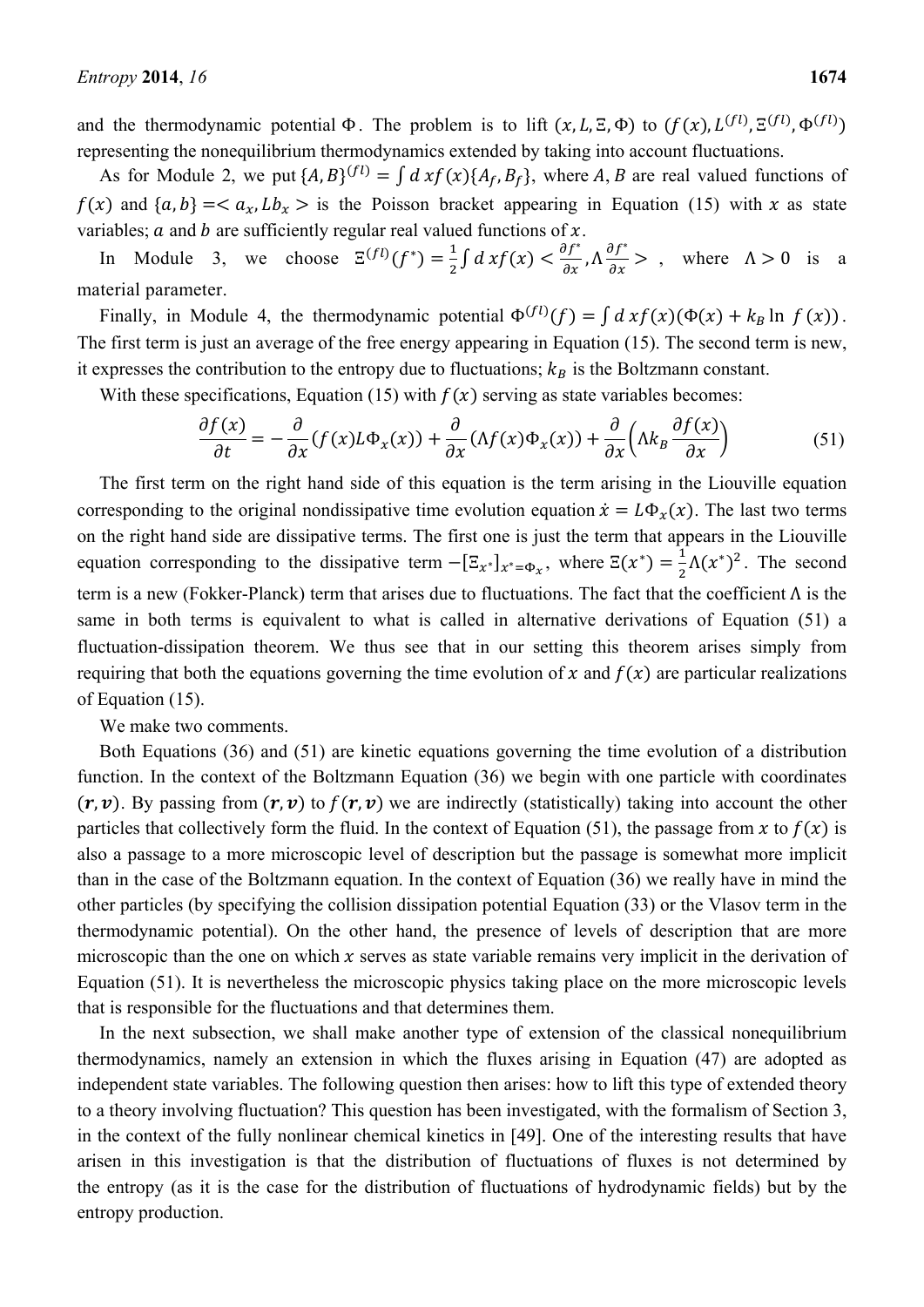and the thermodynamic potential  $\Phi$ . The problem is to lift  $(x, L, \Xi, \Phi)$  to  $(f(x), L^{(fl)}, \Xi^{(fl)}, \Phi^{(fl)})$ representing the nonequilibrium thermodynamics extended by taking into account fluctuations.

As for Module 2, we put  $\{A, B\}^{(fl)} = \int dxf(x)\{A_f, B_f\}$ , where A, B are real valued functions of  $f(x)$  and  $\{a, b\} = \langle a_x, Lb_x \rangle$  is the Poisson bracket appearing in Equation (15) with x as state variables;  $a$  and  $b$  are sufficiently regular real valued functions of  $x$ .

In Module 3, we choose  $\Xi^{(fl)}(f^*) = \frac{1}{2} \int dx f(x) < \frac{\partial f^*}{\partial x}, \Lambda \frac{\partial f^*}{\partial x} >$ , where  $\Lambda > 0$  is a material parameter.

Finally, in Module 4, the thermodynamic potential  $\Phi^{(fl)}(f) = \int dxf(x) (\Phi(x) + k_B \ln f(x))$ . The first term is just an average of the free energy appearing in Equation (15). The second term is new, it expresses the contribution to the entropy due to fluctuations;  $k_B$  is the Boltzmann constant.

With these specifications, Equation (15) with  $f(x)$  serving as state variables becomes:

$$
\frac{\partial f(x)}{\partial t} = -\frac{\partial}{\partial x}(f(x)L\Phi_x(x)) + \frac{\partial}{\partial x}(\Lambda f(x)\Phi_x(x)) + \frac{\partial}{\partial x}(\Lambda k_B \frac{\partial f(x)}{\partial x})
$$
(51)

The first term on the right hand side of this equation is the term arising in the Liouville equation corresponding to the original nondissipative time evolution equation  $\dot{x} = L\Phi_{\gamma}(x)$ . The last two terms on the right hand side are dissipative terms. The first one is just the term that appears in the Liouville equation corresponding to the dissipative term  $-[E_{x^*}]_{x^*=\Phi_x}$ , where  $\Xi(x^*) = \frac{1}{2}\Lambda(x^*)^2$ . The second term is a new (Fokker-Planck) term that arises due to fluctuations. The fact that the coefficient Λ is the same in both terms is equivalent to what is called in alternative derivations of Equation (51) a fluctuation-dissipation theorem. We thus see that in our setting this theorem arises simply from requiring that both the equations governing the time evolution of x and  $f(x)$  are particular realizations of Equation (15).

We make two comments.

Both Equations (36) and (51) are kinetic equations governing the time evolution of a distribution function. In the context of the Boltzmann Equation (36) we begin with one particle with coordinates  $(\mathbf{r}, \mathbf{v})$ . By passing from  $(\mathbf{r}, \mathbf{v})$  to  $f(\mathbf{r}, \mathbf{v})$  we are indirectly (statistically) taking into account the other particles that collectively form the fluid. In the context of Equation (51), the passage from x to  $f(x)$  is also a passage to a more microscopic level of description but the passage is somewhat more implicit than in the case of the Boltzmann equation. In the context of Equation (36) we really have in mind the other particles (by specifying the collision dissipation potential Equation (33) or the Vlasov term in the thermodynamic potential). On the other hand, the presence of levels of description that are more microscopic than the one on which  $x$  serves as state variable remains very implicit in the derivation of Equation (51). It is nevertheless the microscopic physics taking place on the more microscopic levels that is responsible for the fluctuations and that determines them.

In the next subsection, we shall make another type of extension of the classical nonequilibrium thermodynamics, namely an extension in which the fluxes arising in Equation (47) are adopted as independent state variables. The following question then arises: how to lift this type of extended theory to a theory involving fluctuation? This question has been investigated, with the formalism of Section 3, in the context of the fully nonlinear chemical kinetics in [49]. One of the interesting results that have arisen in this investigation is that the distribution of fluctuations of fluxes is not determined by the entropy (as it is the case for the distribution of fluctuations of hydrodynamic fields) but by the entropy production.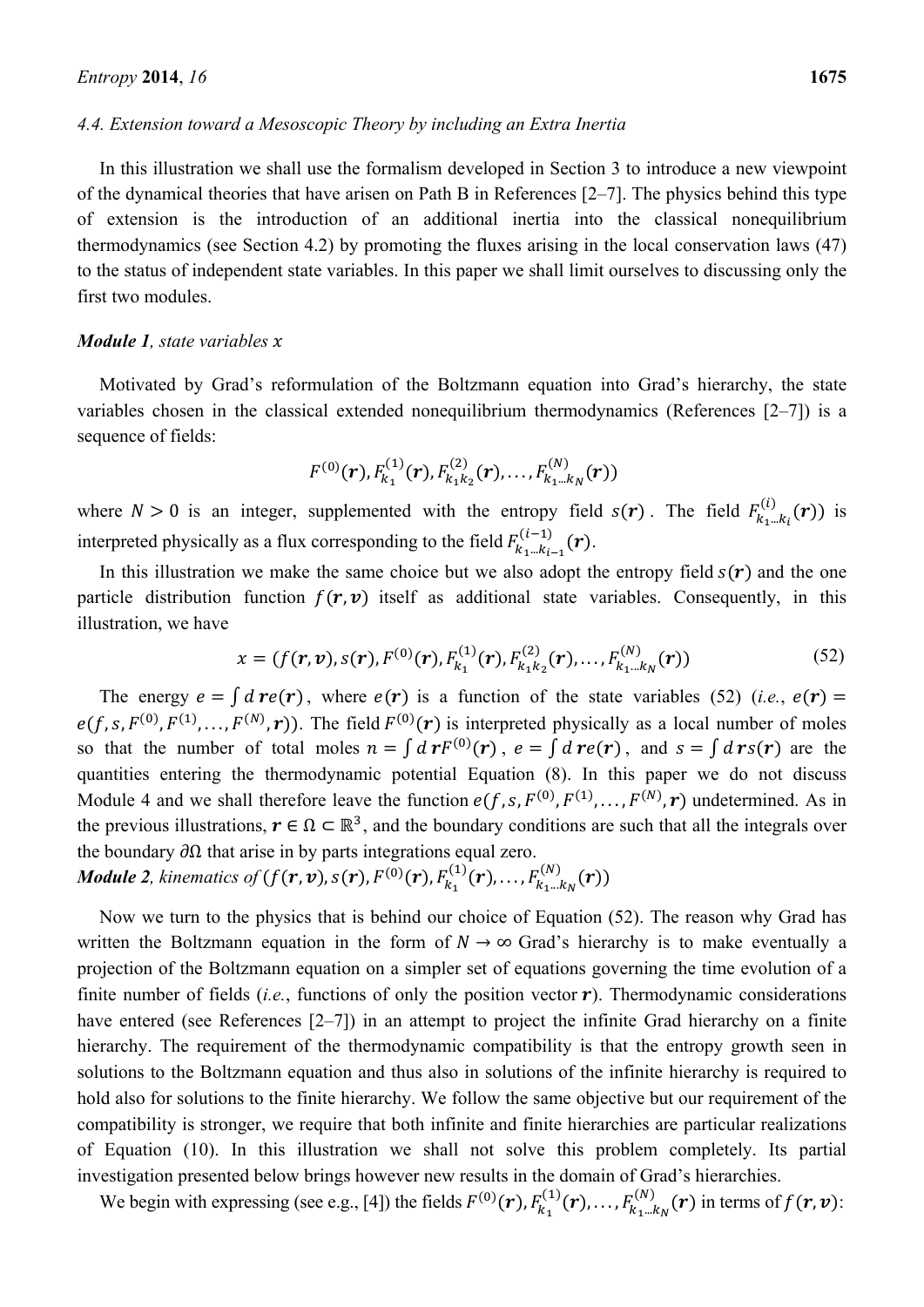#### *4.4. Extension toward a Mesoscopic Theory by including an Extra Inertia*

In this illustration we shall use the formalism developed in Section 3 to introduce a new viewpoint of the dynamical theories that have arisen on Path B in References [2–7]. The physics behind this type of extension is the introduction of an additional inertia into the classical nonequilibrium thermodynamics (see Section 4.2) by promoting the fluxes arising in the local conservation laws (47) to the status of independent state variables. In this paper we shall limit ourselves to discussing only the first two modules.

# *Module 1, state variables x*

Motivated by Grad's reformulation of the Boltzmann equation into Grad's hierarchy, the state variables chosen in the classical extended nonequilibrium thermodynamics (References [2–7]) is a sequence of fields:

$$
F^{(0)}(\boldsymbol{r}), F^{(1)}_{k_1}(\boldsymbol{r}), F^{(2)}_{k_1k_2}(\boldsymbol{r}), \ldots, F^{(N)}_{k_1\ldots k_N}(\boldsymbol{r}))
$$

where  $N > 0$  is an integer, supplemented with the entropy field  $s(r)$ . The field  $F_{k_1 \dots k_l}(r)$  is interpreted physically as a flux corresponding to the field  $F_{k_1 \dots k_{i-1}}^{(i-1)}(\boldsymbol{r})$ .

In this illustration we make the same choice but we also adopt the entropy field  $s(r)$  and the one particle distribution function  $f(r, v)$  itself as additional state variables. Consequently, in this illustration, we have

$$
x = (f(\mathbf{r}, \mathbf{v}), s(\mathbf{r}), F^{(0)}(\mathbf{r}), F^{(1)}_{k_1}(\mathbf{r}), F^{(2)}_{k_1 k_2}(\mathbf{r}), \dots, F^{(N)}_{k_1 \dots k_N}(\mathbf{r}))
$$
(52)

The energy  $e = \int d\mathbf{r}e(\mathbf{r})$ , where  $e(\mathbf{r})$  is a function of the state variables (52) (*i.e.*,  $e(\mathbf{r}) =$  $e(f, s, F^{(0)}, F^{(1)}, \ldots, F^{(N)}, r)$ . The field  $F^{(0)}(r)$  is interpreted physically as a local number of moles so that the number of total moles  $n = \int d\mathbf{r} F^{(0)}(\mathbf{r})$ ,  $e = \int d\mathbf{r} e(\mathbf{r})$ , and  $s = \int d\mathbf{r} s(\mathbf{r})$  are the quantities entering the thermodynamic potential Equation (8). In this paper we do not discuss Module 4 and we shall therefore leave the function  $e(f, s, F^{(0)}, F^{(1)}, \ldots, F^{(N)}, r)$  undetermined. As in the previous illustrations,  $r \in \Omega \subset \mathbb{R}^3$ , and the boundary conditions are such that all the integrals over the boundary  $\partial\Omega$  that arise in by parts integrations equal zero.

*Module 2, kinematics of*  $(f(r, v), s(r), F^{(0)}(r), F^{(1)}_{k_1}(r), \ldots, F^{(N)}_{k_1 \ldots k_N}(r))$ 

Now we turn to the physics that is behind our choice of Equation (52). The reason why Grad has written the Boltzmann equation in the form of  $N \rightarrow \infty$  Grad's hierarchy is to make eventually a projection of the Boltzmann equation on a simpler set of equations governing the time evolution of a finite number of fields (*i.e.*, functions of only the position vector  $\boldsymbol{r}$ ). Thermodynamic considerations have entered (see References [2–7]) in an attempt to project the infinite Grad hierarchy on a finite hierarchy. The requirement of the thermodynamic compatibility is that the entropy growth seen in solutions to the Boltzmann equation and thus also in solutions of the infinite hierarchy is required to hold also for solutions to the finite hierarchy. We follow the same objective but our requirement of the compatibility is stronger, we require that both infinite and finite hierarchies are particular realizations of Equation (10). In this illustration we shall not solve this problem completely. Its partial investigation presented below brings however new results in the domain of Grad's hierarchies.

We begin with expressing (see e.g., [4]) the fields  $F^{(0)}(r)$ ,  $F_{k_1}^{(1)}(r)$ , ...,  $F_{k_1\ldots k_N}^{(N)}(r)$  in terms of  $f(r, v)$ :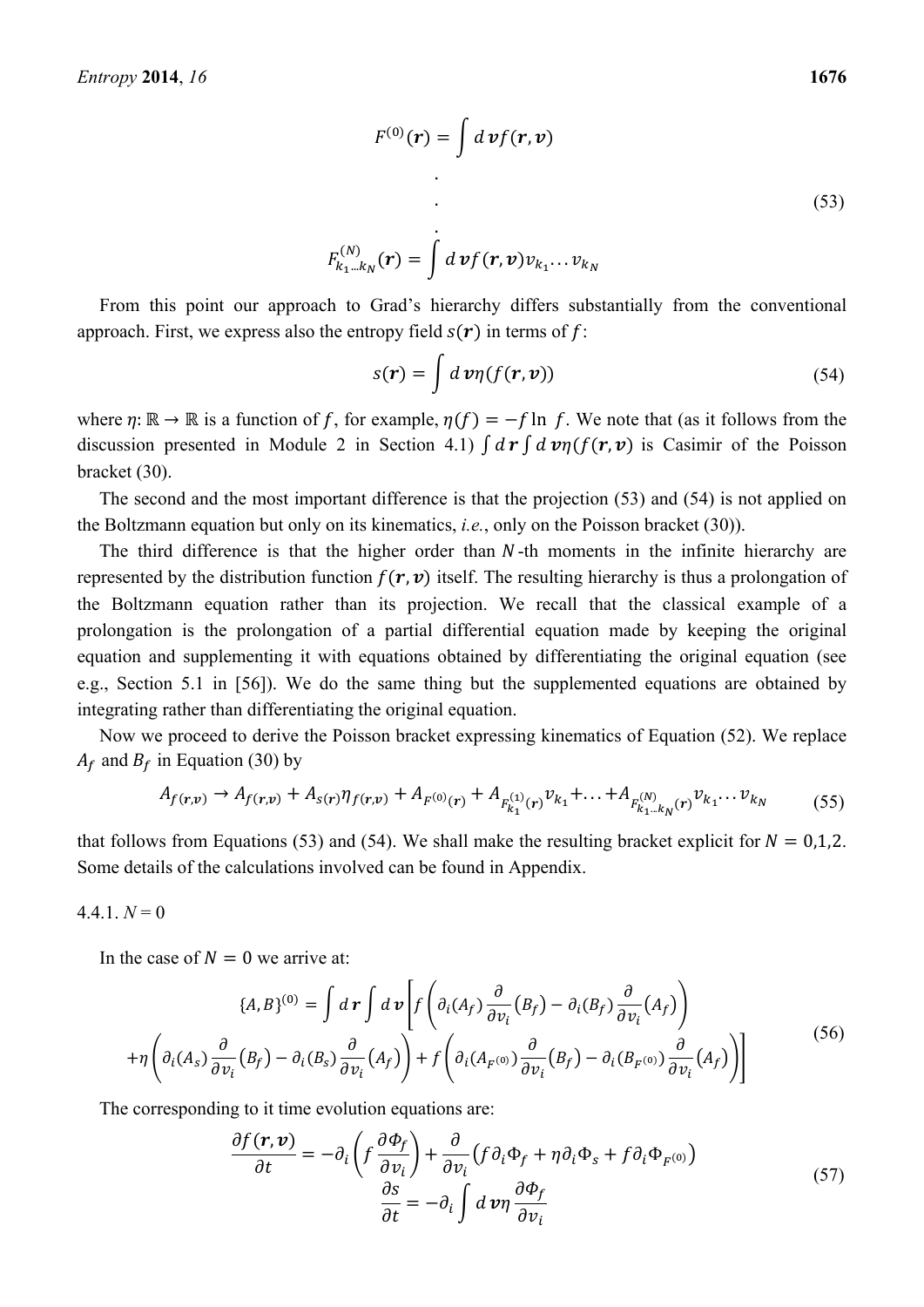$$
F_{k_1\ldots k_N}^{(N)}(\boldsymbol{r})=\int d\,\boldsymbol{v} f(\boldsymbol{r},\boldsymbol{v})v_{k_1}\ldots v_{k_N}
$$

From this point our approach to Grad's hierarchy differs substantially from the conventional approach. First, we express also the entropy field  $s(r)$  in terms of f:

$$
s(\mathbf{r}) = \int d\,\mathbf{v}\eta(f(\mathbf{r},\mathbf{v}))\tag{54}
$$

where  $\eta: \mathbb{R} \to \mathbb{R}$  is a function of f, for example,  $\eta(f) = -f \ln f$ . We note that (as it follows from the discussion presented in Module 2 in Section 4.1)  $\int d\mathbf{r} \int d\mathbf{v} \eta(f(\mathbf{r}, \mathbf{v}))$  is Casimir of the Poisson bracket (30).

The second and the most important difference is that the projection (53) and (54) is not applied on the Boltzmann equation but only on its kinematics, *i.e.*, only on the Poisson bracket (30)).

The third difference is that the higher order than  $N$ -th moments in the infinite hierarchy are represented by the distribution function  $f(r, v)$  itself. The resulting hierarchy is thus a prolongation of the Boltzmann equation rather than its projection. We recall that the classical example of a prolongation is the prolongation of a partial differential equation made by keeping the original equation and supplementing it with equations obtained by differentiating the original equation (see e.g., Section 5.1 in [56]). We do the same thing but the supplemented equations are obtained by integrating rather than differentiating the original equation.

Now we proceed to derive the Poisson bracket expressing kinematics of Equation (52). We replace  $A_f$  and  $B_f$  in Equation (30) by

$$
A_{f(r,v)} \to A_{f(r,v)} + A_{s(r)} \eta_{f(r,v)} + A_{F^{(0)}(r)} + A_{F^{(1)}_{k_1}(r)} v_{k_1} + \dots + A_{F^{(N)}_{k_1\dots k_N}(r)} v_{k_1}\dots v_{k_N}
$$
(55)

that follows from Equations (53) and (54). We shall make the resulting bracket explicit for  $N = 0,1,2$ . Some details of the calculations involved can be found in Appendix.

$$
4.4.1. N = 0
$$

In the case of  $N = 0$  we arrive at:

$$
\{A, B\}^{(0)} = \int d\mathbf{r} \int d\mathbf{v} \left[ f \left( \partial_i (A_f) \frac{\partial}{\partial v_i} (B_f) - \partial_i (B_f) \frac{\partial}{\partial v_i} (A_f) \right) \right]
$$
  
+ 
$$
\eta \left( \partial_i (A_s) \frac{\partial}{\partial v_i} (B_f) - \partial_i (B_s) \frac{\partial}{\partial v_i} (A_f) \right) + f \left( \partial_i (A_{F^{(0)}}) \frac{\partial}{\partial v_i} (B_f) - \partial_i (B_{F^{(0)}}) \frac{\partial}{\partial v_i} (A_f) \right) \right]
$$
(56)

The corresponding to it time evolution equations are:

$$
\frac{\partial f(\mathbf{r}, \mathbf{v})}{\partial t} = -\partial_i \left( f \frac{\partial \Phi_f}{\partial v_i} \right) + \frac{\partial}{\partial v_i} \left( f \partial_i \Phi_f + \eta \partial_i \Phi_s + f \partial_i \Phi_{F^{(0)}} \right)
$$
\n
$$
\frac{\partial s}{\partial t} = -\partial_i \int d \mathbf{v} \eta \frac{\partial \Phi_f}{\partial v_i}
$$
\n(57)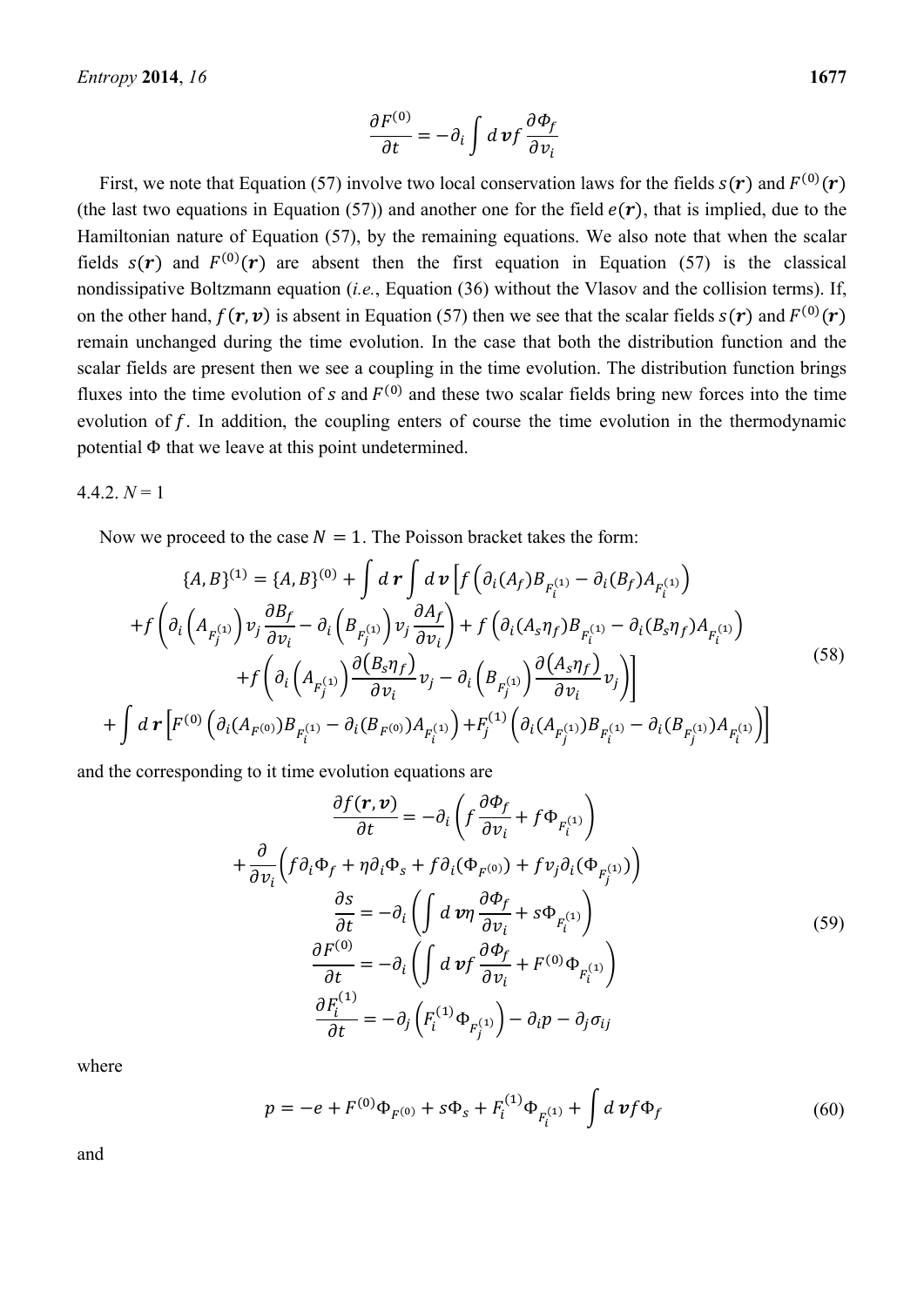$$
\frac{\partial F^{(0)}}{\partial t} = -\partial_i \int d\,\mathbf{v} f \frac{\partial \Phi_f}{\partial v_i}
$$

First, we note that Equation (57) involve two local conservation laws for the fields  $s(r)$  and  $F^{(0)}(r)$ (the last two equations in Equation (57)) and another one for the field  $e(\bf{r})$ , that is implied, due to the Hamiltonian nature of Equation (57), by the remaining equations. We also note that when the scalar fields  $s(r)$  and  $F^{(0)}(r)$  are absent then the first equation in Equation (57) is the classical nondissipative Boltzmann equation (*i.e.*, Equation (36) without the Vlasov and the collision terms). If, on the other hand,  $f(\mathbf{r}, \mathbf{v})$  is absent in Equation (57) then we see that the scalar fields  $s(\mathbf{r})$  and  $F^{(0)}(\mathbf{r})$ remain unchanged during the time evolution. In the case that both the distribution function and the scalar fields are present then we see a coupling in the time evolution. The distribution function brings fluxes into the time evolution of s and  $F^{(0)}$  and these two scalar fields bring new forces into the time evolution of  $f$ . In addition, the coupling enters of course the time evolution in the thermodynamic potential Φ that we leave at this point undetermined.

 $4.4.2, N=1$ 

Now we proceed to the case  $N = 1$ . The Poisson bracket takes the form:

$$
\{A, B\}^{(1)} = \{A, B\}^{(0)} + \int d\mathbf{r} \int d\mathbf{v} \left[ f \left( \partial_i (A_f) B_{F_i^{(1)}} - \partial_i (B_f) A_{F_i^{(1)}} \right) \right. \\ \left. + f \left( \partial_i \left( A_{F_j^{(1)}} \right) v_j \frac{\partial B_f}{\partial v_i} - \partial_i \left( B_{F_j^{(1)}} \right) v_j \frac{\partial A_f}{\partial v_i} \right) + f \left( \partial_i (A_s \eta_f) B_{F_i^{(1)}} - \partial_i (B_s \eta_f) A_{F_i^{(1)}} \right) \right. \\ \left. + f \left( \partial_i \left( A_{F_j^{(1)}} \right) \frac{\partial (B_s \eta_f)}{\partial v_i} v_j - \partial_i \left( B_{F_j^{(1)}} \right) \frac{\partial (A_s \eta_f)}{\partial v_i} v_j \right) \right] \\ \left. + \int d\mathbf{r} \left[ F^{(0)} \left( \partial_i (A_{F^{(0)}}) B_{F_i^{(1)}} - \partial_i (B_{F^{(0)}}) A_{F_i^{(1)}} \right) + F_j^{(1)} \left( \partial_i (A_{F_j^{(1)}}) B_{F_i^{(1)}} - \partial_i (B_{F_j^{(1)}}) A_{F_i^{(1)}} \right) \right] \right]
$$
\n
$$
(58)
$$

and the corresponding to it time evolution equations are

$$
\frac{\partial f(\mathbf{r}, \mathbf{v})}{\partial t} = -\partial_i \left( f \frac{\partial \Phi_f}{\partial v_i} + f \Phi_{F_i^{(1)}} \right)
$$

$$
+ \frac{\partial}{\partial v_i} \left( f \partial_i \Phi_f + \eta \partial_i \Phi_s + f \partial_i (\Phi_{F^{(0)}}) + f v_j \partial_i (\Phi_{F_j^{(1)}}) \right)
$$

$$
\frac{\partial s}{\partial t} = -\partial_i \left( \int d \mathbf{v} \eta \frac{\partial \Phi_f}{\partial v_i} + s \Phi_{F_i^{(1)}} \right)
$$

$$
\frac{\partial F^{(0)}}{\partial t} = -\partial_i \left( \int d \mathbf{v} f \frac{\partial \Phi_f}{\partial v_i} + F^{(0)} \Phi_{F_i^{(1)}} \right)
$$

$$
\frac{\partial F_i^{(1)}}{\partial t} = -\partial_j \left( F_i^{(1)} \Phi_{F_j^{(1)}} \right) - \partial_i p - \partial_j \sigma_{ij}
$$
(59)

where

$$
p = -e + F^{(0)}\Phi_{F^{(0)}} + s\Phi_s + F_i^{(1)}\Phi_{F_i^{(1)}} + \int d\,\mathbf{v}f\Phi_f \tag{60}
$$

and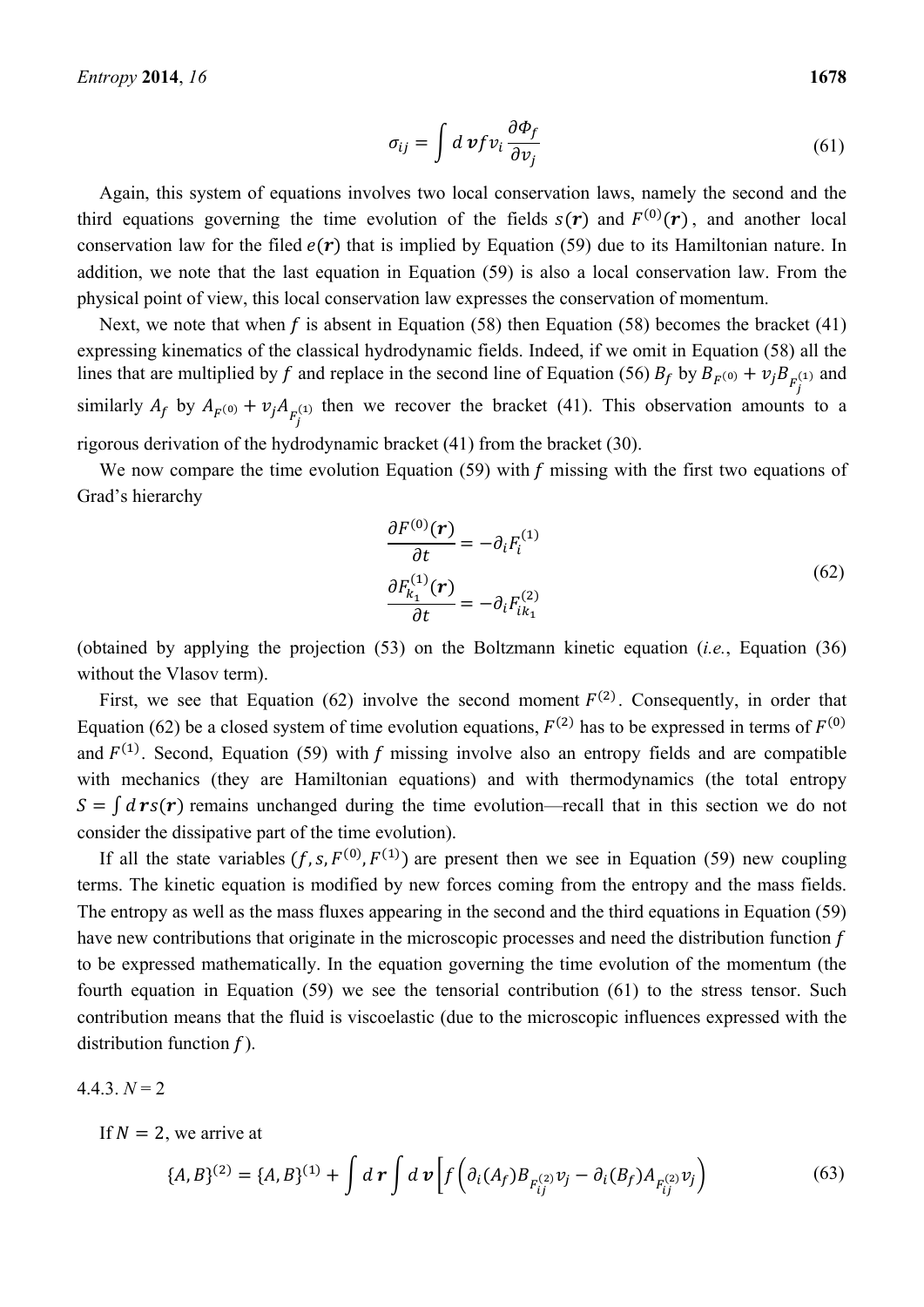$$
\sigma_{ij} = \int d\,\mathbf{v} f \, v_i \frac{\partial \Phi_f}{\partial v_j} \tag{61}
$$

Again, this system of equations involves two local conservation laws, namely the second and the third equations governing the time evolution of the fields  $s(r)$  and  $F^{(0)}(r)$ , and another local conservation law for the filed  $e(\mathbf{r})$  that is implied by Equation (59) due to its Hamiltonian nature. In addition, we note that the last equation in Equation (59) is also a local conservation law. From the physical point of view, this local conservation law expresses the conservation of momentum.

Next, we note that when f is absent in Equation (58) then Equation (58) becomes the bracket (41) expressing kinematics of the classical hydrodynamic fields. Indeed, if we omit in Equation (58) all the lines that are multiplied by f and replace in the second line of Equation (56)  $B_f$  by  $B_{F^{(0)}} + v_j B_{F^{(1)}}$  and similarly  $A_f$  by  $A_{F^{(0)}} + v_j A_{F^{(1)}}$  then we recover the bracket (41). This observation amounts to a rigorous derivation of the hydrodynamic bracket (41) from the bracket (30).

We now compare the time evolution Equation (59) with  $f$  missing with the first two equations of Grad's hierarchy

$$
\frac{\partial F^{(0)}(\mathbf{r})}{\partial t} = -\partial_i F_i^{(1)}
$$
  

$$
\frac{\partial F_{k_1}^{(1)}(\mathbf{r})}{\partial t} = -\partial_i F_{ik_1}^{(2)}
$$
 (62)

(obtained by applying the projection (53) on the Boltzmann kinetic equation (*i.e.*, Equation (36) without the Vlasov term).

First, we see that Equation (62) involve the second moment  $F<sup>(2)</sup>$ . Consequently, in order that Equation (62) be a closed system of time evolution equations,  $F^{(2)}$  has to be expressed in terms of  $F^{(0)}$ and  $F^{(1)}$ . Second, Equation (59) with f missing involve also an entropy fields and are compatible with mechanics (they are Hamiltonian equations) and with thermodynamics (the total entropy  $S = \int d\mathbf{r} s(\mathbf{r})$  remains unchanged during the time evolution—recall that in this section we do not consider the dissipative part of the time evolution).

If all the state variables  $(f, s, F^{(0)}, F^{(1)})$  are present then we see in Equation (59) new coupling terms. The kinetic equation is modified by new forces coming from the entropy and the mass fields. The entropy as well as the mass fluxes appearing in the second and the third equations in Equation (59) have new contributions that originate in the microscopic processes and need the distribution function  $f$ to be expressed mathematically. In the equation governing the time evolution of the momentum (the fourth equation in Equation (59) we see the tensorial contribution (61) to the stress tensor. Such contribution means that the fluid is viscoelastic (due to the microscopic influences expressed with the distribution function  $f$ ).

$$
4.4.3. N = 2
$$

If  $N = 2$ , we arrive at

$$
\{A, B\}^{(2)} = \{A, B\}^{(1)} + \int d\mathbf{r} \int d\mathbf{v} \left[ f \left( \partial_i (A_f) B_{F_{ij}^{(2)}} v_j - \partial_i (B_f) A_{F_{ij}^{(2)}} v_j \right) \right]
$$
(63)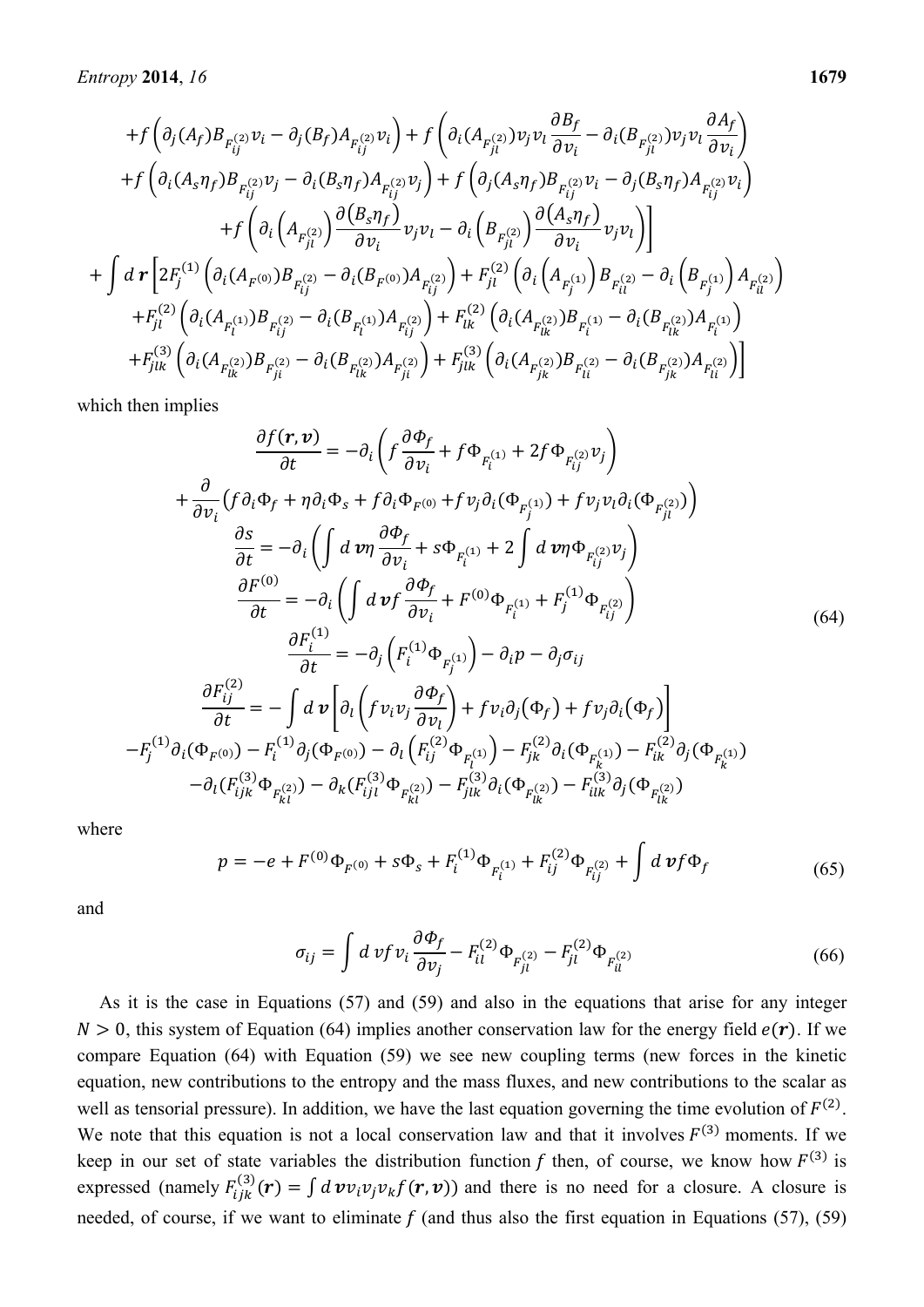$$
+f\left(\partial_{j}(A_{f})B_{F_{ij}^{(2)}}v_{i}-\partial_{j}(B_{f})A_{F_{ij}^{(2)}}v_{i}\right)+f\left(\partial_{i}(A_{F_{ji}^{(2)}}v_{i}v_{i}\frac{\partial B_{f}}{\partial v_{i}}-\partial_{i}(B_{F_{ji}^{(2)}}v_{i}v_{i}\frac{\partial A_{f}}{\partial v_{i}}\right)\\+f\left(\partial_{i}(A_{s}\eta_{f})B_{F_{ij}^{(2)}}v_{j}-\partial_{i}(B_{s}\eta_{f})A_{F_{ij}^{(2)}}v_{j}\right)+f\left(\partial_{j}(A_{s}\eta_{f})B_{F_{ij}^{(2)}}v_{i}-\partial_{j}(B_{s}\eta_{f})A_{F_{ij}^{(2)}}v_{i}\right)\\+f\left(\partial_{i}\left(A_{F_{ji}^{(2)}}\right)\frac{\partial(B_{s}\eta_{f})}{\partial v_{i}}v_{j}v_{l}-\partial_{i}\left(B_{F_{ji}^{(2)}}\right)\frac{\partial(A_{s}\eta_{f})}{\partial v_{i}}v_{j}v_{l}\right)\right]\\+f\left d\mathcal{r}\left[2F_{j}^{(1)}\left(\partial_{i}(A_{F^{(0)}})B_{F_{ij}^{(2)}}-\partial_{i}(B_{F^{(0)}})A_{F_{ij}^{(2)}}\right)+F_{ji}^{(2)}\left(\partial_{i}\left(A_{F_{ji}^{(1)}}\right)B_{F_{ii}^{(2)}}-\partial_{i}\left(B_{F_{j}^{(1)}}\right)A_{F_{ii}^{(2)}}\right)\right.\\+F_{j1}^{(2)}\left(\partial_{i}(A_{F_{i}^{(1)}})B_{F_{ij}^{(2)}}-\partial_{i}(B_{F_{i}^{(1)}})A_{F_{ij}^{(2)}}\right)+F_{ik}^{(2)}\left(\partial_{i}(A_{F_{ik}^{(2)}})B_{F_{i}^{(1)}}-\partial_{i}(B_{F_{ik}^{(2)}})A_{F_{i}^{(1)}}\right)\\+F_{j1k}^{(3)}\left(\partial_{i}(A_{F_{ik}^{(2)}})B_{F_{ji}^{(2)}}-\partial_{i}(B_{F_{ik}^{(2)}})A_{F_{ji}^{(2)}}\right)+F_{j1k}^{(3)}\left(\partial_{i}(A_{F_{jk}^{(2)}})B_{F_{li}^{(2)}}-\partial_{i}(B_{F_{jk}^{(2)}})A_{F_{i}^{(
$$

which then implies

$$
\frac{\partial f(\mathbf{r}, \mathbf{v})}{\partial t} = -\partial_i \left( f \frac{\partial \Phi_f}{\partial v_i} + f \Phi_{F_i^{(1)}} + 2f \Phi_{F_{ij}^{(2)}} v_j \right)
$$
  
+ 
$$
\frac{\partial}{\partial v_i} \left( f \partial_i \Phi_f + \eta \partial_i \Phi_s + f \partial_i \Phi_{F^{(0)}} + f v_j \partial_i (\Phi_{F_j^{(1)}}) + f v_j v_i \partial_i (\Phi_{F_{ji}^{(2)}}) \right)
$$
  

$$
\frac{\partial s}{\partial t} = -\partial_i \left( \int d \mathbf{v} \eta \frac{\partial \Phi_f}{\partial v_i} + s \Phi_{F_i^{(1)}} + 2 \int d \mathbf{v} \eta \Phi_{F_{ij}^{(2)}} v_j \right)
$$
  

$$
\frac{\partial F^{(0)}}{\partial t} = -\partial_i \left( \int d \mathbf{v} f \frac{\partial \Phi_f}{\partial v_i} + F^{(0)} \Phi_{F_i^{(1)}} + F_j^{(1)} \Phi_{F_{ij}^{(2)}} \right)
$$
  

$$
\frac{\partial F_i^{(1)}}{\partial t} = -\partial_j \left( F_i^{(1)} \Phi_{F_j^{(1)}} \right) - \partial_i p - \partial_j \sigma_{ij}
$$
  

$$
\frac{\partial F_{ij}^{(2)}}{\partial t} = -\int d \mathbf{v} \left[ \partial_i \left( f v_i v_j \frac{\partial \Phi_f}{\partial v_i} \right) + f v_i \partial_j (\Phi_f) + f v_j \partial_i (\Phi_f) \right]
$$
  

$$
-F_j^{(1)} \partial_i (\Phi_{F^{(0)}}) - F_i^{(1)} \partial_j (\Phi_{F^{(0)}}) - \partial_i \left( F_{ij}^{(2)} \Phi_{F_{ki}^{(1)}} \right) - F_{jk}^{(2)} \partial_i (\Phi_{F_{ik}^{(1)}}) - F_{ik}^{(2)} \partial_j (\Phi_{F_{ik}^{(1)}})
$$
  

$$
- \partial_i (F_{ijk}^{(3)} \Phi_{F_{ki}^{(2)}}) - \partial_k (F_{ijl}^{(3)} \Phi_{F_{ki}^{(2)}}) - F_{jlk}^{(3)} \partial_i (\Phi_{F_{ik}^{(2)}}) - F_{ilk}^{(3)} \partial_j (\Phi_{F_{ik}^{(2)}})
$$

where

$$
p = -e + F^{(0)}\Phi_{F^{(0)}} + s\Phi_s + F_i^{(1)}\Phi_{F_i^{(1)}} + F_{ij}^{(2)}\Phi_{F_{ij}^{(2)}} + \int d\,\nu f \Phi_f \tag{65}
$$

and

$$
\sigma_{ij} = \int d\,\nu f \,\nu_i \frac{\partial \Phi_f}{\partial \nu_j} - F_{il}^{(2)} \Phi_{F_{jl}^{(2)}} - F_{jl}^{(2)} \Phi_{F_{il}^{(2)}} \tag{66}
$$

As it is the case in Equations (57) and (59) and also in the equations that arise for any integer  $N > 0$ , this system of Equation (64) implies another conservation law for the energy field  $e(\mathbf{r})$ . If we compare Equation (64) with Equation (59) we see new coupling terms (new forces in the kinetic equation, new contributions to the entropy and the mass fluxes, and new contributions to the scalar as well as tensorial pressure). In addition, we have the last equation governing the time evolution of  $F^{(2)}$ . We note that this equation is not a local conservation law and that it involves  $F^{(3)}$  moments. If we keep in our set of state variables the distribution function f then, of course, we know how  $F^{(3)}$  is expressed (namely  $F_{ijk}^{(3)}(\mathbf{r}) = \int d\mathbf{v} v_i v_j v_k f(\mathbf{r}, \mathbf{v})$ ) and there is no need for a closure. A closure is needed, of course, if we want to eliminate  $f$  (and thus also the first equation in Equations (57), (59)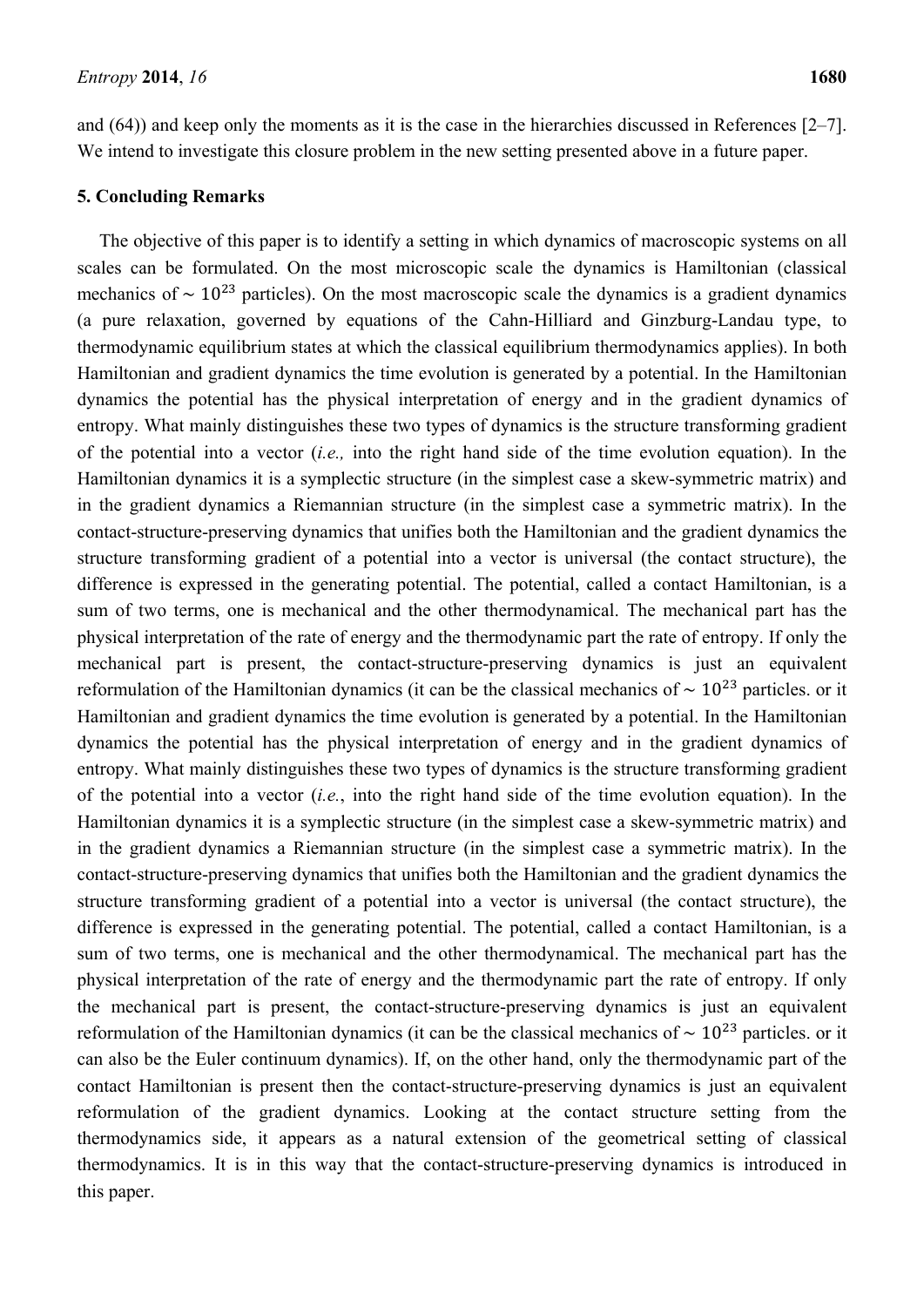and (64)) and keep only the moments as it is the case in the hierarchies discussed in References [2–7]. We intend to investigate this closure problem in the new setting presented above in a future paper.

# **5. Concluding Remarks**

The objective of this paper is to identify a setting in which dynamics of macroscopic systems on all scales can be formulated. On the most microscopic scale the dynamics is Hamiltonian (classical mechanics of  $\sim 10^{23}$  particles). On the most macroscopic scale the dynamics is a gradient dynamics (a pure relaxation, governed by equations of the Cahn-Hilliard and Ginzburg-Landau type, to thermodynamic equilibrium states at which the classical equilibrium thermodynamics applies). In both Hamiltonian and gradient dynamics the time evolution is generated by a potential. In the Hamiltonian dynamics the potential has the physical interpretation of energy and in the gradient dynamics of entropy. What mainly distinguishes these two types of dynamics is the structure transforming gradient of the potential into a vector (*i.e.,* into the right hand side of the time evolution equation). In the Hamiltonian dynamics it is a symplectic structure (in the simplest case a skew-symmetric matrix) and in the gradient dynamics a Riemannian structure (in the simplest case a symmetric matrix). In the contact-structure-preserving dynamics that unifies both the Hamiltonian and the gradient dynamics the structure transforming gradient of a potential into a vector is universal (the contact structure), the difference is expressed in the generating potential. The potential, called a contact Hamiltonian, is a sum of two terms, one is mechanical and the other thermodynamical. The mechanical part has the physical interpretation of the rate of energy and the thermodynamic part the rate of entropy. If only the mechanical part is present, the contact-structure-preserving dynamics is just an equivalent reformulation of the Hamiltonian dynamics (it can be the classical mechanics of  $\sim 10^{23}$  particles. or it Hamiltonian and gradient dynamics the time evolution is generated by a potential. In the Hamiltonian dynamics the potential has the physical interpretation of energy and in the gradient dynamics of entropy. What mainly distinguishes these two types of dynamics is the structure transforming gradient of the potential into a vector (*i.e.*, into the right hand side of the time evolution equation). In the Hamiltonian dynamics it is a symplectic structure (in the simplest case a skew-symmetric matrix) and in the gradient dynamics a Riemannian structure (in the simplest case a symmetric matrix). In the contact-structure-preserving dynamics that unifies both the Hamiltonian and the gradient dynamics the structure transforming gradient of a potential into a vector is universal (the contact structure), the difference is expressed in the generating potential. The potential, called a contact Hamiltonian, is a sum of two terms, one is mechanical and the other thermodynamical. The mechanical part has the physical interpretation of the rate of energy and the thermodynamic part the rate of entropy. If only the mechanical part is present, the contact-structure-preserving dynamics is just an equivalent reformulation of the Hamiltonian dynamics (it can be the classical mechanics of  $\sim 10^{23}$  particles. or it can also be the Euler continuum dynamics). If, on the other hand, only the thermodynamic part of the contact Hamiltonian is present then the contact-structure-preserving dynamics is just an equivalent reformulation of the gradient dynamics. Looking at the contact structure setting from the thermodynamics side, it appears as a natural extension of the geometrical setting of classical thermodynamics. It is in this way that the contact-structure-preserving dynamics is introduced in this paper.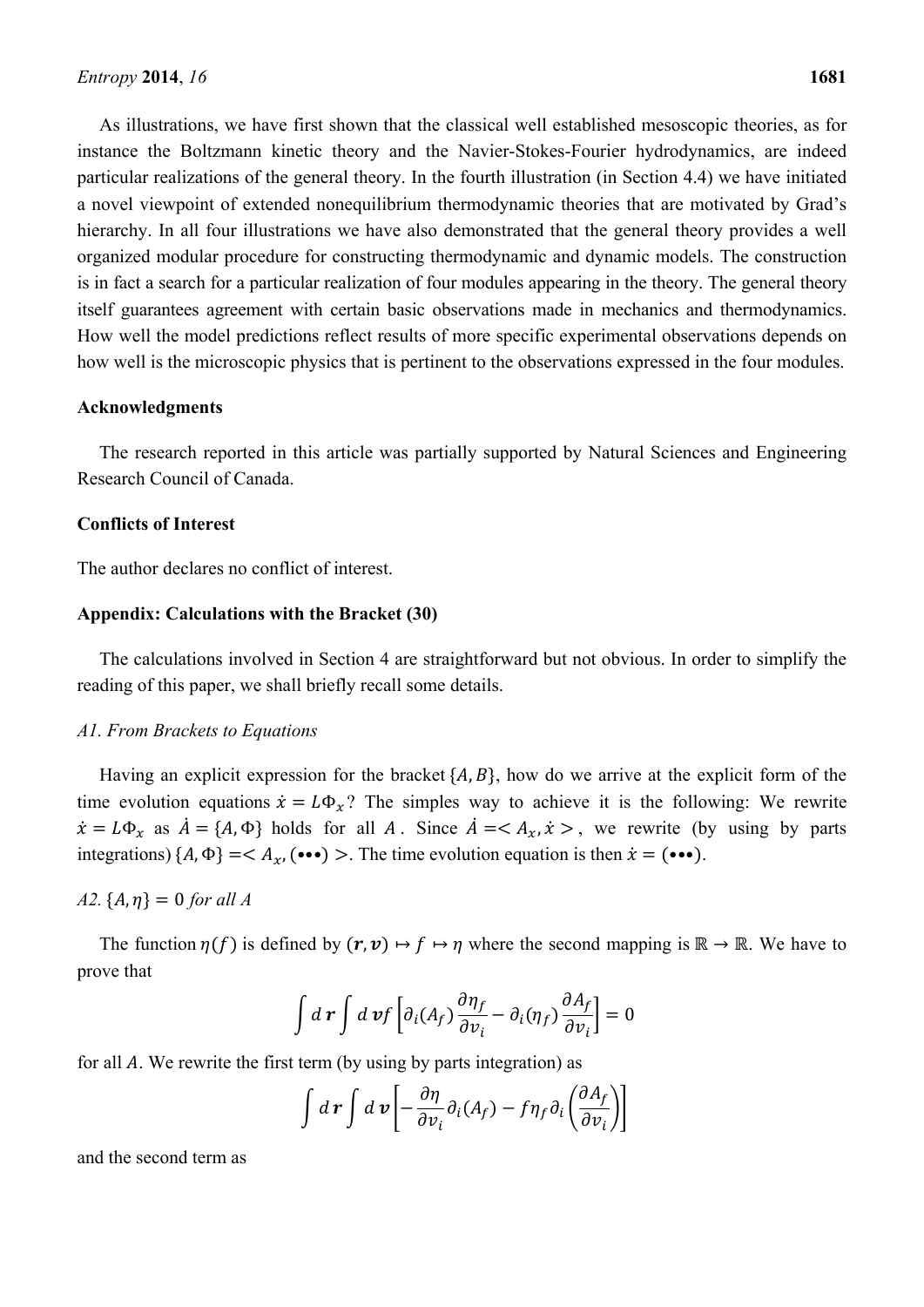As illustrations, we have first shown that the classical well established mesoscopic theories, as for instance the Boltzmann kinetic theory and the Navier-Stokes-Fourier hydrodynamics, are indeed particular realizations of the general theory. In the fourth illustration (in Section 4.4) we have initiated a novel viewpoint of extended nonequilibrium thermodynamic theories that are motivated by Grad's hierarchy. In all four illustrations we have also demonstrated that the general theory provides a well organized modular procedure for constructing thermodynamic and dynamic models. The construction is in fact a search for a particular realization of four modules appearing in the theory. The general theory itself guarantees agreement with certain basic observations made in mechanics and thermodynamics. How well the model predictions reflect results of more specific experimental observations depends on how well is the microscopic physics that is pertinent to the observations expressed in the four modules.

### **Acknowledgments**

The research reported in this article was partially supported by Natural Sciences and Engineering Research Council of Canada.

#### **Conflicts of Interest**

The author declares no conflict of interest.

#### **Appendix: Calculations with the Bracket (30)**

The calculations involved in Section 4 are straightforward but not obvious. In order to simplify the reading of this paper, we shall briefly recall some details.

#### *A1. From Brackets to Equations*

Having an explicit expression for the bracket  $\{A, B\}$ , how do we arrive at the explicit form of the time evolution equations  $\dot{x} = L\Phi_x$ ? The simples way to achieve it is the following: We rewrite  $\dot{x} = L\Phi_x$  as  $\dot{A} = \{A, \Phi\}$  holds for all A. Since  $\dot{A} = \langle A_x, \dot{x} \rangle$ , we rewrite (by using by parts integrations)  $\{A, \Phi\} = \langle A_x, (\bullet \bullet \bullet) \rangle$ . The time evolution equation is then  $\dot{x} = (\bullet \bullet \bullet)$ .

# *A2.*  ${A, \eta} = 0$  *for all A*

The function  $\eta(f)$  is defined by  $(r, v) \mapsto f \mapsto \eta$  where the second mapping is  $\mathbb{R} \to \mathbb{R}$ . We have to prove that

$$
\int d\,\boldsymbol{r} \int d\,\boldsymbol{v} f \left[ \partial_i (A_f) \frac{\partial \eta_f}{\partial v_i} - \partial_i (\eta_f) \frac{\partial A_f}{\partial v_i} \right] = 0
$$

for all  $\overline{A}$ . We rewrite the first term (by using by parts integration) as

$$
\int d\mathbf{r} \int d\mathbf{v} \left[ -\frac{\partial \eta}{\partial v_i} \partial_i (A_f) - f \eta_f \partial_i \left( \frac{\partial A_f}{\partial v_i} \right) \right]
$$

and the second term as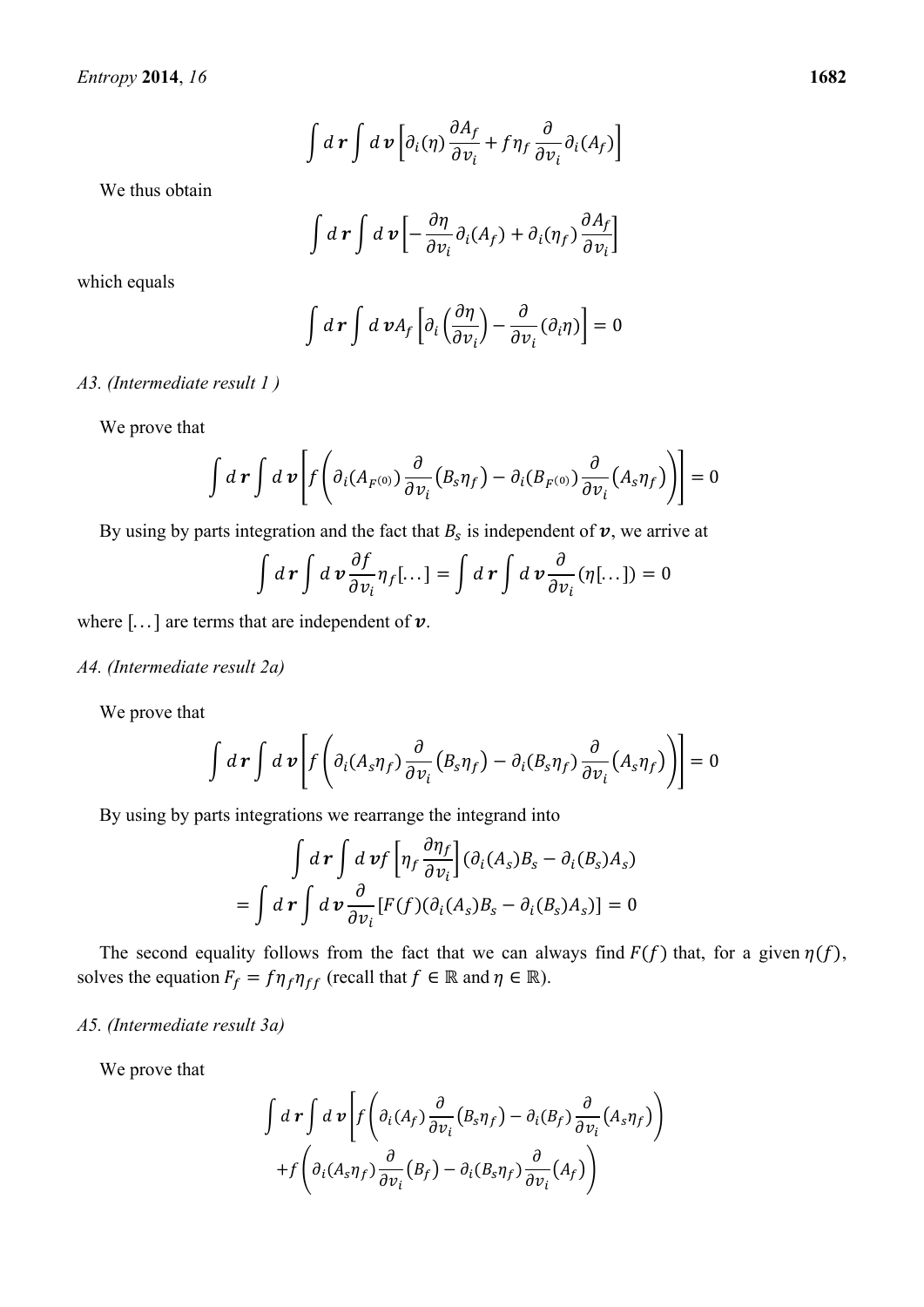$$
\int d\,\boldsymbol{r} \int d\,\boldsymbol{v} \left[ \partial_i(\eta) \frac{\partial A_f}{\partial v_i} + f \eta_f \frac{\partial}{\partial v_i} \partial_i(A_f) \right]
$$

We thus obtain

$$
\int d\,\boldsymbol{r} \int d\,\boldsymbol{v} \left[ -\frac{\partial \eta}{\partial v_i} \partial_i (A_f) + \partial_i (\eta_f) \frac{\partial A_f}{\partial v_i} \right]
$$

which equals

$$
\int d\,\boldsymbol{r} \int d\,\boldsymbol{v} A_f \left[ \partial_i \left( \frac{\partial \eta}{\partial v_i} \right) - \frac{\partial}{\partial v_i} (\partial_i \eta) \right] = 0
$$

### *A3. (Intermediate result 1 )*

We prove that

$$
\int d\mathbf{r} \int d\mathbf{v} \left[ f \left( \partial_i (A_{F^{(0)}}) \frac{\partial}{\partial v_i} (B_s \eta_f) - \partial_i (B_{F^{(0)}}) \frac{\partial}{\partial v_i} (A_s \eta_f) \right) \right] = 0
$$

By using by parts integration and the fact that  $B_s$  is independent of  $v$ , we arrive at

$$
\int d\mathbf{r} \int d\mathbf{v} \frac{\partial f}{\partial v_i} \eta_f[\dots] = \int d\mathbf{r} \int d\mathbf{v} \frac{\partial}{\partial v_i} (\eta[\dots]) = 0
$$

where  $[\dots]$  are terms that are independent of  $\nu$ .

#### *A4. (Intermediate result 2a)*

We prove that

$$
\int d\mathbf{r} \int d\mathbf{v} \left[ f \left( \partial_i (A_s \eta_f) \frac{\partial}{\partial v_i} (B_s \eta_f) - \partial_i (B_s \eta_f) \frac{\partial}{\partial v_i} (A_s \eta_f) \right) \right] = 0
$$

By using by parts integrations we rearrange the integrand into

$$
\int d\mathbf{r} \int d\mathbf{v} f \left[ \eta_f \frac{\partial \eta_f}{\partial v_i} \right] (\partial_i(A_s) B_s - \partial_i(B_s) A_s)
$$
  
= 
$$
\int d\mathbf{r} \int d\mathbf{v} \frac{\partial}{\partial v_i} [F(f)(\partial_i(A_s) B_s - \partial_i(B_s) A_s)] = 0
$$

The second equality follows from the fact that we can always find  $F(f)$  that, for a given  $\eta(f)$ , solves the equation  $F_f = f \eta_f \eta_{ff}$  (recall that  $f \in \mathbb{R}$  and  $\eta \in \mathbb{R}$ ).

#### *A5. (Intermediate result 3a)*

We prove that

$$
\int d\mathbf{r} \int d\mathbf{v} \left[ f \left( \partial_i (A_f) \frac{\partial}{\partial v_i} (B_s \eta_f) - \partial_i (B_f) \frac{\partial}{\partial v_i} (A_s \eta_f) \right) + f \left( \partial_i (A_s \eta_f) \frac{\partial}{\partial v_i} (B_f) - \partial_i (B_s \eta_f) \frac{\partial}{\partial v_i} (A_f) \right) \right]
$$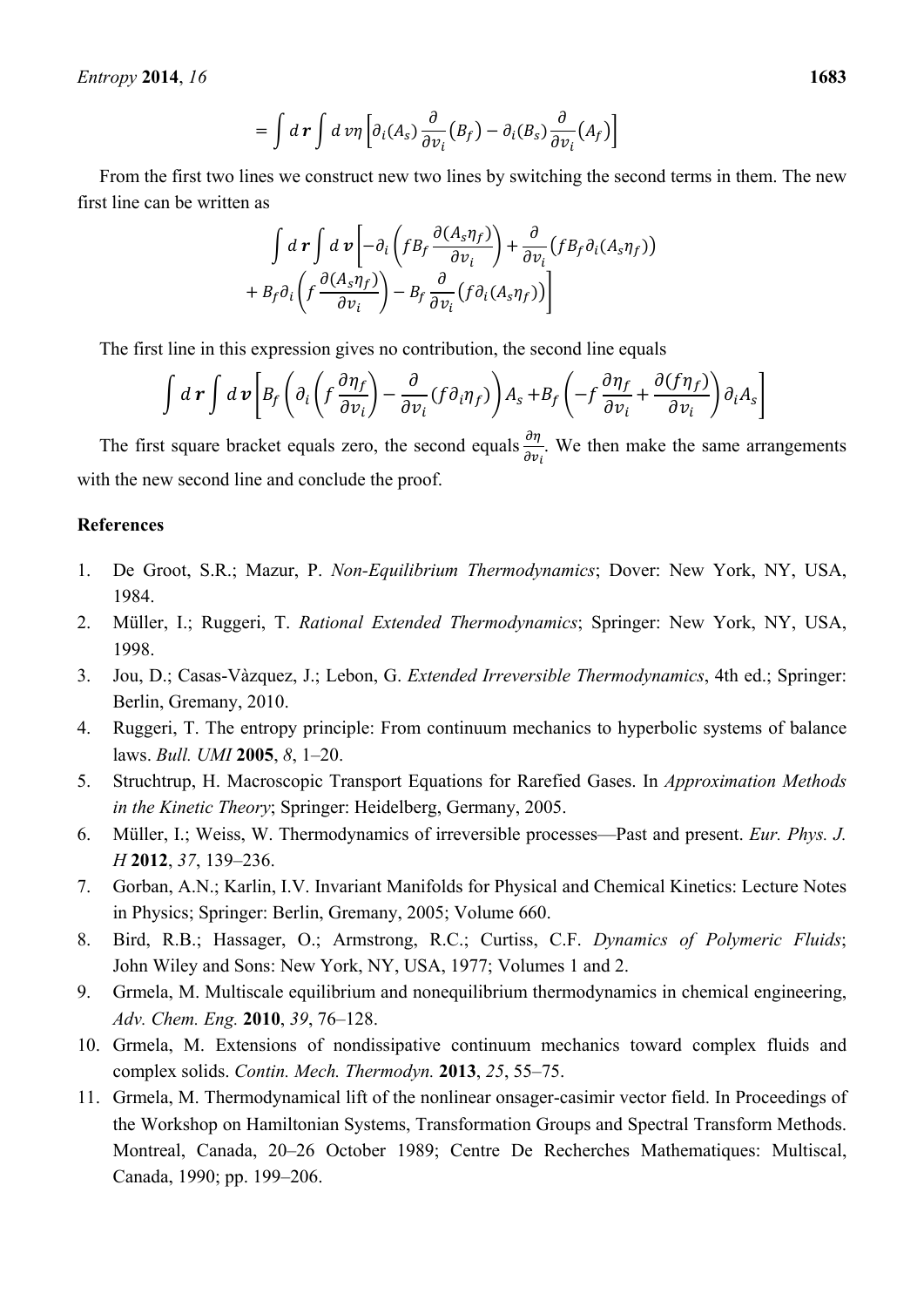*Entropy* **2014**, *16* **1683** 

$$
= \int d\boldsymbol{r} \int d\boldsymbol{v} \eta \left[ \partial_i (A_s) \frac{\partial}{\partial v_i} (B_f) - \partial_i (B_s) \frac{\partial}{\partial v_i} (A_f) \right]
$$

From the first two lines we construct new two lines by switching the second terms in them. The new first line can be written as

$$
\int d\mathbf{r} \int d\mathbf{v} \left[ -\partial_i \left( f B_f \frac{\partial (A_s \eta_f)}{\partial v_i} \right) + \frac{\partial}{\partial v_i} \left( f B_f \partial_i (A_s \eta_f) \right) + B_f \partial_i \left( f \frac{\partial (A_s \eta_f)}{\partial v_i} \right) - B_f \frac{\partial}{\partial v_i} \left( f \partial_i (A_s \eta_f) \right) \right]
$$

The first line in this expression gives no contribution, the second line equals

$$
\int d\mathbf{r} \int d\mathbf{v} \left[ B_f \left( \partial_i \left( f \frac{\partial \eta_f}{\partial v_i} \right) - \frac{\partial}{\partial v_i} (f \partial_i \eta_f) \right) A_s + B_f \left( -f \frac{\partial \eta_f}{\partial v_i} + \frac{\partial (f \eta_f)}{\partial v_i} \right) \partial_i A_s \right]
$$

The first square bracket equals zero, the second equals  $\frac{\partial \eta}{\partial v_i}$ . We then make the same arrangements with the new second line and conclude the proof.

# **References**

- 1. De Groot, S.R.; Mazur, P. *Non-Equilibrium Thermodynamics*; Dover: New York, NY, USA, 1984.
- 2. Müller, I.; Ruggeri, T. *Rational Extended Thermodynamics*; Springer: New York, NY, USA, 1998.
- 3. Jou, D.; Casas-Vàzquez, J.; Lebon, G. *Extended Irreversible Thermodynamics*, 4th ed.; Springer: Berlin, Gremany, 2010.
- 4. Ruggeri, T. The entropy principle: From continuum mechanics to hyperbolic systems of balance laws. *Bull. UMI* **2005**, *8*, 1–20.
- 5. Struchtrup, H. Macroscopic Transport Equations for Rarefied Gases. In *Approximation Methods in the Kinetic Theory*; Springer: Heidelberg, Germany, 2005.
- 6. Müller, I.; Weiss, W. Thermodynamics of irreversible processes—Past and present. *Eur. Phys. J. H* **2012**, *37*, 139–236.
- 7. Gorban, A.N.; Karlin, I.V. Invariant Manifolds for Physical and Chemical Kinetics: Lecture Notes in Physics; Springer: Berlin, Gremany, 2005; Volume 660.
- 8. Bird, R.B.; Hassager, O.; Armstrong, R.C.; Curtiss, C.F. *Dynamics of Polymeric Fluids*; John Wiley and Sons: New York, NY, USA, 1977; Volumes 1 and 2.
- 9. Grmela, M. Multiscale equilibrium and nonequilibrium thermodynamics in chemical engineering, *Adv. Chem. Eng.* **2010**, *39*, 76–128.
- 10. Grmela, M. Extensions of nondissipative continuum mechanics toward complex fluids and complex solids. *Contin. Mech. Thermodyn.* **2013**, *25*, 55–75.
- 11. Grmela, M. Thermodynamical lift of the nonlinear onsager-casimir vector field. In Proceedings of the Workshop on Hamiltonian Systems, Transformation Groups and Spectral Transform Methods. Montreal, Canada, 20–26 October 1989; Centre De Recherches Mathematiques: Multiscal, Canada, 1990; pp. 199–206.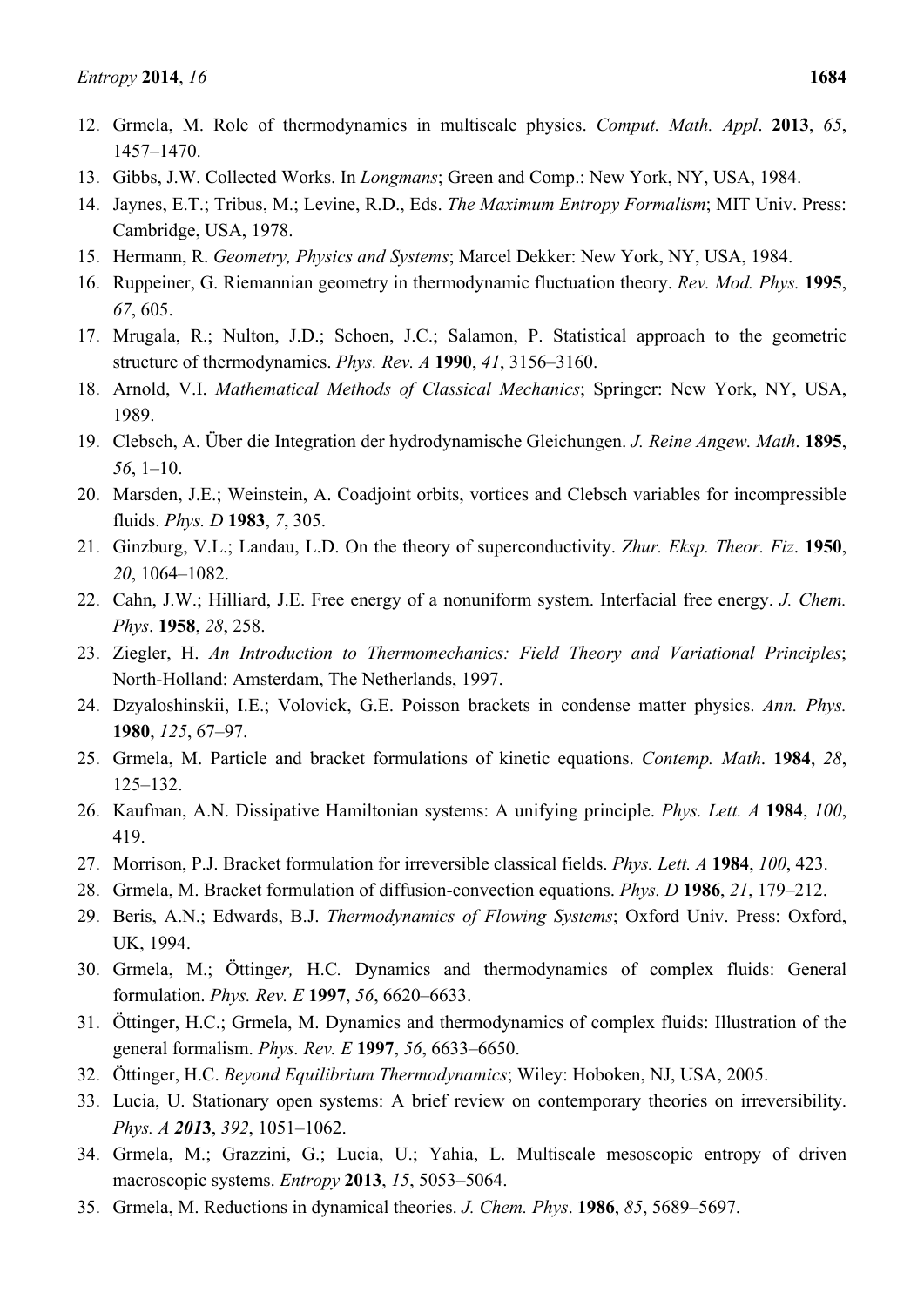- 13. Gibbs, J.W. Collected Works. In *Longmans*; Green and Comp.: New York, NY, USA, 1984.
- 14. Jaynes, E.T.; Tribus, M.; Levine, R.D., Eds. *The Maximum Entropy Formalism*; MIT Univ. Press: Cambridge, USA, 1978.
- 15. Hermann, R. *Geometry, Physics and Systems*; Marcel Dekker: New York, NY, USA, 1984.
- 16. Ruppeiner, G. Riemannian geometry in thermodynamic fluctuation theory. *Rev. Mod. Phys.* **1995**, *67*, 605.
- 17. Mrugala, R.; Nulton, J.D.; Schoen, J.C.; Salamon, P. Statistical approach to the geometric structure of thermodynamics. *Phys. Rev. A* **1990**, *41*, 3156–3160.
- 18. Arnold, V.I. *Mathematical Methods of Classical Mechanics*; Springer: New York, NY, USA, 1989.
- 19. Clebsch, A. Über die Integration der hydrodynamische Gleichungen. *J. Reine Angew. Math*. **1895**, *56*, 1–10.
- 20. Marsden, J.E.; Weinstein, A. Coadjoint orbits, vortices and Clebsch variables for incompressible fluids. *Phys. D* **1983**, *7*, 305.
- 21. Ginzburg, V.L.; Landau, L.D. On the theory of superconductivity. *Zhur. Eksp. Theor. Fiz*. **1950**, *20*, 1064–1082.
- 22. Cahn, J.W.; Hilliard, J.E. Free energy of a nonuniform system. Interfacial free energy. *J. Chem. Phys*. **1958**, *28*, 258.
- 23. Ziegler, H. *An Introduction to Thermomechanics: Field Theory and Variational Principles*; North-Holland: Amsterdam, The Netherlands, 1997.
- 24. Dzyaloshinskii, I.E.; Volovick, G.E. Poisson brackets in condense matter physics. *Ann. Phys.*  **1980**, *125*, 67–97.
- 25. Grmela, M. Particle and bracket formulations of kinetic equations. *Contemp. Math*. **1984**, *28*, 125–132.
- 26. Kaufman, A.N. Dissipative Hamiltonian systems: A unifying principle. *Phys. Lett. A* **1984**, *100*, 419.
- 27. Morrison, P.J. Bracket formulation for irreversible classical fields. *Phys. Lett. A* **1984**, *100*, 423.
- 28. Grmela, M. Bracket formulation of diffusion-convection equations. *Phys. D* **1986**, *21*, 179–212.
- 29. Beris, A.N.; Edwards, B.J. *Thermodynamics of Flowing Systems*; Oxford Univ. Press: Oxford, UK, 1994.
- 30. Grmela, M.; Öttinge*r,* H.C*.* Dynamics and thermodynamics of complex fluids: General formulation. *Phys. Rev. E* **1997**, *56*, 6620–6633.
- 31. Öttinger, H.C.; Grmela, M. Dynamics and thermodynamics of complex fluids: Illustration of the general formalism. *Phys. Rev. E* **1997**, *56*, 6633–6650.
- 32. Öttinger, H.C. *Beyond Equilibrium Thermodynamics*; Wiley: Hoboken, NJ, USA, 2005.
- 33. Lucia, U. Stationary open systems: A brief review on contemporary theories on irreversibility. *Phys. A 201***3**, *392*, 1051–1062.
- 34. Grmela, M.; Grazzini, G.; Lucia, U.; Yahia, L. Multiscale mesoscopic entropy of driven macroscopic systems. *Entropy* **2013**, *15*, 5053–5064.
- 35. Grmela, M. Reductions in dynamical theories. *J. Chem. Phys*. **1986**, *85*, 5689–5697.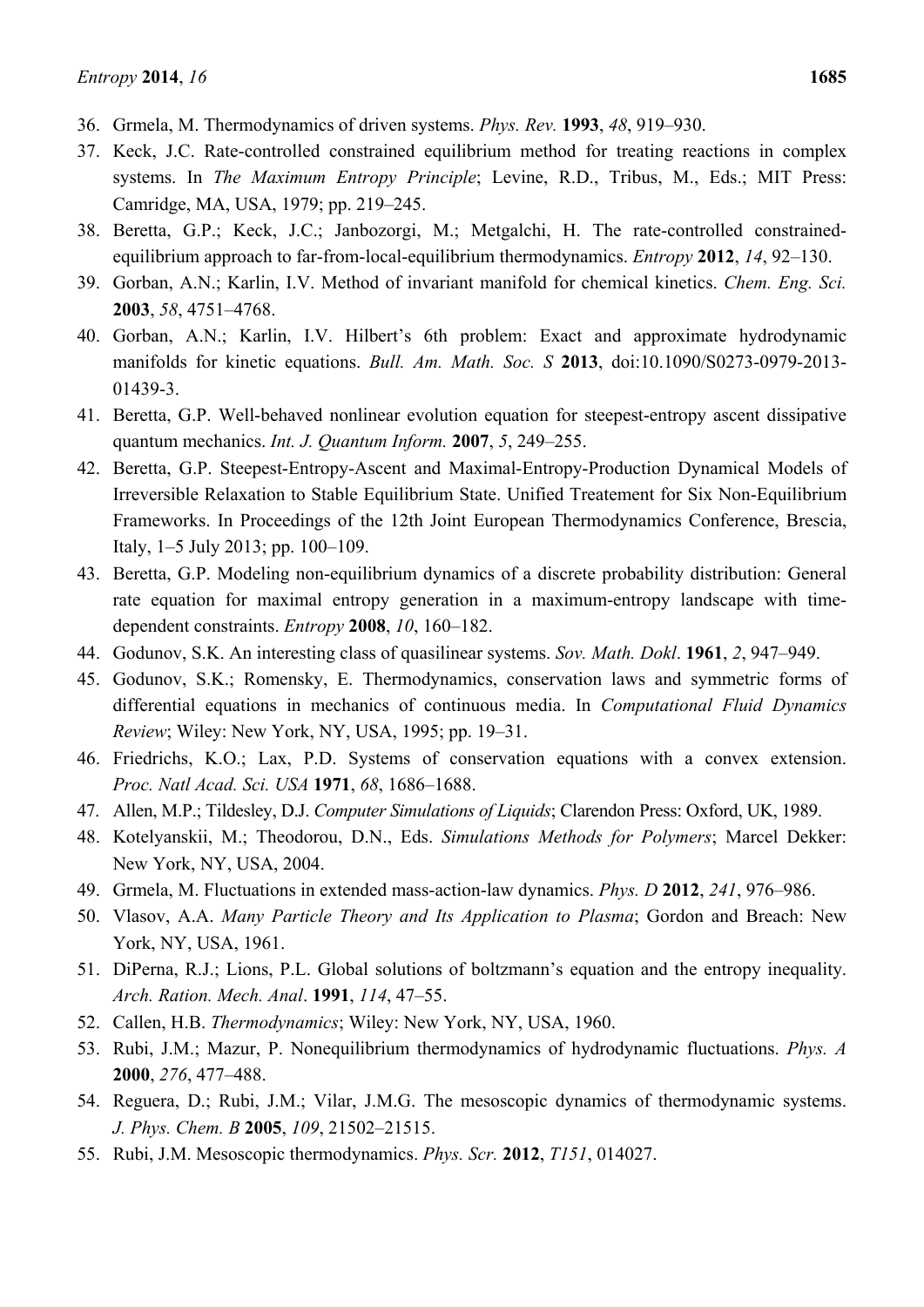- 36. Grmela, M. Thermodynamics of driven systems. *Phys. Rev.* **1993**, *48*, 919–930.
- 37. Keck, J.C. Rate-controlled constrained equilibrium method for treating reactions in complex systems. In *The Maximum Entropy Principle*; Levine, R.D., Tribus, M., Eds.; MIT Press: Camridge, MA, USA, 1979; pp. 219–245.
- 38. Beretta, G.P.; Keck, J.C.; Janbozorgi, M.; Metgalchi, H. The rate-controlled constrainedequilibrium approach to far-from-local-equilibrium thermodynamics. *Entropy* **2012**, *14*, 92–130.
- 39. Gorban, A.N.; Karlin, I.V. Method of invariant manifold for chemical kinetics. *Chem. Eng. Sci.* **2003**, *58*, 4751–4768.
- 40. Gorban, A.N.; Karlin, I.V. Hilbert's 6th problem: Exact and approximate hydrodynamic manifolds for kinetic equations. *Bull. Am. Math. Soc. S* **2013**, doi:10.1090/S0273-0979-2013- 01439-3.
- 41. Beretta, G.P. Well-behaved nonlinear evolution equation for steepest-entropy ascent dissipative quantum mechanics. *Int. J. Quantum Inform.* **2007**, *5*, 249–255.
- 42. Beretta, G.P. Steepest-Entropy-Ascent and Maximal-Entropy-Production Dynamical Models of Irreversible Relaxation to Stable Equilibrium State. Unified Treatement for Six Non-Equilibrium Frameworks. In Proceedings of the 12th Joint European Thermodynamics Conference, Brescia, Italy, 1–5 July 2013; pp. 100–109.
- 43. Beretta, G.P. Modeling non-equilibrium dynamics of a discrete probability distribution: General rate equation for maximal entropy generation in a maximum-entropy landscape with timedependent constraints. *Entropy* **2008**, *10*, 160–182.
- 44. Godunov, S.K. An interesting class of quasilinear systems. *Sov. Math. Dokl*. **1961**, *2*, 947–949.
- 45. Godunov, S.K.; Romensky, E. Thermodynamics, conservation laws and symmetric forms of differential equations in mechanics of continuous media. In *Computational Fluid Dynamics Review*; Wiley: New York, NY, USA, 1995; pp. 19–31.
- 46. Friedrichs, K.O.; Lax, P.D. Systems of conservation equations with a convex extension. *Proc. Natl Acad. Sci. USA* **1971**, *68*, 1686–1688.
- 47. Allen, M.P.; Tildesley, D.J. *Computer Simulations of Liquids*; Clarendon Press: Oxford, UK, 1989.
- 48. Kotelyanskii, M.; Theodorou, D.N., Eds. *Simulations Methods for Polymers*; Marcel Dekker: New York, NY, USA, 2004.
- 49. Grmela, M. Fluctuations in extended mass-action-law dynamics. *Phys. D* **2012**, *241*, 976–986.
- 50. Vlasov, A.A. *Many Particle Theory and Its Application to Plasma*; Gordon and Breach: New York, NY, USA, 1961.
- 51. DiPerna, R.J.; Lions, P.L. Global solutions of boltzmann's equation and the entropy inequality. *Arch. Ration. Mech. Anal*. **1991**, *114*, 47–55.
- 52. Callen, H.B. *Thermodynamics*; Wiley: New York, NY, USA, 1960.
- 53. Rubi, J.M.; Mazur, P. Nonequilibrium thermodynamics of hydrodynamic fluctuations. *Phys. A*  **2000**, *276*, 477–488.
- 54. Reguera, D.; Rubi, J.M.; Vilar, J.M.G. The mesoscopic dynamics of thermodynamic systems. *J. Phys. Chem. B* **2005**, *109*, 21502–21515.
- 55. Rubi, J.M. Mesoscopic thermodynamics. *Phys. Scr.* **2012**, *T151*, 014027.